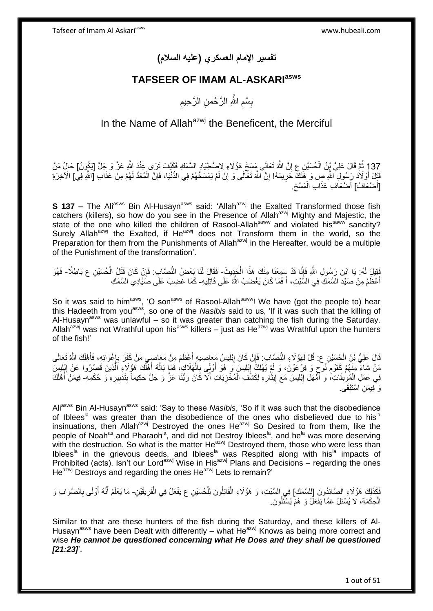**تفسير اإلمام العسكري )عليه السالم(**

### **TAFSEER OF IMAM AL-ASKARIasws**

ِ بِسْمِ اللَّهِ الرَّحْمنِ الرَّحِيمِ ِ ِ

## In the Name of Allah $a^{z}$  the Beneficent, the Merciful

137 ثُمَّ قَالَ عَلِيُّ يْنُ الْحُسَيْنِ ع إِنَّ اللَّهَ تَعَالَى مَسِخَ هَؤُلَاءِ لِاصْطِيَادِ السَّمَكِ فَكَيْفَ تَرَى عِنْدَ اللَّهِ عَزَّ وَ جَلَّ [يَكُونُ] حَالُ مَنْ ِ ْ ِ قَتِّلَ أَوْلَادَ رَِسُولِ ۗ اللَّهِ صِ وَ هَتَكَ حَرِيمَهُ! إِنَّ اللَّهَ تَعَالَى وَ إِنْ لَمْ يَمْسَخْهُمْ فِي الدُّنْيَا، فَإِنَّ الْمُعَدَّ لَهُمْ مِنْ عَذَابِ [اللَّهِ فِي] الْأخِرَةِ ِ ِ **∶** َ [أَصْعَافُ] أَصْعَافِ عَذَابِ الْمَسْخِ َ ِ ْ َ

**S 137 –** The Ali<sup>asws</sup> Bin Al-Husayn<sup>asws</sup> said: 'Allah<sup>azwj</sup> the Exalted Transformed those fish catchers (killers), so how do you see in the Presence of Allah<sup>azwj</sup> Mighty and Majestic, the state of the one who killed the children of Rasool-Allah<sup>saww</sup> and violated his<sup>saww</sup> sanctity? Surely Allah<sup>azwj</sup> the Exalted, if He<sup>azwj</sup> does not Transform them in the world, so the Preparation for them from the Punishments of Allah<sup>azwj</sup> in the Hereafter, would be a multiple of the Punishment of the transformation'.

فَقِيلَ لَهُ: يَا ابْنَ رَسُولِ اللَّهِ فَإِنَّا قَدْ سَمِعْنَا مِنْكَ هَذَا الْجَدِيثَ- فَقَالَ لَنَا بَعْضُ النُّصَّابِ: فَإِنْ كَانَ قَتْلُ الْحُسَيْنِ ع بَاطِلًا- فَهُوَ ْ ِ ْ ِ أَعْظَمُ مِنْ صَيْدِ الْسَّمَكِ فِي السَّّبْتِ، أَ فَمَا كَانَ يَغْضَبُ اللَّهُ عَلَى قَاتِلِيهِ- كَمَا غَضِبَ عَلَى صَّيِّادِي السَّمَكِ َ

So it was said to him<sup>asws</sup>, 'O son<sup>asws</sup> of Rasool-Allah<sup>saww</sup>! We have (got the people to) hear this Hadeeth from youasws, so one of the *Nasibis* said to us, 'If it was such that the killing of Al-Husayn<sup>asws</sup> was unlawful – so it was greater than catching the fish during the Saturday. Allah<sup>azwj</sup> was not Wrathful upon his<sup>asws</sup> killers – just as He<sup>azwj</sup> was Wrathful upon the hunters of the fish!'

ِ قَالَ عَلِيُّ بْنُ الْحُسَيْنِ ع: قُلْ لِهَؤُلَاءِ النُّصِّابِ: فَإِنْ كَانَ إِبْلِيسُ مَعَاصِيهِ أَعْظَمَ مِنْ مَعَاصِبِي مَنْ كَفَرَ بِإِغْوَائِهِ، فَأَهْلَكَ اللَّهُ تَعَالَى َ ِ َ ا **∶** مَنْ شَاءَ مِنْهُمْ كَقَوْمٍ نُوحٍ وَ فِرْعَوْنَ، وَ لَمْ يُهْلِكُ إِبْلِيسَ وَ هُوَ أُولَى بِالْهَلَاكِ، فَمَا بَالُهُ أَهْلَكَ هَؤُلَاءِ اَلَّذِينَ قَصُرُوا عَنْ إِبْلِيسَ ֝֓׆֧ ِ ه َ ُ ْ ِ َ ِ ِ فِي عَمَلِ الْمُوبِقَاتِ، وَ أَمَّهَلَ إِبْلِيسَ مَعَ إِيثَارِهِ لِكَشْفِ الْمُخْزِيَاتِ أَلَاّ كَانَ رَبُّنَا عَزَّ وَ جَلَّ حَكِيماً بِتَذْبِيرِهِ وَ حُكْمِهِ- فِيمَنْ أَهْلَكَ ِ ْ ِ  $\ddot{\phantom{0}}$ **ֽוּ** ِ َ **∣** ْ ِ ِ ِ َ <sub>َ</sub> فِيمَنِ اسْتَبْقَى<sub>.</sub>

Aliasws Bin Al-Husaynasws said: 'Say to these *Nasibis*, 'So if it was such that the disobedience of Iblees<sup>la</sup> was greater than the disobedience of the ones who disbelieved due to his<sup>la</sup> insinuations, then Allah<sup>azwj</sup> Destroyed the ones He<sup>azwj</sup> So Desired to from them, like the people of Noah<sup>as</sup> and Pharaoh<sup>la</sup>, and did not Destroy Iblees<sup>la</sup>, and he<sup>la</sup> was more deserving with the destruction. So what is the matter  $He^{azwj}$  Destroyed them, those who were less than Iblees<sup>la</sup> in the grievous deeds, and Iblees<sup>la</sup> was Respited along with his<sup>la</sup> impacts of Prohibited (acts). Isn't our Lordazwj Wise in Hisazwj Plans and Decisions – regarding the ones He<sup>azwj</sup> Destroys and regarding the ones He<sup>azwj</sup> Lets to remain?'

فَكَذَلِكَ هَؤُلَاءِ الصَّائِدُونَ [لِلسَّمَكِ] فِي السَّنْتِ، وَ هَؤُلَاءِ الْقَاتِلُونَ لِلْحُسَيْنِ ع يَفْعَلُ فِي الْفَرِيقَيْنِ- مَا يَعْلَمُ أَنَّهُ أَوْلَى بِالصَّوَابِ وَ ْ ْ ِ ْ ِ َ َ الْحِكْمَةِ، لا يُسْئَلُ عَمَّا يَفْعَلُ وَ هُمْ يُسْئَلُونَ. ْ

Similar to that are these hunters of the fish during the Saturday, and these killers of Al-Husayn<sup>asws</sup> have been Dealt with differently – what He<sup>azwj</sup> Knows as being more correct and wise *He cannot be questioned concerning what He Does and they shall be questioned [21:23]*'.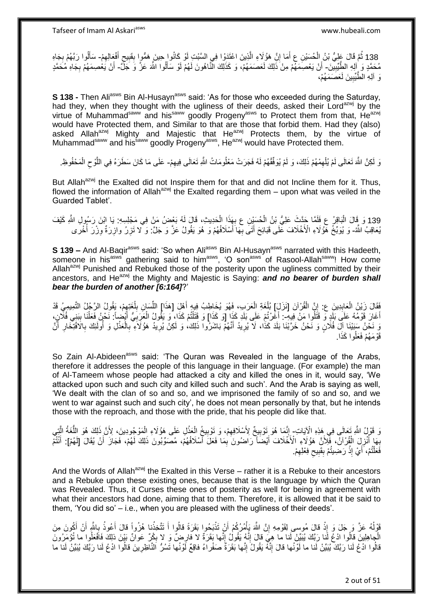138 ثُمَّ قَالَ عَلِيُّ بْنُ الْحُسَيْنِ عِ أَمَا إِنَّ هَؤُلَاءِ الَّذِينَ اعْتَدَوْا فِي السَّبْتِ أَوْ كَانُوا ٍحِينَ هَمُّوا بِقَبِيحِ أَفْعَالِهِمْ- سَأَلُوا رَبَّهُمْ بِجَاهِ ِ َ ْ ِ َ ِ ِ ِ ِ َ مُحَمَّدٍ وَ إِلِهِ الطِّّيِّبِينَ- أَنْ يَعْصِمَهُمْ مِنْ ذَٰلِكَ لَعَصَمَهُمْ، وَ كَذَلِكَ النَّاهُونَ لَهُمْ لَوْ سَأَلُوا اللَّهَ عَزَّ وَ جَلَّ أَنْ يَعْصِمَهُمْ بِجَاهِ مُحَمَّدٍ **!** َ ِ وَ آلِهِ الطُّيِّبِينَ لَعَصَمَهُمْ، **!** 

**S 138 -** Then Ali<sup>asws</sup> Bin Al-Husayn<sup>asws</sup> said: 'As for those who exceeded during the Saturday, had they, when they thought with the ugliness of their deeds, asked their Lord<sup>azwj</sup> by the virtue of Muhammad<sup>saww</sup> and his<sup>saww</sup> goodly Progeny<sup>asws</sup> to Protect them from that, He<sup>azwj</sup> would have Protected them, and Similar to that are those that forbid them. Had they (also) asked Allah<sup>azwj</sup> Mighty and Majestic that He<sup>azwj</sup> Protects them, by the virtue of Muhammad<sup>saww</sup> and his<sup>saww</sup> goodly Progeny<sup>asws</sup>, He<sup>azwj</sup> would have Protected them.

ِ وَ لَكِنَّ اللَّهَ تَعَالَى لَمْ يُلْهِمْهُمْ ذَلِكَ، وَ لَمْ يُوَفِّقْهُمْ لَهُ فَجَرَتْ مَعْلُومَاتُ اللَّهِ تَعَالَى فِيهِمْ- عَلَى مَا كَانَ سَطَرَهُ فِي اللَّوْحِ الْمَحْفُوظِ. ِ ْ ْ  $\zeta$ ه

But Allah<sup>azwj</sup> the Exalted did not Inspire them for that and did not Incline them for it. Thus, flowed the information of Allah<sup>azwj</sup> the Exalted regarding them – upon what was veiled in the Guarded Tablet'.

139 وَ قَالَ الْبَاقِرُ عِ فَلَمًا جَدَّثَ عَلِيُّ بْنُ الْحُسَيْنِ عِ بِهَذَا الْحَدِيثِ، قَالَ لَهُ بَعْضُ مَنْ فِي مَجْلِسِهِ. يَا ابْنَ رَسُولِ اللَّهِ كَيْفَ ْ ْ :<br>ا يُعَاقِبُ اللَّهُ- وَ يُوَبِّخُ هَؤُلَاءِ الْأَخْلَافَ عَلَى قَبَائِحَ أَتَنَى بِهَا أَسْلَافُهُمْ وَ هُوَ يَقُولُ عَزَّ وَ حَلَّ: وَ لا تَزِرُ وازِرَةٌ وِزْرٌ أُخْرَى َ ُ<br>ا ِ ِ **ٍ** َ

**S 139 –** And Al-Bagir<sup>asws</sup> said: 'So when Ali<sup>asws</sup> Bin Al-Husayn<sup>asws</sup> narrated with this Hadeeth, someone in his<sup>asws</sup> gathering said to him<sup>asws</sup>, 'O son<sup>asws'</sup> of Rasool-Allah<sup>saww</sup>! How come Allah<sup>azwj</sup> Punished and Rebuked those of the posterity upon the ugliness committed by their ancestors, and He<sup>azwj</sup> the Mighty and Majestic is Saying: **and no bearer of burden shall** *bear the burden of another [6:164]*?'

ِّفَقَالَ زَيْنُ الْعَابِدِينَ ع: إِنَّ الْقُرْآنَ [نَزَلَىَ] بُلْغَةِ الْعَرَبِ، فَهُوَ يُخَاطِبُ فِيهِ أَهْلِ [هَذَا] اللَّسَانِ بِلْغَتِهِمْ، يَقُولُ الرَّجُلُ التَّمِيمِيُ قَدْ ْ ِ **∣** ْ ِ  $\overline{a}$ ِ ِّ َ ْ أَغَارَ قَوْمُهُ عَلَى بَلَدٍ وَ قَتَلُوا مَنْ فِيهِ-: أَغَرْتُمْ عَلَى بَلَدٍ كَذَا [وَ كَذَا] وَ قَتَلْتُمْ كَذَا، وَ يَقُولُ الْعَرَبِيُّ أَيْضِاً: نَحْنُ فَعَلْنَا بِبَنِي فُلِّانٍ، ْ ِ ْ َ ِ ْ وَ نَحْنُ سَبَيْنَا آلَ فُلَانٍ وَ نَحْنُ خَرَّبْنَا بَلَدَ كَذَا، لَا يُرِيدُ أَنَّهُمْ بَاشَرُوا ذَلِكَ، وَ لَكِنْ يُرِيدُ هَؤُلاَءِ بِالْعَذْلِ وَ أُولَئِكَ بِالَافْتِخَارِ أَنَّ ِ َ **∶ ٔ:** ْ ِ َ ِ ِ اُ قَوْمَهُمْ فَعَلُوا كَذَا.

So Zain Al-Abideen<sup>asws</sup> said: 'The Quran was Revealed in the language of the Arabs, therefore it addresses the people of this language in their language. (For example) the man of Al-Tameem whose people had attacked a city and killed the ones in it, would say, 'We attacked upon such and such city and killed such and such'. And the Arab is saying as well, 'We dealt with the clan of so and so, and we imprisoned the family of so and so, and we went to war against such and such city', he does not mean personally by that, but he intends those with the reproach, and those with the pride, that his people did like that.

وَ قَوْلُ اللَّهِ تَعَالَى فِي هَذِهِ الْإِيَاتِ ۚ إِنَّمَا هُوَ تَوْبِيخٌ لِأَسْلَافِهِمْ، وَ تَوْبِيخُ الْعَذْلِ عَلَى هَؤُلَاءِ الْمَوْجُودِينَ، لِأَنَّ ذَلِكَ هُوَ اللُّغَةُ الَّذِي ُّ ْ **ٔ** ْ **!** ِ **! ∶** ه بِّهَا أُنْزِلَ الْقُرْآنُ، فَّلِأَنَّ هَؤُلَاءِ الْأَخْلَافَ أَيْضَاً رَاضُونَ بِمَا فَعَلَ أَسْلَافُهُمْ، مُصَوِّبُونَ ذَلِكَ لَهُمْ، فَجَازَ أَنْ يُقَالَ [لَهُمْ]: أَنْتُمْ َ ْ ِ ُ<br>ا **∶** َ َ ِ َ فَعَلْتُمْ، أَيْ إِذْ رَضِيتُمْ بِقَبِيحِ فِعْلِهِمْ. ِ ِ **! ∣** ْ َ ْ

And the Words of Allah<sup>azwj</sup> the Exalted in this Verse – rather it is a Rebuke to their ancestors and a Rebuke upon these existing ones, because that is the language by which the Quran was Revealed. Thus, it Curses these ones of posterity as well for being in agreement with what their ancestors had done, aiming that to them. Therefore, it is allowed that it be said to them, 'You did so' – i.e., when you are pleased with the ugliness of their deeds'.

قَوْلُهُ عَزَّ وَ جَلَ وَ إِذْ قَالَ مُوسى لِقَوْمِهِ إِنَّ اللَّهَ يَأْمُرُكُمْ أَنْ تَذْبَحُوا بَقَرَةً قَالُوا أَ تَتَّخِذُنا هُزُواً قَالَ أَعُوذُ بِاللَّهِ أَنْ أَكُونَ مِنَ **ٔ : : :** َ َ ِ َ َ ْ َ ْ ِ الْجاهِلِينَ قالُوا ادْعُ لَّنا رَبَّكَ يُبَيِّنْ لَنا ما هِيَ قالَ إِنَّهُ يَقُولُ إِنَّها بَقَرَةٌ لا فارِضٌ وَ لا بِكْرٌ عَوانٌ بَيْنَ ذلِكَ فَافْعَلُوا ما تُؤْمَرُونَ ֺ֧֧֧֧֧֧֦֧֚֚֚֚֚֚֚֚֚֚֚֝֝֬֓֡֡֓֬֓֓֡֟֓֡֡֡֡֬֓֓֡֟֓֡֟֓֡֟֓֡֡֡֬֓֓֡֬֩֓֓֬֓֬֩ ِ ِ ِ قالُوا ادْعُ لَنا رَبَّكَ يُبَيِّنْ لَنا ما لَوْنُها قالَ إِنَّهُ يَقُولُ إِنَّها بَقَرَةٌ صَفْراءُ فاقِعٌ لَوْنُها تَسُرُّ الْنَاظِرِينَ قالُوا ادْعُ لَنا رَبَّكَ يُبَيِّنْ لَنا ما ِ ِ ِ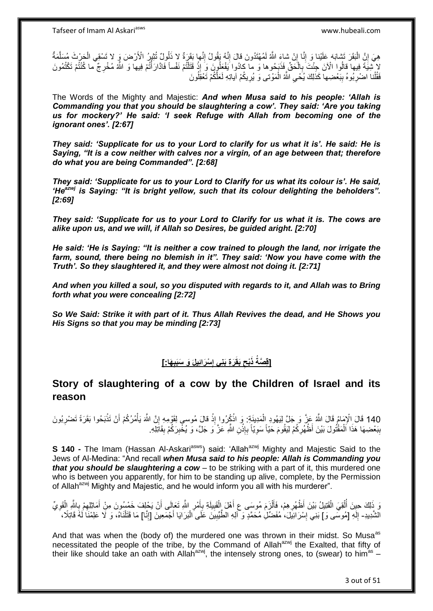ُ هِيَ إِنَّ الْبَقَرَ تَشابَهَ عَلَيْنا وَ إِنَّا إِنْ شاءَِ اللَّهُ لَمُهْتَدُونَ قالَ إِنَّهُ يَقُولُ إِنَّها بَقَرَةٌ لا ذَلُولٌ تُثِيرُ الْأَرْضَ وَ لا تَسْقِي الْجَرْثَ مُسَلَّمَةٌ ِ ِ ِ ِ :<br>ا ا ه ْ لا تُنِيَةَ فِيها قالُوا الْآنَ جِئْتَ بِالْحَقِّ فَذَبَحُوها وَ ما كادُوا يَفْعَلُونَ وَ إِذْ قَتَلْتُمْ نَفْساً فَاذَارَأَتُمْ فِيها وَ اللَّهُ مُخْرِجٌ ما كُنْتُمْ تَكْتُمُونَ<br>كُنْفُسِيَةَ فِيها قَالُوا الْآنَ جَنْنِدِ ْ **∶** ْ ْ **ٔ:** فَقُلْنا اضْرِبُوهُ بِبَعْضِها كَذَلِكَ يُحْيِ اللَّهُ الْمَوْتى وَ يُرِيكُمْ آياتِهِ لَعَلَّكُمْ تَعْقِلُونَ ْ ِ ِ ِ ْ ِ

The Words of the Mighty and Majestic: *And when Musa said to his people: 'Allah is Commanding you that you should be slaughtering a cow'. They said: 'Are you taking us for mockery?' He said: 'I seek Refuge with Allah from becoming one of the ignorant ones'. [2:67]* 

*They said: 'Supplicate for us to your Lord to clarify for us what it is'. He said: He is Saying, "It is a cow neither with calves nor a virgin, of an age between that; therefore do what you are being Commanded". [2:68]*

*They said: 'Supplicate for us to your Lord to Clarify for us what its colour is'. He said, 'Heazwj is Saying: "It is bright yellow, such that its colour delighting the beholders". [2:69]* 

*They said: 'Supplicate for us to your Lord to Clarify for us what it is. The cows are alike upon us, and we will, if Allah so Desires, be guided aright. [2:70]*

*He said: 'He is Saying: "It is neither a cow trained to plough the land, nor irrigate the farm, sound, there being no blemish in it". They said: 'Now you have come with the Truth'. So they slaughtered it, and they were almost not doing it. [2:71]*

*And when you killed a soul, so you disputed with regards to it, and Allah was to Bring forth what you were concealing [2:72]*

*So We Said: Strike it with part of it. Thus Allah Revives the dead, and He Shows you His Signs so that you may be minding [2:73]*

### **[قِصَةُ ذَبْحِ بَقَرَةِ بَنِی إِسْرَائِيلَ وَ سَنَبِيهَا: ] ِ ِ ِ**

### **Story of slaughtering of a cow by the Children of Israel and its reason**

ذَب ُحوا َبَق َرًة َت ْض ِرُبو َن ْن َت ُم ُر ُكْم أ هن هَّللاَ ذ قا َل ُموسى لَِقْو ِمِه إ ذُك ُروا إ ل َمِديَن ِة: َو ا َما ُم َقا َل هَّللاُ َع هز َو َج هل لَِي ُهوِد ا ْْلِ 140 َقا َل ا َيأ **ٔ** َ ِ **ٔ** ِ **ٔ:** ْ ا<br>ا بِبَعْضِهَا هَذَا ٱلْمَقْتُولَ بَيْنَ أَظْهُرِكُمْ لِيَقُومَ حَيّاً سَوِيّاً بِإِذْنِ اللَّهِ عَزَّ وَ جَلَّ، وَ يُخْبِرَكُمْ بِقَاتِلِهِ. ِ **ٔ** ِ ِ **∶** ْ **ِ** ِ

**S 140 -** The Imam (Hassan Al-Askari<sup>asws</sup>) said: 'Allah<sup>azwj</sup> Mighty and Majestic Said to the Jews of Al-Medina: "And recall *when Musa said to his people: Allah is Commanding you that you should be slaughtering a cow* – to be striking with a part of it, this murdered one who is between you apparently, for him to be standing up alive, complete, by the Permission of Allah<sup>azwj</sup> Mighty and Majestic, and he would inform you all with his murderer".

اُ وَ ذَلِكَ حِينَ أُلْقِيَ الْقَتِيلُ بَيْنَ أَظْهُرِ هِمْ، فَأَلْزَمَ مُوسَى عِ أَهْلَ الْقَبِيلَةِ بِأَمْرِ اللَّهِ تَعَالَى أَنْ يَحْلِفَ خَمْسُونَ مِنْ أَمَاثِلِهِمْ بِاللَّهِ الْقَوِيِّ ِ َ ِ **!** ْ َ ْ َ ِ ْ ْ ُ ِ ْ ِ ِ َ الشَّدِيدِ- إِلَهِ [مُوسَّى وَ] بَنِي إِسْرَائِيَلَ، مُفَضِّلِ مُحَمَّدٍ وَ اللهِ الطَّيِّبِينَ عَلَى الْبَرَايَا أَجْمَعِينَ [إِنَّا] مَا قَتَلْنَاهُ، وَ لَا عَلِمْنَا لَمُهَ قَاتِلًا، ِ لَ י<br>י ْ ِ َ ْ ِ

And that was when the (body of) the murdered one was thrown in their midst. So Musa<sup>as</sup> necessitated the people of the tribe, by the Command of Allah<sup>azwj</sup> the Exalted, that fifty of their like should take an oath with Allah<sup>azwj</sup>, the intensely strong ones, to (swear) to him<sup>as</sup> -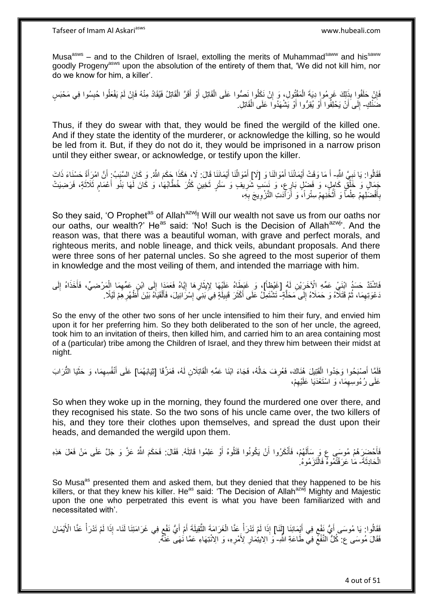Musa<sup>asws</sup> – and to the Children of Israel, extolling the merits of Muhammad<sup>saww</sup> and his<sup>saww</sup> goodly Progeny<sup>asws</sup> upon the absolution of the entirety of them that, 'We did not kill him, nor do we know for him, a killer'.

فَإِنْ حَلَقُوا بِذَلِكَ غَرِمُوا دِيَةَ الْمَقْتُولِ، وَ إِنْ نَكَلُوا نَصُّوا عَلَى الْقَاتِلِ أَوْ أَقَرَّ الْقَاتِلُ فَيُقَادُ مِنْهُ فَإِنْ لَمْ يَفْعَلُوا حُبِسُوا فِي مَحْبَسٍ ْ َ ْ ِ ْ ِ ِ ِ ∣ļ ضَنْكٍ- إِلَى أَنْ يَحْلِفُوا أَوْ يُقِرُّوا أَوْ يَشْهَدُوا عَلَى الْقَاتِلِ. ْ َ  $\frac{1}{2}$ 

Thus, if they do swear with that, they would be fined the wergild of the killed one. And if they state the identity of the murderer, or acknowledge the killing, so he would be led from it. But, if they do not do it, they would be imprisoned in a narrow prison until they either swear, or acknowledge, or testify upon the killer.

فَقَالُوا: يَا نَبِيَّ اللَّهِ- أَ مَا وَقَتْ أَيْمَانُنَا أَمْوَالَنَا وَ [لَا] أَمْوَالُنَا أَيْمَانَنَا قَالَ: لَا، هَكَذَا جَكَمَ اللَّهُ. وَ كَانَ السَّبَبُ: أَنَّ امْرِأَةً حَسْنَاءَ ذَاتَ ¦ َ َ ُ<br>ا َ َ َ َ َ َ جَمَالٍ وَ خََلْقٌ كَامِلٍ، وَ فَضْلٍ بَارٍعٍ، وَ نَسَبٍ شَرِيفٍ وَ سَتْرٍ ثَخِينٍ كَثُرَ خُطَّابُهَا، وَ كَانَ لَهَا بَنُو أَعْمَامٍ ثَلَاثَةٍ، فَرَضِيَتْ ان<br>سال َ ِ ֺ֞֓֓֓֓֓֓֓֓׆֬֓ ا<br>ا َ ֧֖֧֖֖֖֖֖֧֖֖֧֧֧֧ׅ֧֧֧֧֧֧֧֧֧֧֧֧֚֚֚֚֚֚֚֚֝֝֟֓֝֓֝֓֝֬֟֓֟֓֝֬֝֬֝֓֝֬֜֓֝֬֜֓֝֬֝֓֝֬֝֓֝֬֝֬֓֝֬֝֬֝ بِأَفْضَلِهِمْ عِلْماً وَ أَتْخَذِهِمْ سِتْراً، وَ أَرَأَدَتِ التَّزْوِيجَ بِهِ، ِ ْ َ ْ ِ َ **∶ ∶ ∶** َ

So they said, 'O Prophet<sup>as</sup> of Allah<sup>azwj</sup>! Will our wealth not save us from our oaths nor our oaths, our wealth?' He<sup>as</sup> said: 'No! Such is the Decision of Allah<sup>azwj</sup>'. And the reason was, that there was a beautiful woman, with grave and perfect morals, and righteous merits, and noble lineage, and thick veils, abundant proposals. And there were three sons of her paternal uncles. So she agreed to the most superior of them in knowledge and the most veiling of them, and intended the marriage with him.

اَشْتَذَّ حَسَدُ ابْنَيْ عَمِّهِ الْآخَرَيْنِ لَهُ [غَيْظاً]، وَ غَبَطَاهُ عَلَيْهَا لِإِيثَارِهَا إِيَّاهُ فَعَمَدَا إِلَى ابْنِ عَمِّهِمَا الْمَرْضِيِّ، فَأَخَذَاهُ إِلَى<br>وَمَنْ الْمَرْضِيَّةِ الْمَرْضَاتِ الْمَجْمَعَةِ ِ ِ َ ِ َ ْ ِ ِ دَعْوَتِهِمَا، ثُمَّ قَتَلاَّهُ وَ حَمَلاهُ إِلَى مَحَلَّةٍ- تَشْتَمِلُ عَلَى أَكْثَرَ قَبِيلَةٍ فِيَ بَنِيِّ إِسْرَاشِلَ، فَأَلْقَيَاهُ بَيْنَ أَظْهُرِ هِمْ لَيْلًا ه ِ .<br>• • • • ِ َ ِ ْ َ ِ **!** َ

So the envy of the other two sons of her uncle intensified to him their fury, and envied him upon it for her preferring him. So they both deliberated to the son of her uncle, the agreed, took him to an invitation of theirs, then killed him, and carried him to an area containing most of a (particular) tribe among the Children of Israel, and they threw him between their midst at night.

فَلَمَّا أَصْبَحُوا وَجَدُوا الْقَتِيلَ هُنَاكَ، فَعُرِفَ حَالُهُ، فَجَاءَ ابْنَا عَمِّهِ الْقَاتِلَانِ لَهُ، فَمَزَّقَا [ثِيَابَهُمَا] عَلَى أَنْفُسِهِمَا، وَ حَثَيَا التَّرَابَ :<br>ا َ َ ِ َ ْ ان<br>ا **∶** عَلَى رُءُوسِهِمَا، وَ اسْتَعْدَيَا عَلَيْهِمْ، ِ ِ

So when they woke up in the morning, they found the murdered one over there, and they recognised his state. So the two sons of his uncle came over, the two killers of his, and they tore their clothes upon themselves, and spread the dust upon their heads, and demanded the wergild upon them.

فَأَحْضِرَهُمْ مُوسَى عِ وَ سَأَلَهُمْ، فَأَنْكَرُوا أَنْ يَكُونُوا قَتَلُوهُ أَوْ عَلِمُوا قَاتِلَهُ. فَقَالَ: فَحَكَمَ اللّهُ عَزّ وَ جَلَّ عَلَى مَنْ فَعَلَ هَذِهِ لَ َ َ اُ اُ َ الْحَادِثَةَ- مَا عَرَفْتُمُوهُ فَالْتَزَمُوهُ ۚ ْ ْ

So Musa<sup>as</sup> presented them and asked them, but they denied that they happened to be his killers, or that they knew his killer. He<sup>as</sup> said: 'The Decision of Allah<sup>azwj</sup> Mighty and Majestic upon the one who perpetrated this event is what you have been familiarized with and necessitated with'.

َ فَقَالُوا: يَا مُوسَى أَيُّ نَفْعٍ فِي أَيْمَانِنَا [لَنَا] إِذَا لَمْ تَدْرَأْ عَنَّا الْغَرَامَةَ الثَّقِيلَةَ أَمْ أَيُّ نَفْعٍ فِي غَرَامَتِنَا لَنَا الَّذِيمَانَ الْأَيْمَانَ ٍ َ ้<br>ะ َ َ ه ْ ْ ْ فَقَالَ مُوسَى ۚع ۚ كُلُّ النَّفْعُ فِي طَاعَةِ اللَّهِ- وَ الِايتِمَارِ لِأَمْرِهِ، وَ الِانْتِهَاءِ عَمَّا نُهَى عَنَّهُ  $\zeta$ ِ **∶**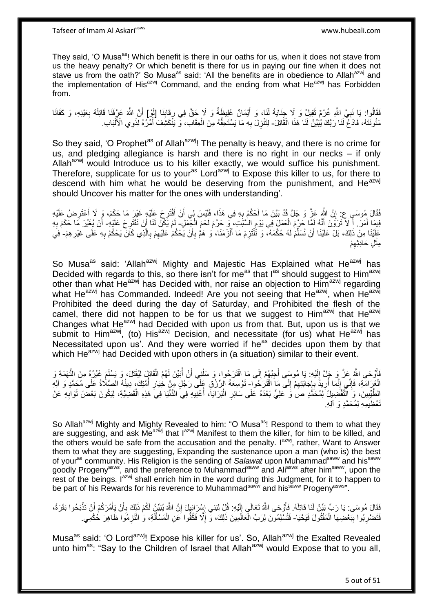They said, 'O Musa<sup>as</sup>! Which benefit is there in our oaths for us, when it does not stave from us the heavy penalty? Or which benefit is there for us in paying our fine when it does not stave us from the oath?' So Musa<sup>as</sup> said: 'All the benefits are in obedience to Allah<sup>azwj</sup> and the implementation of His<sup>azwj</sup> Command, and the ending from what  $He^{azwj}$  has Forbidden from.

فَقَالُوا: يَا نَبِيَّ اللَّهِ غُرْمٌ ثَقِيلٌ وَ لَا جِنَايَةَ لَنَا، وَ أَيْمَانٌ غَلِيظَةٌ وَ لَا حَقَّ فِي رِقَانِنَا [أَوْ] أَنَّ اللَّهَ عَرِّفَنَا قَاتِلَهُ بِعَيْنِهِ، وَ كَفَانَا ِ ِ ٌٔ وَ **∶ ∶** َ مَثُونَتَهُ، فَادْعُ لَّذَا رَبَّكَ يُبَيِّنْ لَذَا هَذَا الْقَاتِلَ- لِتَنْزِلَ بِهِ مَا يَسْتَحِقُّهُ مِنَ الْجَقَابَ، وَّ يَنْكَشِفَ أَمْرُهُ لِّذَوِي الْأَلْبَابِ. ْ ْ َ ْ ِ **∶** 

So they said, 'O Prophet<sup>as</sup> of Allah<sup>azwj</sup>! The penalty is heavy, and there is no crime for us, and pledging allegiance is harsh and there is no right in our necks – if only Allah<sup>azwj</sup> would Introduce us to his killer exactly, we would suffice his punishment. Therefore, supplicate for us to your<sup>as</sup> Lord<sup>azwj</sup> to Expose this killer to us, for there to descend with him what he would be deserving from the punishment, and  $He^{azwj}$ should Uncover his matter for the ones with understanding'.

فَقَالَ مُوسَىٍ ع: إِنَّ اللَّهَ عَزَّ وَ جَلَّ قَدْ بَيَّنَ مَا أَحْكُمُ بِهِ فِي هَذَا، فَلَيْسَ لِي أَنْ أَقْتَرِحَ عَلَيْهِ غَيْرَ مَا حَكَمَ، وَ ِلَا أَعْتَرِضُ عَلَيْهِ ِ َ اُ **∶** ِ ِ َ فِيمَا أَمَرَ ۚ أَ لَا تَرَوْنَ أَنَّهُ لَمَّا حَرَّمَ الْعَمَلَ فِي يَوْمِ السُّبْتِ، مِّي حَرَّمَ لَحْمَ الْجَمَلِ- لَمْ يَكُنْ لَنَا أَنْ نَقْتُرِحَ عَلَيْهِ- أَنْ يُغَيِّرَ مَا حَكَمَ بِهِ َ َ َ ِ ْ ْ ِ **∶** َ عَلَيْنَا مِنْ ذَلِكَ، بَلْ عَلَيْنَا أَنْ نُسَلِّمَ لَهُ حُكْمَهُ، وَ نَلْتَزِمَ مَا أَلْزَمَنَا، وَ هَمَّ بِأَنْ يَحْكُمَ عَلَيْهِمْ بِالَّذِي كَانَ يَحْكُمُ بِهِ عَلَى غَيْرِهِمْ- فِي أ ِ ْ َ :<br>ا ِّ اُ ه ِ ِ ِ ِ مِثْلِ حَادِثِهِمْ ِ **ٔ** 

So Musa<sup>as</sup> said: 'Allah<sup>azwj</sup> Mighty and Majestic Has Explained what He<sup>azwj</sup> has Decided with regards to this, so there isn't for me<sup>as</sup> that I<sup>as</sup> should suggest to Him<sup>azwj</sup> other than what He<sup>azwj</sup> has Decided with, nor raise an objection to Him<sup>azwj</sup> regarding what He<sup>azwj</sup> has Commanded. Indeed! Are you not seeing that He<sup>azwj</sup>, when He<sup>azwj</sup> Prohibited the deed during the day of Saturday, and Prohibited the flesh of the camel, there did not happen to be for us that we suggest to  $\lim_{n \to \infty}$  that  $\lim_{n \to \infty}$ Changes what He $^{azwj}$  had Decided with upon us from that. But, upon us is that we submit to  $\lim_{n \to \infty}$  (to) His<sup>azwj</sup> Decision, and necessitate (for us) what  $\lim_{n \to \infty}$  has Necessitated upon us'. And they were worried if he<sup>as</sup> decides upon them by that which He<sup>azwj</sup> had Decided with upon others in (a situation) similar to their event.

فَأَوْحَى اللَّهِ عَزَّ وَ جَلِّ إِلَيْهِ: يَا مُوسَى أَجِبْهُمْ إِلَى مَا اقْتَرَحُوا، وَ سَلْنِي أَنْ أُبَيِّنَ لَهُمُ الْقَاتِلَ لِيُقْتَلَ، وَ يَسْلَمَ غَيْرُهُ مِنَ التُّهَمَةِ وَ لَ  $\frac{1}{2}$ ز<br>ا ْ ُ َ ْ  $\frac{1}{2}$ الْغَرَامَةِ، فَإِنِّي إِنَّمَا أُرِيدُ بِإِجَابَتِهِمْ إِلَى مَا اقْتَرَكُوا- تَوْسِعَةَ الرِّرْقِ عَلَى رَجُلٍ مِنْ خِيَارِ أُمَّتِكَ، دِينُهُ الصَّلَاةُ عَلَى مُحَمَّدٍ وَ الْهِ ِ ِ  $\frac{1}{2}$ ِ **∶** ا<br>ا ِ ِ ُ ِ الطَّيِّبِينَ، وَ الَّتَّفْضِيلُ لِمُحَمَّدٍ صَ وَ عَلِيٍّ بَعْدَهُ عَلَى سَائِرِ الْبَرَايَا، أُغْنِيهِ فِي الدُّنْيَا فِيَ هَذِهِ الْقَضِيَّةِ، لِيَكُونَ بَعْضَ ثَوَابِهِ عَنْ **!** ِ َ ْ ا<br>أ ْ ِ ِ<br>تَعْظُيمه لِمُحَمَّد وَ آلِه.

So Allah<sup>azwj</sup> Mighty and Mighty Revealed to him: "O Musa<sup>as</sup>! Respond to them to what they are suggesting, and ask  $Me^{a z w j}$  that  $I^{a z w j}$  Manifest to them the killer, for him to be killed, and the others would be safe from the accusation and the penalty.  $I^{azmj}$ , rather, Want to Answer them to what they are suggesting. Expanding the sustenance upon a man (who is) the best of your<sup>as</sup> community. His Religion is the sending of *Salawat* upon Muhammad<sup>saww</sup> and his<sup>saww</sup> goodly Progeny<sup>asws</sup>, and the preference to Muhammad<sup>saww</sup> and Ali<sup>asws</sup> after him<sup>saww</sup>, upon the rest of the beings. I<sup>azwj</sup> shall enrich him in the word during this Judgment, for it to happen to be part of his Rewards for his reverence to Muhammad<sup>saww</sup> and his<sup>saww</sup> Progeny<sup>asws</sup>".

فَقَالَ مُوسَى: يَا رَبِّ بَيِّنْ لَنَا قَاتِلَهُ. فَأَوْجَى اللَّهُ تَعَالَى إِلَيْهِ: قُلْ لِبَنِي إِسْرَائِيِلَ إِنَّ اللَّهَ يُبَيِّنُ لَكُمْ ذَلِكَ بِأَنْ يَأْمُرَكُمْ أَنْ تَذْبَحُوا بَقَرَةً، ِ ِ لَ ِ َ **ٔ** َ **ٔ** َ ِ فَتَضْرِبُوا بِبَعْضِهَا الْمَقْتُولَ فَيَحْيَا- فَتُسْلِمُونَ لِرَبِّ الْعَالَمِينَ ذَلِكَ، وَّ إِلَّا فَكُفُوا َعَنِ الْمَسْأَلَةِ، وَ الْتَزِمُوا ظَاهِرَ حُكْمِي ْ **∣ ∶ ٍ** ْ لَ Í ْ ِ ْ

Musa<sup>as</sup> said: 'O Lord<sup>azwj</sup>! Expose his killer for us'. So, Allah<sup>azwj</sup> the Exalted Revealed unto him<sup>as</sup>: "Say to the Children of Israel that Allah<sup>azwj</sup> would Expose that to you all,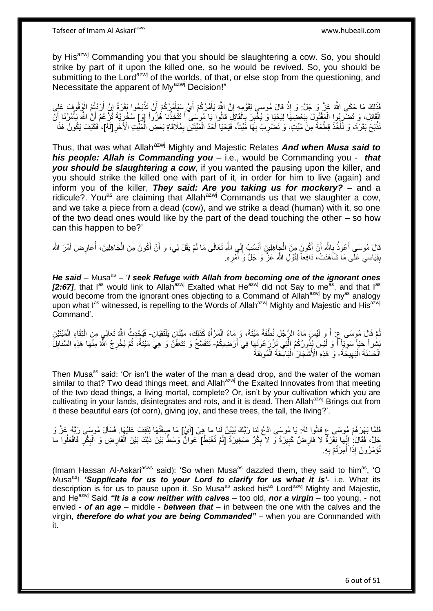by His<sup>azwj</sup> Commanding you that you should be slaughtering a cow. So, you should strike by part of it upon the killed one, so he would be revived. So, you should be submitting to the Lord<sup>azwj</sup> of the worlds, of that, or else stop from the questioning, and Necessitate the apparent of My<sup>azwj</sup> Decision!"

فَذَلِكَ مَا حَكَى اللَّهُ عَنَّ وَ جَلَّ: وَ إِذْ قَالَ مُوسى لِقَوْمِهِ إِنَّ اللَّهَ يَأْمُرُكُمْ أَيْ سَيَأْمُرُكُمْ أَنْ تَذْبَحُوا بَقَرَةً إِنْ أَرَدْتُمُ الْوُقُوفَ عَلَى<br>أَيَنَا الْمَرْضَى اللَّهُ عَنَّ وَ جَلَّ: ْ ْ ِ ْ ْ َ ِ **ٔ** َ **∶** الْقَاتِلِ، وَ تَضْرِبُواِ الْمَقْتُوِلَ بِبَعْضِهَا لِيَحْيَا وَ يُخْبِرَ بِالْقَاتِلِ قالُوا بَا مُوسَى أَ تَتَّخِذُنا هُزُواً [وَ] سُخْرِيَّةً تَزْعُمُ أَنَّ اللَّهَ يَأْمُرُنَا أَنَّ ِ **∣** ْ ِ :<br>ا َ ْ َ ِ َ َنذَبَحَ بَقَرَةً، وَ نَّأْخُذَ قِطْعَةً مِنْ مَيِّتٍ، وَ نَضْرِبَ بِهَا مَيِّتاً، فَيَحْيَا أَحَدُ الْمَيِّتَيْنِ بِمُلَاقَاةِ بَعْضِ الْمَيِّنَةِ الْأَخْرِ [لَهُ]، فَكَيْفَ يَكُونُ هَذَا ِ ْ َ ِ **∶** .<br>.<br>. **ٔ** ا<br>ا ِ

Thus, that was what Allah<sup>azwj</sup> Mighty and Majestic Relates **And when Musa said to** *his people: Allah is Commanding you* – i.e., would be Commanding you - *that you should be slaughtering a cow*, if you wanted the pausing upon the killer, and you should strike the killed one with part of it, in order for him to live (again) and inform you of the killer, *They said: Are you taking us for mockery?* – and a ridicule?. You<sup>as</sup> are claiming that Allah<sup>azwj</sup> Commands us that we slaughter a cow, and we take a piece from a dead (cow), and we strike a dead (human) with it, so one of the two dead ones would like by the part of the dead touching the other – so how can this happen to be?'

قالَ مُوسَى أَعُوذُ بِاللَّهِ أَنْ أَكُونَ مِنَ الْجِاهِلِينَ أَنْسُبُ إِلَى اللَّهِ تَعَالَى مَا لَمْ يَقُلْ لِي، وَ أَنْ أَكُونَ مِنَ الْجَاهِلِينَ، أُعَارِ ضَ أَمْرَ اللَّهِ ْ َ َ ِ ا<br>السياسي<br>السياسي َ ِ ا<br>أ ْ َ  $\frac{1}{2}$ َ َ بِقِيَاسِي عَلَّى مَا شَاَهَدْتُ، دَافِعاً لِقَوْلِ اللَّهِ عَزَّ وَ جَلَّ وَ أَمْرِهِ. **ٍ** 

He said – Musa<sup>as</sup> – '*I* seek Refuge with Allah from becoming one of the ignorant ones [2:67], that I<sup>as</sup> would link to Allah<sup>azwj</sup> Exalted what He<sup>azwj</sup> did not Say to me<sup>as</sup>, and that I<sup>as</sup> would become from the ignorant ones objecting to a Command of Allah<sup>azwj</sup> by my<sup>as</sup> analogy upon what l<sup>as</sup> witnessed, is repelling to the Words of Allah<sup>azwj</sup> Mighty and Majestic and His<sup>azwj</sup> Command'.

ُمَّ قَالَ مُوسَى ع: أَ وَ لَيْسَ مَاءُ الرَّجُلِ نُطْفَةً مَيِّتَةً، وَ مَاءُ الْمَرْأَةِ كَذَلِكَ، مَيِّتَانٍ يَلْتَقِيَانِ- فَيُحْدِثُ اللَّهُ تَعَالِي مِنِ الْتِقَاءِ الْمَيِّتَيْنِ ْ َ ْ **∫** ُ ْ ْ ُنِشُراً حَيّاً مَوَبّأٍ أَ وَ لَيْسَ بُذُورُكُمُ الَّتِي َتَزْرَعُونَـهَا فِي أَرَضِيكُمْ- تَتَفَسَّخُ وَ تَتَعَفَّنُ وَ هِيَّ مَيْتَةٌ، ثُمَّ يُخْرِجُ الثَّهُ مِنْهَا هَذِهِ السَّنَابِلَ ا<br>ا ِ َ **∶** ِ ا د ْ الْحَسَنَةَ الْبَهِيجَةَ- وَ ۖ هَذِهِ الْأَشْجَارَ ٰ الْبَاسِّقَةَ الْمُونِقَةَ ْ ِ ْ ا.<br>ا

Then Musa<sup>as</sup> said: 'Or isn't the water of the man a dead drop, and the water of the woman similar to that? Two dead things meet, and Allah $a^{2}$ <sup>wj</sup> the Exalted Innovates from that meeting of the two dead things, a living mortal, complete? Or, isn't by your cultivation which you are cultivating in your lands, disintegrates and rots, and it is dead. Then Allah<sup>azwj</sup> Brings out from it these beautiful ears (of corn), giving joy, and these trees, the tall, the living?'.

فَلَمَّا بَهَرَهُمْ مُوسَى عِ قالُوا لَهُ: يَا مُوسَى ادْعُ لَنا رَبَّكَ يُبَيِّنْ لَنا ما هِيَ [أَيْ] مَا صِفَتُهَا لِنَقِفَ عَلَيْهَا. فَسَأَلَ مُوسَى رَبَّهُ عَزَّ وَ َ Í جَلَّ، فَقَالَ: إِنَّهَا بَقَرَةٌ لا فَارِضٌ كَبِيرَةٌ وَ لا بِكْرٌ صَغِيرَةٌ [لَمْ تُغْبَطْ] عَوانٌ وَسَطٌ بَيْنَ ذلِكَ بَيْنَ الْفَارِضِ وَ الْبِكْرِ فَافْعَلُوا ما ِ ِ ِ **!** ُ ِ ِ ْ ِ ْ تُؤْمَرُونَ إِذَا أَمِرْتُمْ بِهِ. ِ ؚ<br>ٌ

(Imam Hassan Al-Askari<sup>asws</sup> said): 'So when Musa<sup>as</sup> dazzled them, they said to him<sup>as</sup>, 'O Musa<sup>as</sup>! 'Supplicate for us to your Lord to clarify for us what it is'- i.e. What its description is for us to pause upon it. So Musa<sup>as</sup> asked his<sup>as</sup> Lord<sup>azwj</sup> Mighty and Majestic, and He<sup>azwj</sup> Said "It is a cow neither with calves – too old, nor a virgin – too young, - not envied - *of an age* – middle - *between that* – in between the one with the calves and the virgin, *therefore do what you are being Commanded"* – when you are Commanded with it.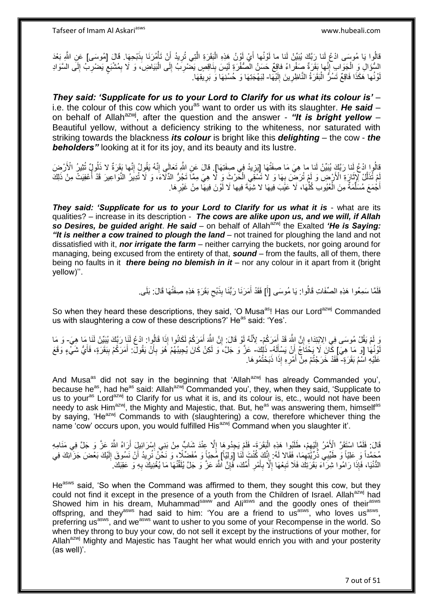لْأُوا يَا مُوسَى ادْعُ لَنا رِبَّكَ يُبَيِّنْ لَنا ما لَوْنُها أَيْ لَوْنُ هَذِهِ الْبَقَرَةِ الَّتِي تُرِيدُ أَنْ تَأْمُرَنَا بِذَبْحِهَا. قَالَ [مُوسَى] عَنِ اللَّهِ بَعْدَ ْ َ **ٍ** ه ْ َ السُّؤَالِ وَ الْجَوَابِ إِنَّها بَقَرَةٌ صَفْراءُ فاقِعٌ حَسَنُ الْصُفْرَةِ لَيْسَ بِذَاقِصٍ يَضْرِبُ إِلَى الْبَيَاضِ، وَ لَا بِمُشْبَعٍ يَضْرِبُ إِلَى السَّوَادِ ْ ِ لَ ِ ِ **≀** ِ ْ ِ ِ  $\frac{1}{2}$ لَ لَوْنُها هَكَذَا فَاقِعٌ تَسُرُّ الْبَقَرَةُ النَّاظِرِينَ إِلَيْهَا- لِبَهْجَتِهَا وَ حُسْنِهَا وَ بَرِيقِهَا. ِ :<br>ا لَ ِ ِ

*They said: 'Supplicate for us to your Lord to Clarify for us what its colour is'* – i.e. the colour of this cow which you<sup>as</sup> want to order us with its slaughter. He said – on behalf of Allah<sup>azwj</sup>, after the question and the answer - "It is bright yellow -Beautiful yellow, without a deficiency striking to the whiteness, nor saturated with striking towards the blackness *its colour* is bright like this *delighting* – the cow - *the*  **beholders**" looking at it for its joy, and its beauty and its lustre.

نَالُوا ادْعُ لَنا رَبَّكَ يُبَيِّنْ لَنا ما هِيَ مَا صِفَتُهَا [تِزِيدُ فِي صِفَتِهَا]. قالَ عَنِ الثَّمِ تَعالَى إِنَّهُ يَقُولُ إِنَّها بَقَرَةٌ لا ذَلُولٍ تُثِيرُ الْأَرْضِ<br>وَإِرَّتَنَ عَلَيْهَا بَقَدْ يَقْبُدُ الْأَر ِ ِ ِ مْ تُذَلِّلْ لِإِثَارَةِ الْأَرْضِ وَ لَمْ تُرضَّ بِهَا وَ لا تُسْقِي الْحَرْثَ وَ لَا هِيَ مِمَّا تَجُرُّ الذّلَاءَ، وَ لَا تُدِيرُ النَّواعِيرَ قَدْ أُعْفِيَتْ مِنْ ذَلِكَ َ ه **∶** ا<br>المسلمان<br>المسلمان أَجْمَعَ مُسَلَّمَةٌ مِنَ الْعُيُوبِ كُلِّهَا، لَا عَيْبَ فِيهَا لا شِيَّةَ فِيها لَا لَوْنَ فِيهَا مِنْ غَيْرِ هَا. َ **∶** ِّ ْ ه

**They said: 'Supplicate for us to your Lord to Clarify for us what it is - what are its** qualities? – increase in its description - *The cows are alike upon us, and we will, if Allah*  so Desires, be quided aright. He said – on behalf of Allah<sup>azwj</sup> the Exalted *'He is Saying:* **"It is neither a cow trained to plough the land** – not trained for ploughing the land and not dissatisfied with it, *nor irrigate the farm* – neither carrying the buckets, nor going around for managing, being excused from the entirety of that, *sound* – from the faults, all of them, there being no faults in it *there being no blemish in it* – nor any colour in it apart from it (bright yellow)''.

> فَلَمَّا سَمِعُوا هَذِهِ الصِّفَاتِ قَالُوا: يَا مُوسَى [أَ] فَقَدْ أَمَرَنَا رَبُّنَا بِذَبْحِ بَقَرَةٍ هَذِهِ صِفَتُهَا قَالَ: بَلَى ِ َ َ

So when they heard these descriptions, they said, 'O Musa<sup>as</sup>! Has our Lord<sup>azwj</sup> Commanded us with slaughtering a cow of these descriptions?' He<sup>as</sup> said: 'Yes'.

وَ لَمْ يَقُلْ مُوسَى فِي الِاِبْتِدَاءِ إِنَّ اللَّهَ قَدْ أَمَرَكُمْ- لِأَنَّهُ أَوْ قَالَ: إِنَّ اللَّهَ أَمَرَكُمْ لَكَانُوا إِذَا قَالُوا: ادْعُ لَنَا رَبِّكَ يُبَيِّنْ لَنَا مَا هِيَ- وَ مَا َ ِ ِ َ لَّوۡـٰٓئُهَا ۚ [وَ مَا ۖ هِيَۖ إِنَّكَ لَا يَحْتَاَجُۚ إِنْ يَسْأَلَهُ ۖ ذَٰلِكَ ۖ عَزَّ وَ جَلَّ، ۚ وَ لَكِنْ كَانَ يُجِيبُهُمْ هُوَ بِأَنْ يَقُولَ ۚ أَمَرَكُمْ بِبَقَرَةٍ، فَأَيُّ شَيْءٍ وَقَعَ لَ َ اُ َ أ ِ عَلَيْهِ اسْمُ بَقَرَةٍ- فَقَدْ خَرَجْتُمْ مِنْ أَمْرِهِ إِذَا ذَبَحْتُمُوهَا. ِ َ

And Musa<sup>as</sup> did not say in the beginning that 'Allah<sup>azwj</sup> has already Commanded you', because he<sup>as</sup>, had he<sup>as</sup> said: Allah<sup>azwj</sup> Commanded you', they, when they said, 'Supplicate to us to your<sup>as</sup> Lord<sup>azwj</sup> to Clarify for us what it is, and its colour is, etc., would not have been needy to ask Him<sup>azwj</sup>, the Mighty and Majestic, that. But, he<sup>as</sup> was answering them, himself<sup>as</sup> by saying, 'He<sup>azwj</sup> Commands to with (slaughtering) a cow, therefore whichever thing the name 'cow' occurs upon, you would fulfilled His<sup>azwj</sup> Command when you slaughter it'.

قَالَ: فَلَمَّا اسْتَقَرَّ الْأَمْرُ إِلَيْهِمْ، طَلَبُوا هَذِهِ الْبَقَرَةَ- فَلَمْ يَجِدُوهَا إِلَّا عِنْدَ شَابٍّ مِنْ بَنِي إِسْرَائِيلِ أَرَاهُ اللَّهُ عَزَّ وَ جَلَّ فِي مَنَامِهِ ْ ِ لَ  $\frac{1}{2}$ اً ِ  $\frac{1}{2}$ مُحَمَّداً وَ عَلِيَّاً وَ طَّيِّبِي ذُرِّيَّتِهِمَا، فَقَالا لَهُ: إِنَّكَ كُنْتَ لَٰنَا [َوَلِيّاً] مُحبّاً وَ مُفَضِّلًا، وَ نَحْنُ نُرِيدُ أَنْ نَسُوقَ إِلَيْكَ بَعْضَ جَزَالِكَ فِي<br>مُعتَداً وَ عَلَيْاً وَ طَيِّبِي ذُر  $\frac{1}{2}$  ِ لَ ِ َ ِ الدُّنْيَا، فَإِذَا رَامُوا شِرَآءَ بَقَرَتِكَ فَلَا تَبِعْهَا إِلَّا بِأَمْرِ أُمِّكَ، فَإِنَّ اللَّهَ عَزَّ وَ جَلَّ يُلَقِّنُهَا مَا يُغْنِيكَ بِهِ وَ عَقِبَكَ. ِ ُ ِ َ **∶** ِ **∶** ِ

He<sup>asws</sup> said, 'So when the Command was affirmed to them, they sought this cow, but they could not find it except in the presence of a youth from the Children of Israel. Allah<sup>azwj</sup> had Showed him in his dream, Muhammad<sup>saww</sup> and Ali<sup>asws</sup> and the goodly ones of their<sup>asws</sup> offspring, and they<sup>asws</sup> had said to him: 'You are a friend to us<sup>asws</sup>, who loves us<sup>asws</sup>, preferring us<sup>asws</sup>, and we<sup>asws</sup> want to usher to you some of your Recompense in the world. So when they throng to buy your cow, do not sell it except by the instructions of your mother, for Allah<sup>azwj</sup> Mighty and Majestic has Taught her what would enrich you with and your posterity (as well)'.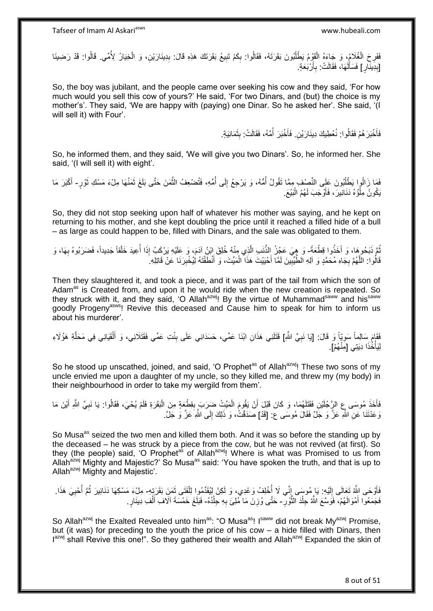فَفَرِحَ الْغُلَامُ، وَ جَاءَهُ الْقَوْمُ يَطْلُبُونَ بَقَرَتَهُ، فَقَالُوا: بِكَمْ تَبِيعُ بَقَرَتَكَ هَذِهِ قَالَ: بِدِينَارَيْنِ، وَ الْخِيَارُ لِأُمِّي. قَالُوا: قَدْ رَضِينَا ِ **!** ِ ُّ أ ْ ْ ِ ْ [بِدِينَآرٍ] فَسَأَلَهَا، فَقَالَتْ: بِأَرْبَعَةٍ. َ **∶** لَ اُ ِ

So, the boy was jubilant, and the people came over seeking his cow and they said, 'For how much would you sell this cow of yours?' He said, 'For two Dinars, and (but) the choice is my mother's'. They said, 'We are happy with (paying) one Dinar. So he asked her'. She said, '(I will sell it) with Four'.

> فَأَخْبَرَ هُمْ فَقَالُوا: نُعْطِيكَ دِينَارَيْنِ. فَأَخْبَرَ أُمَّهُ، فَقَالَتْ: بِثَمَانِيَةٍ. َ **!** ُ َ َ

So, he informed them, and they said, 'We will give you two Dinars'. So, he informed her. She said, '(I will sell it) with eight'.

فَمَا زَالُوا يَطْلُبُونَ عَلَى النَّصِفِ مِمَّا تَقُولُ أُمُّهُ، وَ يَرْجِعُ إِلَى أُمِّهِ، فَتُضْعِفُ الثَّمَنَ حَتَّى بَلَغَ ثَمَنُهَا مِلْءَ مَسْكِ ثَوْرٍ- أَكْبَرَ مَا اً<br>ا َ ه ُ  $\frac{1}{2}$ ا<br>ا َ يَكُونُ مِلْؤُهُ دَنَانِيرَ ، فَأَوْجَبَ لَهُمُ الْبَيْعَ. ْ :<br>ا َ

So, they did not stop seeking upon half of whatever his mother was saying, and he kept on returning to his mother, and she kept doubling the price until it reached a filled hide of a bull – as large as could happen to be, filled with Dinars, and the sale was obligated to them.

ثُمَّ ذَبَحُوهَا، وَ أَخَذُوا قِطْعَةً- وَ هِيَ عَجُزُ الذَّنبِ الَّذِي مِنْهُ خُلِقَ إِبْنُ آدَمَ، وَ عَلَيْهِ يَرْكَبُ إِذَا أُعِيدَ خَلْقاً جَدِيداً، فَضَرَبُوهُ بِهَا، وَ َ ُ ْ ُ ه ِ قَالُوا: اللَّهُمَّ بِجَاهِ مُحَمَّدٍ وَ آلِهِ الطَّيِّبِينَ لَمَّا أَحْيَيْتَ هَذَا الْمَيِّتَ، وَ أَنْطَّقْتَهُ لِيُخْبِرَنَا عَنْ قَاتِلِهِ ۖ َ ْ َ ِ **∶** ه ِ

Then they slaughtered it, and took a piece, and it was part of the tail from which the son of Adam<sup>as</sup> is Created from, and upon it he would ride when the new creation is repeated. So they struck with it, and they said, 'O Allah<sup>azwj</sup>! By the virtue of Muhammad<sup>saww</sup> and his<sup>saww</sup> goodly Progeny<sup>asws</sup>! Revive this deceased and Cause him to speak for him to inform us about his murderer'.

فَقَامَ سَالِماً سَوِيّاً وَ قَالَ: [يَا نَبِيَّ اللَّهِ] قَتَلَنِي هَذَانِ ابْنَا عَمِّي، حَسَدَانِي عَلَى بِنْتِ عَمِّي فَقَتَلَانِي، وَ أَلْقَيَانِي فِي مَحَلَّةِ هَؤُلَاءِ<br>فَأَوْجَزَتِ ِ **∶** ه ْ َ ِ لِيَأْخُذَا دِيَتِي [مِّنْهُمْ]. :<br>.

So he stood up unscathed, joined, and said, 'O Prophet<sup>as</sup> of Allah<sup>azwi</sup>! These two sons of my uncle envied me upon a daughter of my uncle, so they killed me, and threw my (my body) in their neighbourhood in order to take my wergild from them'.

فَأَخَذَ مُوسَى عِ الرَّجُلَيْنِ فَقَتَلَهُمَا، وَ كَانَ قَبْلَ أَنْ يَقُومَ الْمَيِّتُ ضَرَبَ بِقِطْعَةٍ مِنَ الْبَقَرَةِ فَلَمْ يُحْيَ، فَقَالُوا: يَا نَبِيَّ اللَّهِ أَيْنَ مَا ْ ِ ْ َ ِ َ وَ عَدْتَنَا عَنِ اللَّهِ عَزَّ وَ جَلَّ فَقَالَ مُوسَى ع: [قَدْ] صَدَقْتُ، وَ ذَلِكَ إِلَى اللَّهِ عَزَّ وَ جَلَّ. ِ

So Musa<sup>as</sup> seized the two men and killed them both. And it was so before the standing up by the deceased – he was struck by a piece from the cow, but he was not revived (at first). So they (the people) said, 'O Prophet<sup>as</sup> of Allah<sup>azwj</sup>! Where is what was Promised to us from Allah<sup>azwj</sup> Mighty and Majestic?' So Musa<sup>as</sup> said: 'You have spoken the truth, and that is up to Allah<sup>azwj</sup> Mighty and Majestic'.

فَأَوْحَى الِثَّهُ تَعِالَى إِلَيْهِ: يَا مُوسَى إِنِّي لَا أُخْلِفُ وَعْدِي، وَ لَكِنْ إِلِيُقَدِّمُوا الْفَتَى ثَمَنَ بَقَرَتِنِهِ- مِلْءَ مَسْكِهَا دَنَانِيرَ ثُمَّ أُحْيِيَ هَذَا. َ ْ ا<br>ا ِ لَ ∣∣<br>∶ ز<br>ا ِ ُ **∶** فَجَمَعُوا أَمْوَالَهُمْ، فَوَسَّعَ الثَّهُ جِلْدَ الثَّوْرِ - حَتَّى وُزِنَ مَا مُٰلِئَ بِهِ جِلْدُهُ- فَبَلَغَ خَمْسَةَ آلَافِ أَلْفِ دِينَارٍ. ه ْ َ ِ ْ **∶** ْ َ

So Allah<sup>azwj</sup> the Exalted Revealed unto him<sup>as</sup>: "O Musa<sup>as</sup>! I<sup>saww</sup> did not break My<sup>azwj</sup> Promise, but (it was) for preceding to the youth the price of his cow – a hide filled with Dinars, then I<sup>azwj</sup> shall Revive this one!". So they gathered their wealth and Allah<sup>azwj</sup> Expanded the skin of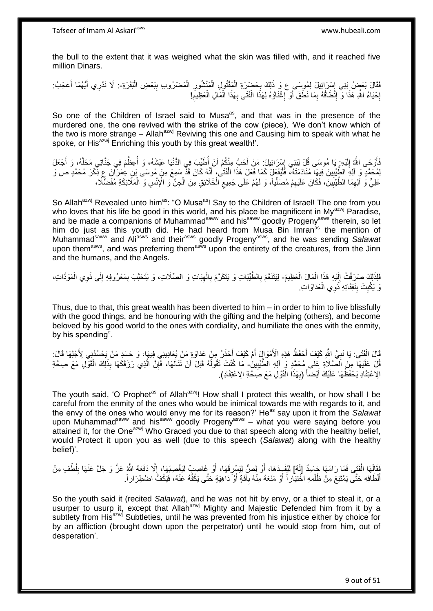the bull to the extent that it was weighed what the skin was filled with, and it reached five million Dinars.

فَقَالَ بَعْضُ بَنِي إِسْرَائِيلَ لِمُوسَى ع وَ ذَلِكَ بِحَضْرَةِ الْمَقْتُولِ الْمَنْشُورِ الْمَصْرُوبِ بِبَعْضِ الْبَقَرَةِ-. لَا نَدْرِي أَيُّهُمَا أَعْجَبُ.<br>وَمَا مَعَ عَزَيْبِ وَجَمَعُهُ عَمَلَهُ مِنْ يَوْمَ مِنْ الْ ِ ِ ْ ِ ْ ِ ْ ْ َ َ إِحْيَاءُ اللَّهِ هَذَا وَ إِنْطَاقُهُ بِمَا نَطَقَ أَوْ إِغْنَاوُهُ لِهَذَا الْفَتَى بِهَذَا الْمَالِ الْعَظِيمِ! ِ ِ **·** ِ ْ ْ ِ ْ ِ َ

So one of the Children of Israel said to Musa<sup>as</sup>, and that was in the presence of the murdered one, the one revived with the strike of the cow (piece), 'We don't know which of the two is more strange – Allah<sup>azwj</sup> Reviving this one and Causing him to speak with what he spoke, or His<sup>azwj</sup> Enriching this youth by this great wealth!'.

فَأَوْحَى اللَّهُ إِلَيْهِ ۚ يَا مُوسَى قُلْ لِبَنِي إِسْرَائِيلَ: مَنْ أَحَبَّ مِنْكُمْ أَنْ أُطَيِّبَ فِي الدُّنْيَا عَيْشَهُ، وَ أُعِظَّمَ فِي جَنَّاتِي مَحَلَّهُ، وَ أَجْعَلَ ان<br>ا َ ِ لَ  $\frac{1}{2}$ َ َ ه المية السابقة التي تعليم المسابقة التي تعليم المسابقة التي تعليم المسابقة التي تعليم المسابقة التي تعليم المسا<br>التي تعليم التي تعليم التي تعليم التي تعليم التي تعليم التي تعليم التي تعليم التي تعليم التي تعليم التي تعليم لِمُحَمَّدٍ وَ آلِهِ الطَّيِّبِينَ فِيهَا مُنَادَمَتَهُ، فَلْيَفْعَلْ كَمَا فَعَلَ هَذَا الْفَتَىٰ، أَنَّهُ كَانَ قَدّْ سَمِعَ مِنْ مُوسَى بْنِ عِمْرَآنَ عِ نِّكْرَ مُحَمَّدٍ ص وَ ا<br>ا **!** َ ْ عَلِيٍّ وَ اَلِهِمَا الطَّيِّبِينَ، فَكَانَ عَلَيْهِمْ مُصَلِّياً، وَ لَهُمْ عَلَى جَمِيعِ الْخَلَائِقِ مِنَ الْجِنَّ وَ الْإِنْسِ وَ الْمَلَائِكَةِ مُفَضِّلًا، ْ ْ ِ ِّ ِ ِ ِ ْ

So Allah<sup>azwj</sup> Revealed unto him<sup>as</sup>: "O Musa<sup>as</sup>! Say to the Children of Israel! The one from you who loves that his life be good in this world, and his place be magnificent in My<sup>azwj</sup> Paradise, and be made a companions of Muhammad<sup>saww</sup> and his<sup>saww</sup> goodly Progeny<sup>asws</sup> therein, so let him do just as this youth did. He had heard from Musa Bin Imran<sup>as</sup> the mention of Muhammadsaww and Aliasws and theirasws goodly Progenyasws, and he was sending *Salawat* upon them<sup>asws</sup>, and was preferring them<sup>asws</sup> upon the entirety of the creatures, from the Jinn and the humans, and the Angels.

فَلِذَلِكَ صَرَفْتُ إِلَيْهِ هَذَا الْمَالَ الْعَظِيمَ- لِيَتَنَعَّمَ بِالطَّّيِّبَاتِ وَ يَتَكَرَّمَ بِالْهِيَاتِ وَ الصِّلَاتِ، وَ يَتَحَبَّبَ بِمَعْرُوفِهِ إِلَى ذَوِي الْمَوَدَّاتِ، ْ ْ لَ ׀<br>ׇ֧֧֢֓֝֓ َ ْ ِ ِ ِ ْ ِ ِ نَ يَكْبِتَ بِنَفِقَاتِهِ ذَوِي الْعَدَاوَاتِ. **ِ** ْ **∣** 

Thus, due to that, this great wealth has been diverted to him – in order to him to live blissfully with the good things, and be honouring with the gifting and the helping (others), and become beloved by his good world to the ones with cordiality, and humiliate the ones with the enmity, by his spending".

قَالَ الْفَتَى: يَا نَبِيَّ اللَّهِ كَيْفَ أَحْفَظُ هَذِهِ الْأَمْوَالَ أَمْ كَيْفَ أَحْذَرُ مِنْ عَدَاوَةِ مَنْ يُعَادِينِي فِيهَا، وَ حَسَدِ مَنْ يَحْسُدُنِي لِأَجْلِهَا قَالَ: َ َ َ **∶** ْ قُلْ عَلَيْهَا مِنَ الصَّلَاةِ عَلَى مُحَمَّدٍ وَ آلِهِ الْطَّيِّبِينِٰ۔ مَا كُنْتَ تَقُولُهُ قَبْلَ أَنْ تَنَالَهَا، فَإِنَّ الَّذِي رَزَقَكَهَا بِذَلِكَ الْقَوْلِ مَعَ صِحَّةِ ِ ْ ه ∣lٍ َ ا<br>ا الِاعْتِقَادِ يَحْفَظُهَا عَلَيْكَ أَيْضًا (بِهَذَا الْقَوْلِ مَعَ صَحَّةِ الِاعْتِقَادِ). ْ **∶** َ

The youth said, 'O Prophet<sup>as</sup> of Allah<sup>azwj</sup>! How shall I protect this wealth, or how shall I be careful from the enmity of the ones who would be inimical towards me with regards to it, and the envy of the ones who would envy me for its reason?' He<sup>as</sup> say upon it from the *Salawat* upon Muhammad<sup>saww</sup> and his<sup>saww</sup> goodly Progeny<sup>asws</sup> – what you were saying before you attained it, for the One<sup>azwj</sup> Who Graced you due to that speech along with the healthy belief, would Protect it upon you as well (due to this speech (*Salawat*) along with the healthy belief)'.

فَقَالَِهَا الْفَتَى فَمَا رَامَهَا جَاسِدٌ [لَهُ] لِيُفْسِِدَهَا، أَوْ لِصٌّ لِيَسْرِقَهَا، أَوْ غَاصِبٌ لِيَغْصِبَهَا، إِلَّا دَفَعَهُ اللَّهُ عَزَّ وَ جَلَّ عَنْهَا بِلُطْفٍ مِنْ ْ ِ ِ اُ **∶** اُ أَلْطَافِهِ حَتَّى يَمْتَنِعَ مِنْ ظُلْمِهِ اخْتِيَاراً أَوْ مَنَعَهُ مِنْهُ بِآفَةٍ أَوْ ۖ دَاهِيَةٍ حَتَّى يَكْفَهُ عَنْهُ، فَيَكُفُّ اضْطِرَاراً. َ َ ْ َ ِ

So the youth said it (recited *Salawat*), and he was not hit by envy, or a thief to steal it, or a usurper to usurp it, except that Allah<sup>azwj</sup> Mighty and Majestic Defended him from it by a subtlety from His<sup>azwj</sup> Subtleties, until he was prevented from his injustice either by choice for by an affliction (brought down upon the perpetrator) until he would stop from him, out of desperation'.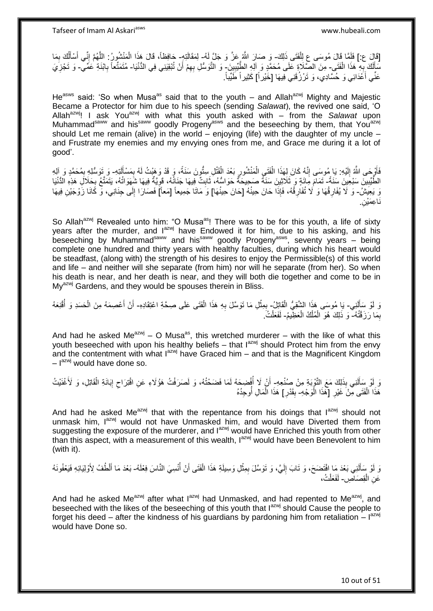[قَالَ ع:] فَلَمَّا قَالَ مُوسَى عِ لِلْفَتَى ذَلِكَ- وَ صَارَ اللّهُ عَزَّ وَ جَلَّ لَهُ- لِمَقَالَتِهِ- جَافِظاً، قَالَ هَذَا الْمَنْشُورُ: اللَّهُمَّ إِنِّي أَسْأَلُكَ بِمَا ْ ِ ُ َ َ ِ ه ْ مَا الْفَتَي ِ هَذَا الْفَتَي ِ مِنَ الصَّلَاةِ عَلَى مُحَمَّدٍ وَ الْهِ الطَّّيِّبِينَ ٍ وَ التَّوَسُّلِ بِهِمْ أَنْ تُبْقِيَنِي فِي الدُّنْيَا- مُتَمَثِّعاً بِابْنَةِ عُمِّي ۖ وَ تَجْزِيَ ْ ِ لَ ِ َ ِ ِ ِ عَنِّي أَعْدَائِي وَ حُسَّادِي، وَ تَرْزُقَنِي فِيهَا [خَيْراً] كَثِيراً طَيِّباً. اً<br>ا

He<sup>asws</sup> said: 'So when Musa<sup>as</sup> said that to the youth – and Allah<sup>azwj</sup> Mighty and Majestic Became a Protector for him due to his speech (sending *Salawat*), the revived one said, 'O Allah<sup>azwj</sup>! I ask You<sup>azwj</sup> with what this youth asked with – from the *Salawat* upon Muhammad<sup>saww</sup> and his<sup>saww</sup> goodly Progeny<sup>asws</sup> and the beseeching by them, that You<sup>azwj</sup> should Let me remain (alive) in the world – enjoying (life) with the daughter of my uncle – and Frustrate my enemies and my envying ones from me, and Grace me during it a lot of good'.

فَأَوْجَى اللَّهُ إِلَيْهِ: يَا مُوسَى إِنَّهُ كَانَ لِهَذَا الْفَتَيِ الْمَنْشُورِ بَعْدَ الْقَتْلِ سِتُّونَ سَنَةً، وَ قَدْ وَهَيْتُ لَهُ بِمَسْأَلَتِهِ- وَ تَوَسُّلِهِ بِمُحَمَّدٍ وَ آلِهِ ْ ِ ْ ْ ِ لَ ِ ز<br>ا لَ Í ِ ِ الطَّيِّبِينَ سَبْعِينَ سَنَةً- تَمَامَ مَائَةٍ وَ ثَلَاثِينَ سَنَةً صَبِحِيحَةٌ حَوَاسُهُ، ثَابِتٌ فِيهَا جَذَانُهُ، قَوِيَّةٌ فِيهَا شَغَهَا شَفَقَ لِجَلَالٍ هَذِهِ الدُّنْيَا **!** ِ ِ ِ َ رَ يَعِيَشُ- وَ لَا يُفَارِقُهَا وَ لَا تُفَارِقُهُ، فَإِذَا حَانَ حِينُهُ [حَانَ حِينُهَا] وَ مَاتَا جَمِيعاً [مَعاً] فَصَارَا إِلَى جِنَانِي، وَّ كَانَا زَوْجَيْنِ فِيهَا ِ ِ لَ ِ ِن. نَاعِمَيْ<sub>ا</sub>

So Allah<sup>azwj</sup> Revealed unto him: "O Musa<sup>as</sup>! There was to be for this youth, a life of sixty years after the murder, and l<sup>azwj</sup> have Endowed it for him, due to his asking, and his beseeching by Muhammad<sup>saww</sup> and his<sup>saww</sup> goodly Progeny<sup>asws</sup>, seventy years – being complete one hundred and thirty years with healthy faculties, during which his heart would be steadfast, (along with) the strength of his desires to enjoy the Permissible(s) of this world and life – and neither will she separate (from him) nor will he separate (from her). So when his death is near, and her death is near, and they will both die together and come to be in My<sup>azwj</sup> Gardens, and they would be spouses therein in Bliss.

وَ لَوْ سَأَلَنِي- يَا مُوسَى هَذَا الشُّقِيُّ الْقَاتِلُ- بِمِثْلِ مَا تَوَسَّلَ بِهِ هَذَا الْفَتَى عَلَى صِحَّةِ اعْتِقَادِهِ- أَنْ أَعْصِمَهُ مِنَ الْحَسَدِ وَ أَقْنِعَهُ لَ َ ْ ْ **∶** ْ ِ ُ ْ َ اُ بِمَا رَزَقْتُهُ- وَ ذَلِكَ هُوَ الْمُلْكُ الْعَظِيمُ- لَفَعَلْتُ َ ِ ْ ْ ْ ْ

And had he asked Me<sup>azwj</sup> – O Musa<sup>as</sup>, this wretched murderer – with the like of what this youth beseeched with upon his healthy beliefs – that  $I^{azwj}$  should Protect him from the envy and the contentment with what  $I^{azwj}$  have Graced him – and that is the Magnificent Kingdom – I<sup>azwj</sup> would have done so.

وَ لِّو سِلَلَنِي بِذَلِكَ مَعَ التَّوْبَةِ مِنْ صُنْعِهِ ۖ أَنْ لَا أُفْضِحَهُ لَمَا فَضَحْتُهُ، وَ لَصَرَفْتُ هَؤُلاءِ عَنِ اقْتِرَاحِ إِبَانَةِ الْقَاتِلِ، وَ لَأَغْنَيْتُ لَ َ ْ ِ ِ ُ هَذَا الْفَتَى مِّنْ غَيْرِ [هَذَا الْوَجْهِ- بِقَدْرِ] هَذَا الْمَالِ أَوجِدُهُ ْ ِ ْ َ ُ ْ **∶**  $\frac{1}{2}$ 

And had he asked Me<sup>azwj</sup> that with the repentance from his doings that  $I^{azwj}$  should not unmask him,  $I^{azwj}$  would not have Unmasked him, and would have Diverted them from suggesting the exposure of the murderer, and lazwj would have Enriched this youth from other than this aspect, with a measurement of this wealth, lazwi would have been Benevolent to him (with it).

وَ لَوْ سَأَلَنِي بَعْدَ مَا افْتَضَحَ، وَ تَابَ إِلَيَّ، وَ تَوَسَّلَ بِمِثْلِ وَسِيلَةِ هَذَا الْفَتَى أَنْ أُنْسِيَ النَّاسَ فِعْلَهُ- بَعْدَ مَا أَلْطُفُ لِأَوْلِيَائِهِ فَيَعْفُونَهُ ا<br>ا َ ْ **ٔ** ِ لَ ِ لَ َ َ عَنِ الْقِصَاصِ- لَفَعَلْتُ، ْ ْ

And had he asked Me<sup>azwj</sup> after what  $I^{azwj}$  had Unmasked, and had repented to Me<sup>azwj</sup>, and beseeched with the likes of the beseeching of this youth that lazwi should Cause the people to forget his deed – after the kindness of his guardians by pardoning him from retaliation  $-1^{a z w j}$ would have Done so.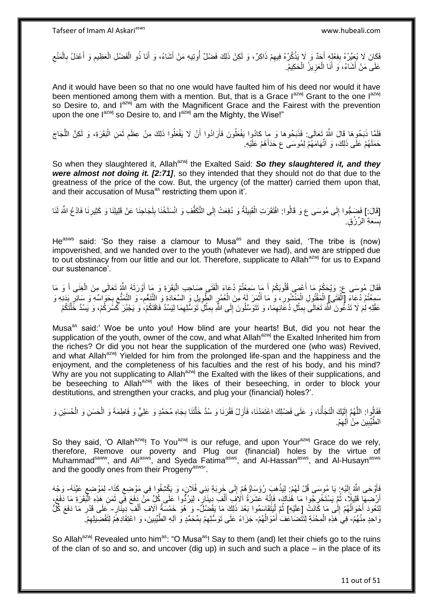فَكَانَ لَا يُعِيِّرُهُ بِفِعْلِهِ أَجَدٌ وَ لَا يَذْكُرُهُ فِيهِمْ ذَاكِرٌ، وَ لَكِنْ ذَلِكَ فَضْلٌ أُوتِيهِ مَنْ أَشَاءُ، وَ أَنَا ذُو الْفَضْلِ الْعَظِيمِ وَ أَعْدَلُ بِالْمَنْعِ ِ **ٔ** َ **ِ** ِ ْ ِ َ ِ ْ ْ َ َ ا<br>ا عَلَى مَنْ أَشَاءُ، وَ أَنَا الْعَزِيزُ الْحَكِيمُ. ْ **∶** ْ َ َ

And it would have been so that no one would have faulted him of his deed nor would it have been mentioned among them with a mention. But, that is a Grace  $I^{azwj}$  Grant to the one  $I^{azwj}$ so Desire to, and l<sup>azwj</sup> am with the Magnificent Grace and the Fairest with the prevention upon the one l<sup>azwj</sup> so Desire to, and l<sup>azwj</sup> am the Mighty, the Wise!"

فَلَمَّا ذَبَحُوها قَالَ اللَّهُ تَعَالَى: فَذَبَحُوها وَ ما كادُوِا يَفْعَلُونَ فَأَرَادُوا أَنْ لَا يَفْعَلُوا ذَلِكَ مِنْ عِظَمِ ثَمَنِ الْبَقَرَةِ، وَ لَكِنَّ اللَّجَاجَ ه ْ َ ِ َ َ حَمَلَهُمْ عَلَى ذَلِكَ، وَ اتِّهَامَهُمْ لِمُوسَى عِ حَدَأَهُمْ عَلَيْهِ. َ

So when they slaughtered it, Allah<sup>azwj</sup> the Exalted Said: So they slaughtered it, and they *were almost not doing it. [2:71]*, so they intended that they should not do that due to the greatness of the price of the cow. But, the urgency (of the matter) carried them upon that, and their accusation of Musa<sup>as</sup> restricting them upon it'.

[قَالَ:] فَضَجُّوا إِلَى مُوسَى ع وَ قَالُوا: افْتَقَرَتِ الْقَبِيلَةُ وَ دُفِعَتْ إِلَى التَّكَفُّفِ وَ انْسَلَخْنَا بِلَجَاجِنَا عَنْ قَلِيلِنَا وَ كَثِيرِنَا فَادْعُ اللَّهَ لَنَا لَ ِ ِ ِ ْ  $\frac{1}{2}$ لَ ِ بِّسَعَةِ الرِّرْقِ. 

He<sup>asws</sup> said: 'So they raise a clamour to Musa<sup>as</sup> and they said, 'The tribe is (now) impoverished, and we handed over to the youth (whatever we had), and we are stripped due to out obstinacy from our little and our lot. Therefore, supplicate to Allah<sup>azwj</sup> for us to Expand our sustenance'.

فَقَالَ مُوِسَى ع: وَيْحَكُمْ مَا أَعْمَى قُلُوبَكُمْ أَ مَا سَمِعْتُمْ دُعَاءَ الْفَتَى صَاحِبِ الْبَقَرَةِ وَ مَا أَوْرَثَهُ اللَّهُ تَعَالَى مِنَ الْغِنَى أَ وَ مَا َ َ ْ ْ َ َ َ ْ سَمِعْتُمْ دۡعَاءَ [الْفَتَىْ] الْمَفْتُولِ الْمَنْشُورِ ، وَ مَا أَثْمَرَ لَهُ مِنَ الْعُمُرِ الطَّوِيلِ وَ السَّعَادَةِ وَ التَّنَعُّعِ- وَ التَّمَتُّعِ بِحَوَاسِّهِ وَ سَائِرٍ بَدَنِهِ وَ ْ ِ ِ ْ **ٔ** اً<br>ا ِ ْ ْ ِ ِ ِ ِ عَقْلِهِ لِٰمَ لَا تَدْعُونَ اللَّهَ تَعَالَى بِمِثْلِ دُعَائِهِمَا، وَ تَتَوَسَّلُونَ إِلَى اللَّهِ بِمِثْلَ تَوَسَّلُومِهَا لِيَسُدَّ فَاقَتَكُمْ، وَ يَجْبُرَ كَحَسَرَكُمْ، وَ يَسُدَّ خَلَّتَكُمْ ِ **ٔ** ِ ∣∣<br>∶ ِ **ٔ** ِ ه

Musa<sup>as</sup> said:' Woe be unto you! How blind are your hearts! But, did you not hear the supplication of the youth, owner of the cow, and what Allah<sup>azwj</sup> the Exalted Inherited him from the riches? Or did you not hear the supplication of the murdered one (who was) Revived, and what Allah<sup>azwj</sup> Yielded for him from the prolonged life-span and the happiness and the enjoyment, and the completeness of his faculties and the rest of his body, and his mind? Why are you not supplicating to Allah<sup>azwj</sup> the Exalted with the likes of their supplications, and be beseeching to Allah<sup>azwj</sup> with the likes of their beseeching, in order to block your destitutions, and strengthen your cracks, and plug your (financial) holes?'.

فَقَالُوا: اللَّهُمَّ إِلَيْكَ الْتَجَأْنَا، وَ عَلَى فَضْلِكَ اعْتَمَدْنَا، فَأُزِلْ فَقْرَنَا وَ سُدَّ خَلَّتَنَا بِجَاهِ مُحَمَّدٍ وَ عَلِيٍّ وَ فَاطِمَةَ وَ الْحَسَنِ وَ الْحُسَيْنِ وَ **∶** ه **∶** َ ْ ْ لَ ِ ه ْ ْ الطَّيِّبِينَ مِنْ آلِهِمْ. ِ **!** 

So they said, 'O Allah<sup>azwj</sup>! To You<sup>azwj</sup> is our refuge, and upon Your<sup>azwj</sup> Grace do we rely, therefore, Remove our poverty and Plug our (financial) holes by the virtue of Muhammad<sup>saww</sup>, and Ali<sup>asws</sup>, and Syeda Fatima<sup>asws</sup>, and Al-Hassan<sup>asws</sup>, and Al-Husayn<sup>asws</sup> and the goodly ones from their Progeny<sup>asws</sup>.

َفَأَوْحَى اللَّهُ إِلَيْهِ. يَا مُوسَى قُلْ لَهُمْ لِيَذْهَبَ رُؤَسَاؤُهُمْ إِلَى خَرِبَةِ بَنِي فُلَانٍ، وَ يَكْشِفُوا فِي مَوْضِعِ كَذَا- لِمَوْضِعِ عَيَّنَهُ- وَجْهَ ِ ِ **ٔ** لَ ِ َ ِ ٍ إِنْ ضِهَا قَلِيلًا، ثُمَّ يَسْتَخْرِجُوا مَا هُٰنَاكَ، فَإِنَّهُ عَشَرَةُ الْإِفَ أَلْفَ دِينَارٍ، لِيَرُدُّوا عَلَى كُلِّ مَنْ دَفَعَ فَمِ ثَمَنِ هَذِهِ الْبُقَرَةِ مَا دَفَعَ، ْ َ اا<br>ئ ِ ٔ<br>ـ َ ْ َ لِتَعُودَ أَحْوَالُهُمْ إِلَٰى مَا كََانَتْ [ِعَلَيْهِ] ثُمَّ لِيَتَّقَاسِمُوا بَعْدَ ذَلِكَ مَا يَفْضُلُّ- وَ هُوَ خَمْسَةُ آلاف أَلْف دِينَّارٍ - عَلَى قَدْرِ مَا دَفَعَ كُلُّ ِ ٔ<br>ا ْ ان<br>سال ْ َ ِ وَاحِدٍ مِنْهُمْ- فِي هَذِهِ الْمِحْذَةِ لِتَتَّضَاعَفَ أَمْوَالُهُمْ- جَزَاءً عَلَى تَوَسُّلِهِمْ بِمُحَمَّدٍ وَّ آلِهِ الطَّيِّبِينَ، وَ اعْتِقَادِهِمْ لِتَفْضِيلِهِمْ ُ َ ْ ِ ِ ِ ِ

So Allah<sup>azwj</sup> Revealed unto him<sup>as</sup>: "O Musa<sup>as</sup>! Say to them (and) let their chiefs go to the ruins of the clan of so and so, and uncover (dig up) in such and such a place – in the place of its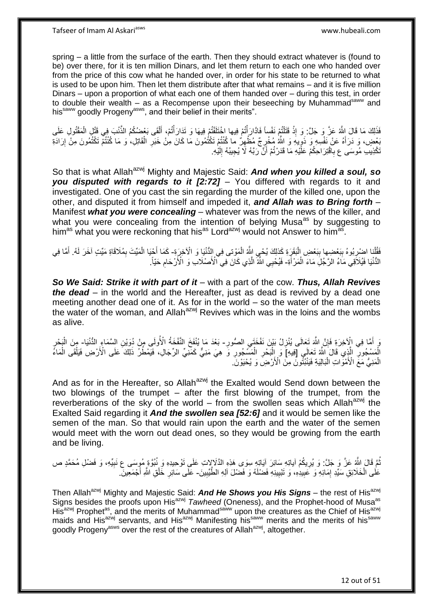spring – a little from the surface of the earth. Then they should extract whatever is (found to be) over there, for it is ten million Dinars, and let them return to each one who handed over from the price of this cow what he handed over, in order for his state to be returned to what is used to be upon him. Then let them distribute after that what remains – and it is five million Dinars – upon a proportion of what each one of them handed over – during this test, in order to double their wealth – as a Recompense upon their beseeching by Muhammad<sup>saww</sup> and his<sup>saww</sup> goodly Progeny<sup>asws</sup>, and their belief in their merits".

فَذَلِكَ مَا قَالَ اللَّهُ عَزَّ وَ جَلَّ: وَ إِذْ قَتَلْتُمْ نَفْساً فَادَّارَأْتُمْ فِيها اخْتَلَفْتُمْ فِيهَا وَ تَذَارَأْتُمْ، أَلْقَى بَعْضُكُمُ الذَّنْبَ فِي قَتْلِ الْمَقْتُولِ عَلَى ْ َ ֡֟֟֟֓֕׆֧<br>֧׀ ֡֟֟֟֓֕׆֧<br>֧׀ ْ **ٔ** ْ بَعْضٍ، وَ دَرَأَهُ عَنْ نَفْسِهِ وَ ذَوِّيهِ وَ اللَّهُ مُخْرِجٌ مُظْهِرٌ ما كُنْتُمْ تَكْتُمُونَ مَا كَانَ مِنْ خَبَرِ الْقَاتِلِ، وَ مَا كُنْتُمْ تَكْتُمُونَ مِنْ إِرَادَةِ ¦ ِ ِ ِ ْ ِ تَكْذِيب مُوسَى ع بِاقْتِرَ احِكُمْ عَلَّيْهِ مَا قَدَرْتُمْ أَنَّ رَبَّهُ لَا يُجِيبُهُ إِلَيْهِ. لَ ِ َ **∶** 

So that is what Allah<sup>azwj</sup> Mighty and Majestic Said: **And when you killed a soul, so** *you disputed with regards to it [2:72]* – You differed with regards to it and investigated. One of you cast the sin regarding the murder of the killed one, upon the other, and disputed it from himself and impeded it, *and Allah was to Bring forth* – Manifest *what you were concealing* – whatever was from the news of the killer, and what you were concealing from the intention of belying Musa<sup>as</sup> by suggesting to him<sup>as</sup> what you were reckoning that his<sup>as</sup> Lord<sup>azwj</sup> would not Answer to him<sup>as</sup>.

فَقُلْنا اضْرِبُوهُ بِبَعْضِها بِبَعْضِ الْبَقَرِةِ كَذلِكَ يُحْيِ اللَّهُ الْمَوْتى فِي الِدُّنْيَا وَ الْآخِرَةِ- كَمَا أَجْيَا الْمَيِّتَ بِمُلَاقَاةِ مَيِّتٍ آخَرَ لَهُ. أَمَّا فِي ْ ِ :<br>ا ِ **∶** ْ ِ ْ َ َ الدُّنْيَا فَيُلاَّقِي مَاءُ الرَّجُلِّ مَاءَ الْمَرْ أَةِ- فَيُحْيِي الثَّهُ الَّذِي كَانَ فِي الْأَصْلَابِ وَ الْأَرْحَامِ حَيّاً. َ ْ ِ ه

*So We Said: Strike it with part of it* – with a part of the cow. *Thus, Allah Revives the dead* – in the world and the Hereafter, just as dead is revived by a dead one meeting another dead one of it. As for in the world – so the water of the man meets the water of the woman, and Allah<sup>azwj</sup> Revives which was in the loins and the wombs as alive.

ِ وَ إِلَّآْخِرَةِ فَإِنَّ اللَّهَ تَعَالَى يُنْزِلُ بَيْنَ نَفْخَتَى الصُّورِ- بَعْدَ مَا يُنْفَخَ النُّفْخَةُ الأُولَى مِنْ دُوَيْنِ السَّمَاءِ الدُّنْيَا- مِنَ الْبَحْرِ  $\frac{1}{2}$ ِ ِ َ ِ ْ الْمَسْجُورِ ۖ الَّذِي قَالَ اللَّهُ تَعَالَى [فِيهِ] وَ اِلْبَحْرِ الْمَسَّجُورِ وَ هِيَ مَنِيٌّ كَمَنِيٍّ الرِّجَالِ، فَيَمْطُرُ ذَلِكَ عَلَى الْأَرْضِ فَيَلْقَى الْمَاءُ ه ِ ِ ْ ِ ْ ْ الْمَنِيُّ مَعَّ الْأَمْوَاتِ الْبَالِيَةِ فَيَنْبُثُونَ مِنَ الْأَرْضِ ۖ وَ يُحْيَوْنَّ ۖ ْ :<br>ا

And as for in the Hereafter, so Allah<sup>azwj</sup> the Exalted would Send down between the two blowings of the trumpet – after the first blowing of the trumpet, from the reverberations of the sky of the world – from the swollen seas which Allah<sup>azwj</sup> the Exalted Said regarding it *And the swollen sea [52:6]* and it would be semen like the semen of the man. So that would rain upon the earth and the water of the semen would meet with the worn out dead ones, so they would be growing from the earth and be living.

ُمَّ قَالَ اللَّهُ عَنَّ وَ جَلَّ: وَ يُرِيكُمْ أياتِهِ سَائِرَ آيَاتِهِ سِوَى هَذِهِ الذَّلَالِاتِ عَلَى تَوْحِيدِهِ وَ نُبُوَّةٍ مُوِسَى ع نَبِيِّهِ، وَ فَضْلِ مُحَمَّدٍ ص ِ ِ عَلَى الْخَلَائِقِ سَيِّدِ إِمَائِهِ وَ عَبِيدِهِ، وَ تَبْيِينِهِ فَضْلَهُ وَ فَضْلَ آلِهِ الطَّيِّبِينَ- عَلَى سَائِرِ خَلْقِ اللَّهِ أَجْمَعِينَ. ِ **!** ِ ْ ِ َ ْ ِ

Then Allah<sup>azwj</sup> Mighty and Majestic Said: **And He Shows you His Signs** – the rest of His<sup>azwj</sup> Signs besides the proofs upon His<sup>azwj</sup> *Tawheed* (Oneness), and the Prophet-hood of Musa<sup>as</sup> His<sup>azwj</sup> Prophet<sup>as</sup>, and the merits of Muhammad<sup>saww</sup> upon the creatures as the Chief of His<sup>azwj</sup> maids and His<sup>azwj</sup> servants, and His<sup>azwj</sup> Manifesting his<sup>saww</sup> merits and the merits of his<sup>saww</sup> goodly Progeny<sup>asws</sup> over the rest of the creatures of Allah<sup>azwj</sup>, altogether.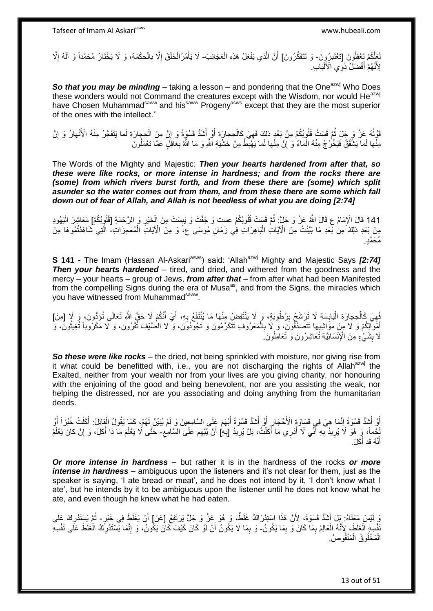لَعَلَّكُمْ تَعْقِلُونَ إِتَعْتَبِرُوِنَ- وَ تَتَفَكَّرُونَ] أَنَّ الَّذِي يَفْعَلُ هَذِهِ الْعَجَائِبَ- لَا يَأْمُرُ الْخَلْقَ إِلَّا بِالْحِكْمَةِ، وَ لَا يَخْتَارُ مُحَمَّداً وَ آلَهُ إِلَّا ُ **!** ْ ه اُ ِ ْ ِ ِ ْ ْ ْ لِأَنَّهُمْٰ أَفْضَلْ َذَوِي اَلْأَلْبَابِ ا<br>ا َ َ

**So that you may be minding** – taking a lesson – and pondering that the One<sup>azwj</sup> Who Does these wonders would not Command the creatures except with the Wisdom, nor would He<sup>azwj</sup> have Chosen Muhammad<sup>saww</sup> and his<sup>saww</sup> Progeny<sup>asws</sup> except that they are the most superior of the ones with the intellect.''

قَوْلُهُ عَزَّ وَ جَلَ ثُمَّ قَسَتْ قُلُوبُكُمْ مِنْ بَعْدِ ذلِكَ فَهِيَ كَالْحِجارَةِ أَوْ أَشَدُّ قَسْوَةً وَ إِنَّ مِنَ الْحِجارَةِ لَما يَتَفَجَّرُ مِنْهُ الْأَنْهارُ وَ إِنَّ ا<br>ا ْ ِ َ َ ْ  $\ddot{\xi}$ ِ ِ مِنْْها لَما يَشَّقَّقُ فَيَخْرُجُ مِنْهُ الْماءُ وَ إِنَّ مِنْها لَما يَهْبِطُ مِنْ خَشْيَةِ اللَّهِ وَ مَا اللَّهُ بِغَافِلٍ عَمَّا تَعْمَلُونَ ِ ْ ُ

The Words of the Mighty and Majestic: *Then your hearts hardened from after that, so these were like rocks, or more intense in hardness; and from the rocks there are (some) from which rivers burst forth, and from these there are (some) which split asunder so the water comes out from them, and from these there are some which fall down out of fear of Allah, and Allah is not heedless of what you are doing [2:74]*

141 قَالَ الْإِمَامُ عِ قَالَ اللَّهُ عَزَّ وَ جَلَّ: ثُمَّ قَسَتْ قُلُوبُكُمْ عست وَ جَفَّتْ وَ يَبِسَتْ مِنَ الْخَيْرِ وَ الرَّحْمَةِ [قُلُوبُكُمْ] مَعَاشِرَ الْيَهُودِ ْ ْ ِ ُ مِنْ بَعْدِ ذلِكَ مِنْ بَعْدِ مَا بَيَّنْتُ مِنَ الْآيَاتِ الْبَاهِرَاتِ فِي زَمَانِ مُوسَى ع، وَ مِنَ الْآيَاتِ الْمُعْجِزَاتِ- الَّتِي شَاهَدْتُمُوهَا مِنْ ْ ه مُحَمَّدٍ.

**S 141 -** The Imam (Hassan Al-Askari<sup>asws</sup>) said: 'Allah<sup>azwj</sup> Mighty and Majestic Says [2:74] **Then your hearts hardened** – tired, and dried, and withered from the goodness and the mercy – your hearts – group of Jews, *from after that* – from after what had been Manifested from the compelling Signs during the era of Musa<sup>as</sup>, and from the Signs, the miracles which you have witnessed from Muhammad<sup>saww</sup>.

َفِهِيَ كَالْحِجِارَةِ الْيَابِسَةِ لَا تَرْشَحُ بِرُطُوبَةٍ، وَ لَا يَنْتَفِضُ مِنْهَا مَا يُنْتَفَعُ بِهِ، أَيْ أَنَّكُمْ لَا حَقَّ اللَّهِ تَعَالَى تُؤَدُّونَ، وَ لَإِ [مِنْ] ِ **∣** :<br>ا ْ َ َ **∶** اُمُوَّالِكُمْ وَ لَا مِنْ مَوَاشِيهَا تَتَصَدَّقُونَ، وَ لَا بِالْمَعْرُوفِ تَتَكَرَّمُونَ وَ تَجُودُونَ، وَ لَا الْضَّيْفَ تُقْرُونَ، وَ لَا مَكْرُوباً تُغِيثُونَ، وَ ْ ِ َ ا<br>المقام َلَا بِشَيْءٍ مِنَ الْإِنْسَانِيَّةِ تُعَاشِرُونَ وَ تُعَامِلُونَ **∣** 

*So these were like rocks* – the dried, not being sprinkled with moisture, nor giving rise from it what could be benefitted with, i.e., you are not discharging the rights of Allah<sup>azwj</sup> the Exalted, neither from your wealth nor from your lives are you giving charity, nor honouring with the enjoining of the good and being benevolent, nor are you assisting the weak, nor helping the distressed, nor are you associating and doing anything from the humanitarian deeds.

أَوْ أَشَدُّ قَسْوَةً إِنَّمَا هِيَ فِي قَسَاوَةٍ الْأَحْجَارِ أَوْ أَشَدُّ قَسْوَةً أَبْهَمَ عَلَى السَّامِعِينَ وَ لَمْ يُبَيِّنْ لَهُمْ، كَمَا يَقُولُ الْقَائِلُ: أَكَلْتُ خُبْزاً أَوْ َ َ ِ ِ َ َ ْ َ ْ لْحْماً، وَ هُوَ لَاَ يُرِيدُ بِهِ أَنِّي لَا أَدْرِي مَا أَكَلْتُ، بَلْ يُرِيدُ [بِهِ] أَنْ يُيْهِمَ عَلَى السَّامِعِ- حَتَّى لَا يَعْلَمَ مَا ذَا أَكَلَ، وَ إِنْ كَانَ يَعْلَمُ ْ َ َ **∶** ِ ِ **∶** ِ ِ َ أَنَّهُ قَدْ أَكَلَ. َ ֺ֪֪֪֪֪֦֪֪֪֦֪֪֦֪֪֦֪֪֦֝֘֝֘֝֟֓֟֘֝֟֓֟֘֝֟֓֡֟֓֟֓֡֟֓֟֓֡֟֓֟֓֟֡֟֓֞֟֓֡֟֓֡֟֓֟֡֡֡֬֞֓֞֓֞֞֟֞֟֞֓֞֞֟֞֟֞֟֞֟֟

*Or more intense in hardness* – but rather it is in the hardness of the rocks *or more intense in hardness* – ambiguous upon the listeners and it's not clear for them, just as the speaker is saying, 'I ate bread or meat', and he does not intend by it, 'I don't know what I ate', but he intends by it to be ambiguous upon the listener until he does not know what he ate, and even though he knew what he had eaten.

وَ لَيْسَ مَعْنَاهُ: بَلْ أَشَدُّ قَسْوَةً، لِأَنَّ هَذَا اسْتِدْرَاكٌ غَلَظٌ ،وَ هُوَ عَنَّ وَ جَلَّ يَرْتَفِعُ [عَنْ] أَنْ يَغْلَظَ فِي خَبَرٍ- ثُمَّ يَسْتَدْرِكَ عَلَى َ ِ ا پایا<br>ا ُنفْسِهِ الْغَلَطَ، لِأَنَّهُ الْعَالِمُ بِمَا كَانَ وَ بِمَا يَكُونُ- وَ بِمَا لَا يَكُونُ أَنْ لَوْ كَانَ كَيْفَ كَانَ يَكُونُ، وَ إِنَّمَا يَسْتَدْرِكَ الْغَلَطَ عَلَى نَفْسِهِ ِ ِ ْ ْ ِ ْ ِ ِ اُ الْمَخْلُوقُ الْمَنْقُوصُ. ْ ْ

13 out of 51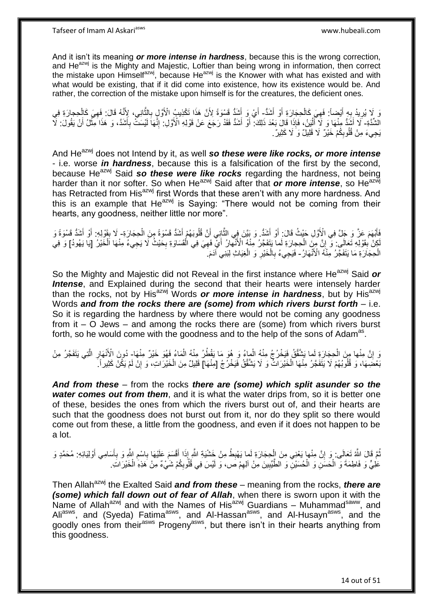And it isn't its meaning *or more intense in hardness*, because this is the wrong correction, and  $He^{azwj}$  is the Mighty and Majestic, Loftier than being wrong in information, then correct the mistake upon Himselfazwj, because He $a$ zwj is the Knower with what has existed and with what would be existing, that if it did come into existence, how its existence would be. And rather, the correction of the mistake upon himself is for the creatures, the deficient ones.

نَ لَا يُرِيدُ بِهِ أَيْضاً: فَهِيَ كَالْحِجَارَةِ أَوْ أَشَدُّ- أَيْ وَ أَشَدُّ قَسْوَةً لِأَنَّ هَذَا تَكْذِيبُ الْأَوَّلِ بِالثَّانِي، لِأَنَّهُ قَالَ: فَهِيَ كَالْحِجارَةِ فِي َ ْ ِ َ ِ ِ ْ ِ ه **∶** َ َ الْشُّدَّةِ- َلَا أَشَدُّ مِنْهَا وَ لَا أَلْيَنُ، فَإِذَا قَالَ بَعْدَ ذَلِكَ: أَوْ أَشَدُّ فَقَدْ رَجَعَ عَنْ قَوْلِهِ الْأَوَّلِ. إِنَّهَا لَيْسَتُّ بِأَشَدَّ، وَ هَذَا مِثَّلُ أَنْ يَقُولَ: لَآ :<br>إ َ َ َ ة<br>أ َ ِ ِ َ اُ يَجِيءَ مِنْ قُلُوبِكُمْ خَيْرٌ ۖ لَا قَلِيلٌ وَ ۘ لَا كَثِيرٌ ۚ. ِ

And He<sup>azwj</sup> does not Intend by it, as well so these were like rocks, or more intense - i.e. worse *in hardness*, because this is a falsification of the first by the second, because He<sup>azwj</sup> Said so these were like rocks regarding the hardness, not being harder than it nor softer. So when He<sup>azwj</sup> Said after that **or more intense**, so He<sup>azwj</sup> has Retracted from His<sup>azwj</sup> first Words that these aren't with any more hardness. And this is an example that He<sup>azwj</sup> is Saying: "There would not be coming from their hearts, any goodness, neither little nor more".

فَأَبْهَمَ عَزَّ وَ جَلَّ فِي الْأَوَّلِ حَيْثُ قَالَ: أَوْ أَشَدُّ. وَ بَيَّنَ فِي الثَّانِي أَنَّ قُلُوبَهُمْ أَشَدُّ قَسْوَةً وَاشَدُّ قَسْوَةً وَ َ ْ َ َ َ َ ِ لَجِنْ بِقَوْلِهِ تَعَالَى: وَّ إِنَّ مِنَ الْحِجارَةِ لَما يَتَفَجَّرُ مِنْهُ الْأَنْهَارُ أَيِّ فَهِيَ فِي الْقَسَاوَةِ بِحَيْثُ لَا يَجِيءُ مِنْهَا اَلْخَيْرُ [يَا يَهُودُ] وَ فِي ْ ِ ِ ِ ْ ِ َ ْ الْحِجَارَةِ مَا يَتَفَجَّرُ مِنْهُ الْأَنْهَارُ- فَيَجِيءُ بِالْخَيْرِ وَ الْغِيَاثِ لِبَنِي ْآدَمَ ْ ِ ْ ِ

So the Mighty and Majestic did not Reveal in the first instance where He<sup>azwj</sup> Said or **Intense**, and Explained during the second that their hearts were intensely harder than the rocks, not by His<sup>azwj</sup> Words **or more intense in hardness**, but by His<sup>azwj</sup> Words *and from the rocks there are (some) from which rivers burst forth* – i.e. So it is regarding the hardness by where there would not be coming any goodness from it – O Jews – and among the rocks there are (some) from which rivers burst forth, so he would come with the goodness and to the help of the sons of Adam<sup>as</sup>.

وَ إِنَّ مِنْها مِنَ الْحِجَارَةِ لَما يَشْقَقُ فَيَخْرُجُ مِنْهُ الْمِاءُ وَ هُوَ مَا يَقْطُرُ مِنْهُ الْمَاءُ فَهُوَ خَيْرٌ مِنْهَا- دُونَ الْأَنْهَارِ الَّتِي يَتَفَجَّرُ مِنْ ْ ْ ْ **׀** ه ِ َبْحْضِهَا، وَ قُلُوبُهُمْ لَا يَتَفَجَّرُ مِنْهَا الْخَيْرَاتُ ۚ وَ لَا يَشَقَّقُ فَيَخْرُجُ [مِنْهَا] قَلِيلٌ مِنَ الْخَيْرَاتِ، وَ إِنْ لَمْ يَكُنْ كَثِيراً ـَ ْ ِ ْ

*And from these* – from the rocks *there are (some) which split asunder so the water comes out from them*, and it is what the water drips from, so it is better one of these, besides the ones from which the rivers burst out of, and their hearts are such that the goodness does not burst out from it, nor do they split so there would come out from these, a little from the goodness, and even if it does not happen to be a lot.

نُّمَّ قَالَ اللَّهُ تَعَالَى: وَ إِنَّ مِنْها يَعْنِي مِنَ الْجِجَارَةِ لَما يَهْبِطُ مِنْ خَشْيَةِ الثَّمِ إِذَا أَفْسَمَ عَلَيْهَا بِاسْمِ الثَّهِ وَ بِأَسَامِي أَوْلِيَائِهِ: مُحَمَّدٍ وَ **∶** ْ יִי, َ اً ِ ِ ِ َ عَلِيٍّ وَ فَاطِمَةَ وَ الْحَسَنِ وَ الْحُسَنِيْنَ وَ الطَّيِّبِينَ مِنْ آلِهِمْ صَ، وَ لَيْسَ فِي قُلُوبِكُمْ شَيْءٌ مِنْ هَذِهِ الْخَيْرَاتِ. **!** ْ ْ ِ ِ ْ

Then Allah<sup>azwj</sup> the Exalted Said *and from these* – meaning from the rocks, *there are (some) which fall down out of fear of Allah*, when there is sworn upon it with the Name of Allah<sup>azwj</sup> and with the Names of His<sup>azwj</sup> Guardians – Muhammad<sup>saww</sup>, and Ali<sup>asws</sup>, and (Syeda) Fatima<sup>asws</sup>, and Al-Hassan<sup>asws</sup>, and Al-Husayn<sup>asws</sup>, and the goodly ones from their<sup>asws</sup> Progeny<sup>asws</sup>, but there isn't in their hearts anything from this goodness.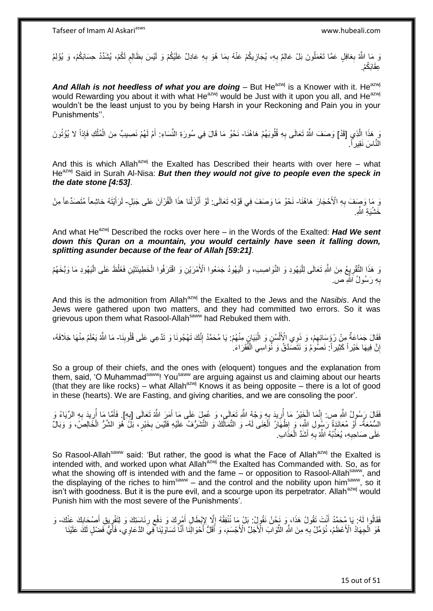وَ مَا اللَّهُ بِغافِلٍ عَمَّا تَعْمَلُونَ بَلْ عَالِمٌ بِهِ، يُجَازِيكُمْ عَنْهُ بِمَا هُوَ بِهِ عَادِلٌ عَلَيْكُمْ وَ لَيْسَ بِظَالِمٍ لَكُمْ، يُشَدِّدُ حِسَابَكُمْ، وَ يُؤْلِمُ ٔ<br>ا ֧֖֧֖֚֚֚֓֝֬֝ ِ ِ ِ ِ ِ عِقَابَكُمْ.

And Allah is not heedless of what you are doing – But He<sup>azwj</sup> is a Knower with it. He<sup>azwj</sup> would Rewarding you about it with what He<sup>azwj</sup> would be Just with it upon you all, and He<sup>azwj</sup> wouldn't be the least unjust to you by being Harsh in your Reckoning and Pain you in your Punishments''.

نَ هَذَا اِلَّذِي [قَدْ] وَصَفَ اللَّهُ تَعَالَى بِهِ قُلُوبَهُمْ هَاهُنَا- نَحْوُ مَا قَالَ فِي سُورَةِ النِّسَاءِ: أَمْ لَهُمْ نَصِيبٌ مِنَ الْمُلْكِ فَإِذاً لا يُؤْتُونَ ه :<br>ا **∶** ْ ْ َ النَّاسَ نَقِيراً.

And this is which Allah<sup>azwj</sup> the Exalted has Described their hearts with over here – what He<sup>azwj</sup> Said in Surah Al-Nisa: **But then they would not give to people even the speck in** *the date stone [4:53]*.

وَ مَا وَصِفَ بِهِ الْأَحْجَارَ ۖ هَاهُنَا- نَحْوُ مَا وَصَفَ فِي قَوْلِهِ تَعَالَى: لَوْ أَنْزَلْنا هذَا الْقُرْآنَ عَلَى جَبَلٍ- لَرَأَيْتَهُ خاشِعاً مُتَصَدِّعاً مِنْ **∶** ْ ْ َ َ خَشْنَة اللَّه

And what He<sup>azwj</sup> Described the rocks over here – in the Words of the Exalted: Had We sent *down this Quran on a mountain, you would certainly have seen it falling down, splitting asunder because of the fear of Allah [59:21]*.

وَ هَذَا التَّقْرِيعُ مِنَ اللَّهِ تَعَالَى لِلْيَهُودِ وَ النَّوَاصِيبِ، وَ الْيَهُودُ جَمَعُوا الْأَمْرَيْنِ وَ اقْتَرَفُوا الْخَطِيئَتَيْنِ فَغَلْظَ عَلَى الْيَهُودِ مَا وَيَخَهُمْ ْ :<br>ا :<br>ا ِ ْ بِهِ رَسُولُ اَللَّهِ ص **∶** 

And this is the admonition from Allah<sup>azwj</sup> the Exalted to the Jews and the *Nasibis*. And the Jews were gathered upon two matters, and they had committed two errors. So it was grievous upon them what Rasool-Allah<sup>saww</sup> had Rebuked them with.

فَقَالَ جَمَاعَةٌ مِنْ رُؤَسَائِهِمْ، وَ ذَوِي الْأَلْسُنِ وَ الْبَيَانِ مِنْهُمْ: يَا مُحَمَّدُ إِنَّكَ تَهْجُونَا وَ تَدَّعِي عَلَى قُلُوبِنَا- مَا اللَّهُ يَعْلَمُ مِنْهَا خِلَافَهُ، ْ ْ ِ ِ ِ إِنَّ فِيهَا خَيْرٍ أَ كَثِيرٍ أَ: نَصُومُ وَ نَتَصَدَّقُ وَ نُوَاسِي الْفُقَرَاءَ ۚ ْ ا

So a group of their chiefs, and the ones with (eloquent) tongues and the explanation from them, said, 'O Muhammad<sup>saww</sup>! You<sup>saww</sup> are arguing against us and claiming about our hearts (that they are like rocks) – what Allah<sup>azwj</sup> Knows it as being opposite – there is a lot of good in these (hearts). We are Fasting, and giving charities, and we are consoling the poor'.

فَقَالَ رَسُولُ اللَّهِ ص: إِنَّمَا الْخَيْرُ مَا أُرِيدَ بِهِ وَجْهُ اللَّهِ تَعَالَى، وَ عُمِلَ عَلَى مَا أَمَرَ اللَّهُ تَعَالَى [بِهِ]. فَأَمَّا مَا أُرِيدَ بِهِ الرِّيَاءُ وَ َ ; **∶** ْ ِ **∶ ∶** ِ اُ َ السُّمْعَةُ- أَوْ مُعَانَدَةُ رَسُولِ الثَّهِ، ۖ وَإِظْهَارُ الْغِنَى لَهُ- وَ التَّمَالُكُ وَ التَّشَرُّفُ عَلَيْهِ فَلَيْسَ بِخَيْرٍ ، بَلَّ هُوَ الشَّرُّ الْخَالِصُ، وَ وَبَالٌ ْ ِ ْ ِ ُ عَلَى صَاحِبِهِ، يُعَذِّبُهُ اللَّهُ بِهِ أَشَدَّ الْعَذَابِ ْ َ ِ ِ

So Rasool-Allah<sup>saww</sup> said: 'But rather, the good is what the Face of Allah<sup>azwj</sup> the Exalted is intended with, and worked upon what Allah<sup>azwj</sup> the Exalted has Commanded with. So, as for what the showing off is intended with and the fame  $-$  or opposition to Rasool-Allah<sup>saww</sup>, and the displaying of the riches to him<sup>saww</sup> – and the control and the nobility upon him<sup>saww</sup>, so it isn't with goodness. But it is the pure evil, and a scourge upon its perpetrator. Allah $^{a}$ zwj would Punish him with the most severe of the Punishments'.

فَقَالُوا لَهُ: يَا مُحَدَّدُ أَنْتَ نَقُولُ هَذَا، وَ نَحْنُ نَقُولُ: بَلْ مَا نُنْفِقُهُ إِلَّا إِنْبَطَالٍ أَهْرِكَ وَ دَفْعِ رِئَاسَتِكَ وَ النَّفْرِيقِ أَصْحَابِكَ عَنْكَ- وَ<br>مِس وَيَزْوُلُونَ عَامَدُ أَيُّرٍ مِّنْهُ ِ َ ِ َ **∶** َ ِ هُوَ الْجِهَادُ الْأَعْظَمُ، نُؤَمِّلُ بِهِ مِنَ اللَّهِ الثَّوَاابَ الْأَجَلَّ الْأَجْسَمَ، وَ أَقَلُّ أَحْوَالِنَا أَنَّا تَسَاوَيْنَا فِيِّ الدَّعَاوِيِّ، فَأَيُّ فَضْلِ لَكَ عَلَيْنَا ه ِ ْ َ َ ا<br>ا<br>ا َ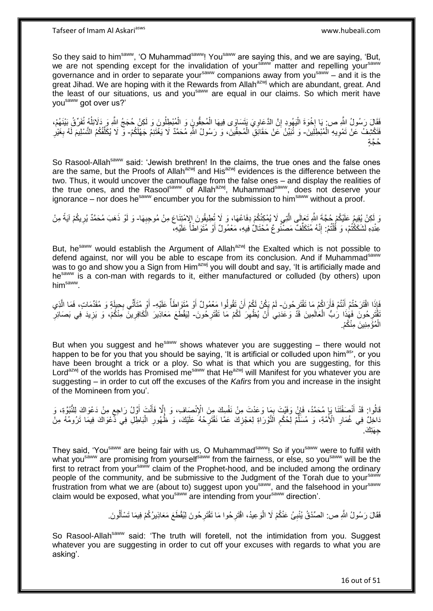So they said to him<sup>saww</sup>, 'O Muhammad<sup>saww</sup>! You<sup>saww</sup> are saying this, and we are saying, 'But, we are not spending except for the invalidation of your<sup>saww</sup> matter and repelling your<sup>saww</sup> governance and in order to separate your<sup>saww</sup> companions away from you<sup>saww</sup> – and it is the great Jihad. We are hoping with it the Rewards from Allah $a^{2}$  which are abundant, great. And the least of our situations, us and you<sup>saww</sup> are equal in our claims. So which merit have you<sup>saww</sup> got over us?'

فَقَالَ رَسُولُ اللَّهِ ص: يَا إِخْوَةَ الْيَهُودِ إِنَّ الدَّعَاوِيَ يَتَسَاوَى فِيهَا الْمُحِقُّونَ وَ الْمُبْطِلُونَ وَ لَكِنْ حُجَجُ اللَّهِ وَ ذَلَائِلُهُ تُفَرِّقُ بَيْنَهُمْ، ْ ْ ِ ِ ْ  $\frac{1}{2}$ ُ فَتَكْشِفُ عَنْ تَمْوِيهِ الْمُبْطِلِينَ- وَ تُنَيِّنُ عَنْ حَقَائِقٍ الْمُحِقِّينَ، وَ رَسُولُ اللَّهِ مُحَمَّدٌ لَا يَغْتَنِمُ جَهْلَكُمْ- وَّ لَا يُكَلِّفُكُمُ التَّسْلِيمَ لَهُ بِغَيْرِ ْ ِ ْ ِ ِ ِّ حُجَّةٍ

So Rasool-Allah<sup>saww</sup> said: 'Jewish brethren! In the claims, the true ones and the false ones are the same, but the Proofs of Allah<sup>azwj</sup> and His<sup>azwj</sup> evidences is the difference between the two. Thus, it would uncover the camouflage from the false ones – and display the realities of the true ones, and the Rasoolsaww of Allah<sup>azwj</sup>, Muhammad<sup>saww</sup>, does not deserve your ignorance – nor does he saw encumber you for the submission to him saw without a proof.

وَ لَكِنْ يُقِيمُ عَلَيْكُمْ جُجَّةَ اللَّهِ تَعَالَى الَّتِي لَا يُمْكِنُكُمْ دِفَاعُهَا، وَ لَا تُطِيقُونَ الإمْتِنَاعَ مِنْ مُوحِبِهَا- وَ لَوْ ذَهَبَ مُحَمَّدٌ يُرِيكُمْ آيَةً مِنْ ه ِ ِ عِنْدِهِ لَشَكَّكْتُمْ، وَ قُلْتُمْ. إِنَّهُ مُتَكَلِّفٌ مَصْنُوعٌ مُحْتَالٌ فِيهِ، مَعْمُولٌ أَوْ مُتَوَاطَأً عَلَيْهِ، ِّ ֺ֧֖ׅ֧ׅ֧֧֚֚֚֚֚֚֚֚֚֚֚֚֚֚֝֝֬֓֡֡֓֡֟֡֡֡֡֡֡֬֓֡֟֓֡֟֓֡֟֓֡֡֡֬֩֓֓֩ ْ

But, he<sup>saww</sup> would establish the Argument of Allah<sup>azwj</sup> the Exalted which is not possible to defend against, nor will you be able to escape from its conclusion. And if Muhammad<sup>saww</sup> was to go and show you a Sign from Him<sup>azwj</sup> you will doubt and say, 'It is artificially made and hesaww is a con-man with regards to it, either manufactured or colluded (by others) upon him $^{\sf saww}$  .

فَإِذَا اقْتَرَحْتُمْ أَنْتُمْ فَأَرَاكُمْ مَا تَقْتَرِحُونَ- لَمْ يَكُنْ لَكُمْ أَنْ تَقُولُوا مَعْمُولٌ أَوْ مُتَوَاطَأٌ عَلَيْهِ- أَوْ مُتَأَتِّي بِحِيلَةٍ وَ مُقَدِّمَاتٍ، فَمَا الَّذِي ِ اُ َ َ َ ه ِ َ َ ُّقْتَرِحُونَ فَهَٰذَا رَٰبُّ الْعَالَمِينَ قَدَّ وَعَدَنِي ٰ أَنْ يُظْهِرَ لَكُمْ مَا تَقْتَرِحُونَ- لِيَقْطَعَ مَعَاذِيرَ الْكَافِرِينَّ مِنْكُمْ، وَ يَزِيدَ فِي بَصَائِرٍ ِ ِ اُ ْ ِ **∶** ِ ْ ِ الْمُؤْمِنِينَ مِنْكُمْ. ْ

But when you suggest and he $s_{\text{a}}$  shows whatever you are suggesting  $-$  there would not happen to be for you that you should be saying, 'It is artificial or colluded upon him<sup>as</sup>', or you have been brought a trick or a ploy. So what is that which you are suggesting, for this Lord<sup>azwj</sup> of the worlds has Promised me<sup>saww</sup> that He<sup>azwj</sup> will Manifest for you whatever you are suggesting – in order to cut off the excuses of the *Kafirs* from you and increase in the insight of the Momineen from you'.

فَالُوا: قَدْ أَنْصَفْتَنَا يَإِ مُحَمَّدُ، فَإِنْ وَفَيْتَ بِمَا وَعَدْتَ مِنْ نَفْسِكَ مِنَ الْإِنْصَافِ، وَ إِلَّا فَأَنْتَ أَوَّلُ رَاجِعٍ مِنْ دَعْوَاكَ لِلنُّبُوَّةِ، وَ َ ِ ِ ِ َ ٍ َ َاخِلٌ فِي غُمَارِ الْأُمَّةِ، وَ مُسَلِّمٌ لِّحُكْمِ الْتَّوْرَاةِ لِعَجْزِلَكَ عَمَّا نَقْتَرِحُهُ عَلَيْكَ، وَ خُهُورِ الْبَاطِّلِ فِي َدَّعْوَاكَ فِيمَا تَرُومُهُ مِنْ **∶** ِ ِّ **∶** ْ ِ **∶** جِ هَتِكَ.

They said, 'Yousaww are being fair with us, O Muhammadsaww! So if yousaww were to fulfil with what you<sup>saww</sup> are promising from yourself<sup>saww</sup> from the fairness, or else, so you<sup>saww</sup> will be the first to retract from your<sup>saww</sup> claim of the Prophet-hood, and be included among the ordinary people of the community, and be submissive to the Judgment of the Torah due to your<sup>saww</sup> frustration from what we are (about to) suggest upon you<sup>saww</sup>, and the falsehood in your<sup>saww</sup> claim would be exposed, what you<sup>saww</sup> are intending from your<sup>saww</sup> direction'.

> فَقَالَ رَسُولُ اللَّهِ ص: الصِّدْقُ يُنْبِئُ عَنْكُمْ لَا الْوَعِيدُ، اقْتَرِحُوا مَا تَقْتَرِحُونَ لِيُقْطَعَ مَعَاذِيرُكُمْ فِيمَا تَسْأَلُونَ. ِ اً<br>أ **∶ ٍ** ْ

So Rasool-Allah<sup>saww</sup> said: 'The truth will foretell, not the intimidation from you. Suggest whatever you are suggesting in order to cut off your excuses with regards to what you are asking'.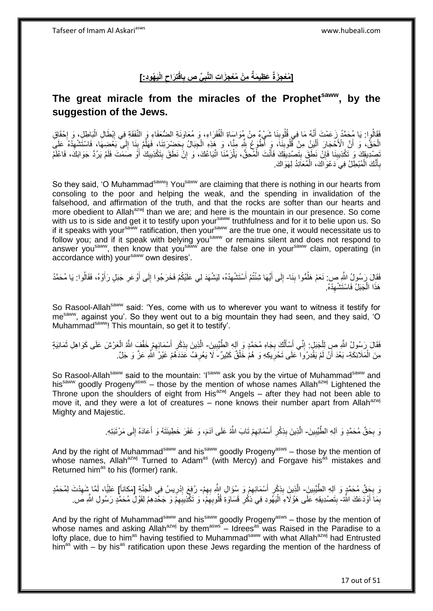[مُعْجِزَةٌ عَظِيمَةٌ مِنْ مُعْجِزَاتِ النَّبِىِّ ص بِاقْتِرَاحِ الْيَهُودِ:] **ِ ِ ِ**

# **The great miracle from the miracles of the Prophetsaww, by the suggestion of the Jews.**

فَقَالُوا: يَا مُحَمَّدُ زَعَمْتَ أَنَّهُ مَا فِي قُلُوبِنَا شَيْءٌ مِنْ مُوَاسَاةِ الْفُقَرَاءِ، وَ مُعَاوَنَةِ الضُّعَفَاءِ وَ النَّفَقَةِ فِي إِبْطَالِ الْبَاطِلِ، وَ إِحْقَاقِ **!** َ ا.<br>: ْ  $\frac{1}{2}$ ْ الْحَقِّ، وَ أَنَّ الْأَحْجَارَ أَلْيَنُ مِنْ قُلُوبِنَا، وَ أَطْوَعُ بِثَمِ مِنَّا، وَ هَذِهِ الْجِبَالُ بِحَضْرِرَتِنَا، فَهَلَّمَ بِنَا إِلَى بَعْضِهَا، فَاسْتَشْهِذْهُ عَلَيَ **!** :<br>ا َ َ ِ ِ **⊥** ُ **∶** ْ َنصِدْدِيقِكَ وَ تَكْذِيبِنَا فَإِنْ نَطَقَ بِتَصْدِيقِكَ فَأَنْتَ الْمُحِقُّ، يَلْزَمُنَا اتِّبَاعُكَ، وَ إِنّْ نَطَقَ بِتَكْذِيبِكَ أَوْ صَمَتَ فَلَمْ يَرُدَّ جَوَابَكَ، فَاعْلَمْ ِ ْ ْ َ ِ **∣** َ ِ بِأَنَّكَ الْمُبْطِلُ فِي دَعْوَاكَ، الْمُعَانِدُ لِهَوَاكَ. ْ ْ َ ِ

So they said, 'O Muhammad<sup>saww</sup>! You<sup>saww</sup> are claiming that there is nothing in our hearts from consoling to the poor and helping the weak, and the spending in invalidation of the falsehood, and affirmation of the truth, and that the rocks are softer than our hearts and more obedient to Allah<sup>azwj</sup> than we are; and here is the mountain in our presence. So come with us to is side and get it to testify upon your<sup>saww</sup> truthfulness and for it to belie upon us. So if it speaks with your<sup>saww</sup> ratification, then your<sup>saww</sup> are the true one, it would necessitate us to follow you; and if it speak with belying you<sup>saww</sup> or remains silent and does not respond to answer you<sup>saww</sup>, then know that you<sup>saww</sup> are the false one in your<sup>saww</sup> claim, operating (in accordance with) yoursaww own desires'.

فَقَالَ رَسُولُ اللَّهِ ص: نَعَمْ هَلُمُّوا بِنَا- إِلَى أَيَّهَا شِئْتُمْ أَسْتَشْهِدْهُ، لِيَشْهَدَ لِي عَلَيْكُمْ فَخَرَجُوا إِلَى أَوْعَرِ جَبَلٍ رَأَوْهُ، فَقَالُوا: يَا مُحَمَّدُ ِ ؘ<br>ا َ ِ َ ِ ِ َ َ ِ ا<br>ا هَذَا الْجَبَلُ فَاسْتَشْهِدْهُ. ِ ْ

So Rasool-Allah<sup>saww</sup> said: 'Yes, come with us to wherever you want to witness it testify for mesaww, against you'. So they went out to a big mountain they had seen, and they said, 'O Muhammadsaww! This mountain, so get it to testify'.

فَقَالَ رَسُولُ اللَّهِ صِ لِلْجَبَلِ: إِنِّي أَسْأَلُكَ بِجَاهِ مُحَمَّدٍ وَ آلِهِ الطَّّيِّبِينَ- الَّذِينَ بِذِكْرِ أَسْمَائِهِمْ خَفَّفٍ اللَّهُ الْعَرْشَ عَلَى كَوَاهِلِ ثَمَانِيَةٍ **!** ِ اً َ َ ِ ْ َ ْ ِ َ ¦ ِ ه مِنَ الْمَلَائِكَةِ- بَعْدَ أَنْ لَمْ يَقْدِرُوَا ۖ عَلَى تَحْرِيكِهِ وَ هُمْ خَلْقٌ كَثِيرٌ - لَا يَعْرِفُ عَدَدَهُمْ غَيْرُ اللَّهِ عَزَّ وَ جَلَّ ْ ِ **∶** 

So Rasool-Allah<sup>saww</sup> said to the mountain: 'Isaww ask you by the virtue of Muhammad<sup>saww</sup> and his<sup>saww</sup> goodly Progeny<sup>asws</sup> – those by the mention of whose names Allah<sup>azwj</sup> Lightened the Throne upon the shoulders of eight from His<sup>azwj</sup> Angels – after they had not been able to move it, and they were a lot of creatures – none knows their number apart from Allah<sup>azwj</sup> Mighty and Majestic.

> نَ بِحَقِّ مُحَمَّدٍ وَ آلِهِ الطَّيِّبِينَ- الَّذِينَ بِذِكْرِ أَسْمَائِهِمْ تَابَ اللَّهُ عَلَى آدَمَ، وَ غَفَرَ خَطِيئَنَهُ وَ أَعَادَهُ إِلَى مَرْتَبَتِهِ. ِ **!** لَ ∣∣<br>∶ َ ِ ِ **∣** ه

And by the right of Muhammad<sup>saww</sup> and his<sup>saww</sup> goodly Progeny<sup>asws</sup> – those by the mention of whose names, Allah<sup>azwj</sup> Turned to Adam<sup>as</sup> (with Mercy) and Forgave his<sup>as</sup> mistakes and Returned him<sup>as</sup> to his (former) rank.

وَ بِحَقِّ مُحَمَّدٍ وَ آلِهِ الطَّيِّبِينَ- الَّذِينَ بِذِكْرٍ أَسْمَائِهِمْ وَ سُؤَالِ اللَّهِ بِهِمْ- رُفِعَ إِدْرِيسُ فِي الْجَنَّةِ [مَكاناً] عَلِيًّا، لَمَّا شَهِدْتَ لِمُحَمَّدٍ **! ∶** ِ ِ َ ِ **∣** ْ ِ ِ ِ بِمَا أَوْدَعَكَ اللَّهُ- بِتَصْدِيقِهِ عَلَى هَؤُلَاءِ الْيَهُودِ فِي ذِكْرِ قَسَاوَةِ قُلُوبِهِمْ، وَ تَكْذِيبِهِمْ وَ جَحْدِهِمْ لِقَوْلِ مُحَمَّدٍ رَسُولِ اللَّهِ صَ َ ِ ِ ِ ِ :<br>ا ِ

And by the right of Muhammad<sup>saww</sup> and his<sup>saww</sup> goodly Progeny<sup>asws</sup> – those by the mention of whose names and asking Allah<sup>azwj</sup> by them<sup>asws</sup> – Idrees<sup>as</sup> was Raised in the Paradise to a lofty place, due to him<sup>as</sup> having testified to Muhammad<sup>saww</sup> with what Allah<sup>azwj</sup> had Entrusted him<sup>as</sup> with – by his<sup>as</sup> ratification upon these Jews regarding the mention of the hardness of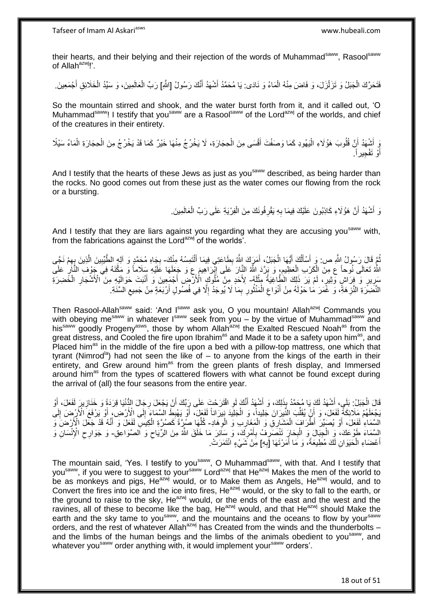their hearts, and their belying and their rejection of the words of Muhammad<sup>saww</sup>, Rasool<sup>saww</sup> of Allah $a^{2w}$ !'.

فَتَحَرَّكَ الْجَبَلُ وَ تَزَلْزَلَ، وَ فَاضَ مِنْهُ الْمَاءُ وَ نَادَى: يَا مُحَمَّدُ أَشْهَدُ أَنَّكَ رَسُولُ [الثَّمِ] رَبِّ الْعَالَمِينَ، وَ سَبِّدُ الْخَلَائِقِ أَجْمَعِينَ ْ ْ ْ َ َ أَ ْ ْ

So the mountain stirred and shook, and the water burst forth from it, and it called out, 'O Muhammad<sup>saww</sup>! I testify that you<sup>saww</sup> are a Rasool<sup>saww</sup> of the Lord<sup>azwj</sup> of the worlds, and chief of the creatures in their entirety.

نِ أَشْهَدُ أَنَّ قُلُوبَ هَؤُلَاءِ الْيَهُودِ كَمَا وَصَفْتَ أَقْسَى مِنَ الْحِجَارَةِ، لَا يَخْرُجُ مِنْهَا خَيْرٌ كَمَا قَدْ يَخْرُجُ مِنَ الْحِجَارَةِ الْمَاءُ سَيْلًا ْ َ :<br>ا َ ْ ْ أَوْ تَفْجِيراً. َ

And I testify that the hearts of these Jews as just as you<sup>saww</sup> described, as being harder than the rocks. No good comes out from these just as the water comes our flowing from the rock or a bursting.

> وَ أَشْهَدُ أَنَّ هَؤُلَاءِ كَاذِبُونَ عَلَيْكَ فِيمَا بِهِ يَقْرِفُونَكَ مِنَ الْفِرْيَةِ عَلَى رَبِّ الْعَالَمِينَ ِ **∶** َ َ ْ ْ

And I testify that they are liars against you regarding what they are accusing you<sup>saww</sup> with, from the fabrications against the Lord<sup>azwj</sup> of the worlds<sup>7</sup>.

نُمَّ قَالَ رَسُولُ اللَّهِ ص: وَ أَسْأَلُكَ أَيُّهَا الْجَبَلُ، أَمَرَكَ اللَّهُ بِطَاعَتِي فِيمَا أَلْتَمِسُهُ مِنْكَ- بِجَاهِ مُحَمَّدٍ وَ آلِهٍ الطَّيِّبِينَ الَّذِينَ بِهِمْ نَجَّى ْ َ ِ َ ْ َ اُ َ َ ِ ه ِ ِ اللَّهُ تَعَالَى نُوحاً ع مِنَ الْكَرْبِ اِلْعَظِيمِ، وَ بَرَّدَ اللَّهُ النَّالَ عَلَى إِبْْرَاهِيمَ ع وَ جَعَلَهَا عَلَيْهِ سِلَاماً وَ مَكَّنَهُ فِيَ جَوْفِ النَّالِ عَلَى ِ ْ ِ ِ سَرِيرٍ وَ ۖ فِرَاشٍ وَثِيرٍ ، لَمْ يَرَ ذَلِكَ الْطَّاغِيَةُ مِثْلَهُ- لِأَحَدٍ مِنْ مُلُوكٍ الْأَرْضِ أَجْمَعِينَ وَ أَنْبَتَ حَوَالَيْهِ مِنَ الْأَشْجَارِ الْخَضِرَةِ لَ ْ ِ َ َ ْ ِ َ النَّضِرَةِ النَّزِهَةِ، وَ غَمَرَ مَا حَوْلَهُ مِنْ أَنْوَاعِ الْمَنْثُورِ بِمَا لَا يُوجَدُ إِلَّا فِي فُصُولٍ أَرْبَعَةٍ مِنْ جَمِيعِ السَّنَةِ. َ ِ ِ ِ روبو ۽<br>با ْ ِ َ ِ ِ

Then Rasool-Allah<sup>saww</sup> said: 'And Isaww ask you, O you mountain! Allah<sup>azwj</sup> Commands you with obeying me<sup>saww</sup> in whatever I<sup>saww</sup> seek from you – by the virtue of Muhammad<sup>saww</sup> and his<sup>saww</sup> goodly Progeny<sup>asws</sup>, those by whom Allah<sup>azwj</sup> the Exalted Rescued Noah<sup>as</sup> from the great distress, and Cooled the fire upon Ibrahim<sup>as</sup> and Made it to be a safety upon him<sup>as</sup>, and Placed him<sup>as</sup> in the middle of the fire upon a bed with a pillow-top mattress, one which that tyrant (Nimrod<sup>ia</sup>) had not seen the like of  $-$  to anyone from the kings of the earth in their entirety, and Grew around him<sup>as</sup> from the green plants of fresh display, and Immersed around him<sup>as</sup> from the types of scattered flowers with what cannot be found except during the arrival of (all) the four seasons from the entire year.

قَالَ الْجَبَلُ: بَلَي، أَشْهَدُ لَكَ يَا مُحَمَّدُ بِذَلِكَ، وَ أَشْهَدُ أَنَّكَ لَوِ اقْتَرَحْتَ عَلَى رِبِّكَ أَنْ يَجْعَلَ رِجَالَ الثُّنْيَا قِرَدَةً وَ خَنَازِيرَ لَفَعَلَ، أَوْ َ ْ ِ **ٍ** َ **∶** َ َ َ يَجْعَلَهُمْ مَلَائِكَةً لِّفَعَلَ، وَ أَنْ يُقَلِّبَ النَّيرَانَ جَلِيداً، وَ الْجَلِيَدَ نِيرَاناً لَفَعِلَ، أَوْ يَهْبِطُ السَّمَاءَ إِلَى الْأَرْضِ، أَوْ يَرْفَعَ الْأَرْضِ إِلَى َ ْ ِّ َ لَ ِ َ ِ ِ َالسَّمَاءِ ٰ لَفَعَلَ، أَوْ يُصَبِّرَ ۗ أَطْرَافَ الْمَشَارِقِ وَ الْمَغَارِبِ وَ الْوِهَادِ- كُلِّهَا صَرِةً كَصُرَةِ الْكِيسِ لَفَعَلَ وَ أَنَّهُ قَدْ جَعَلَ الْأَرْضَ وَ ِ ِ ْ ْ َ َ ْ ِّ السَّمَاءَ طَوْعَكَ، وَ الْجِبَالَ وَ الْبِحَارَ تَنْصَرَفُ بِأَمْرِكَ، وَ سَائِرَ مَا خَلَقَ اللَّهُ مِنَ الرِّيَاحِ وَ اَلصَّوَاعِقِ- وَ جَوَارِحِ الْإِنْسَانِ وَ<br>أَمْسَمَاءَ طَوْعَكَ، وَ الْجِبَالَ وَ الْبِحَارَ  $\zeta$ ِ َ **∶ ∶ ∶** ْ ِ أَعْضَاءِ الْحَيَوَانِ لَكَ مُطِيعَةً، وَ مَا أَمَرْتَهَا [َبِهِ] مِنْ شَيْءٍ انْتَمَرَتْ. **∶** َ ْ َ

The mountain said, 'Yes. I testify to you<sup>saww</sup>, O Muhammad<sup>saww</sup>, with that. And I testify that you<sup>saww</sup>, if you were to suggest to your<sup>saww</sup> Lord<sup>azwj</sup> that He<sup>azwj</sup> Makes the men of the world to be as monkeys and pigs, He<sup>azwj</sup> would, or to Make them as Angels, He<sup>azwj</sup> would, and to Convert the fires into ice and the ice into fires, He<sup>azwj</sup> would, or the sky to fall to the earth, or the ground to raise to the sky,  $He^{azwj}$  would, or the ends of the east and the west and the ravines, all of these to become like the bag,  $He^{azwj}$  would, and that  $He^{azwj}$  should Make the earth and the sky tame to you<sup>saww</sup>, and the mountains and the oceans to flow by your<sup>saww</sup> orders, and the rest of whatever Allah<sup>azwj</sup> has Created from the winds and the thunderbolts – and the limbs of the human beings and the limbs of the animals obedient to you<sup>saww</sup>, and whatever you<sup>saww</sup> order anything with, it would implement your<sup>saww</sup> orders'.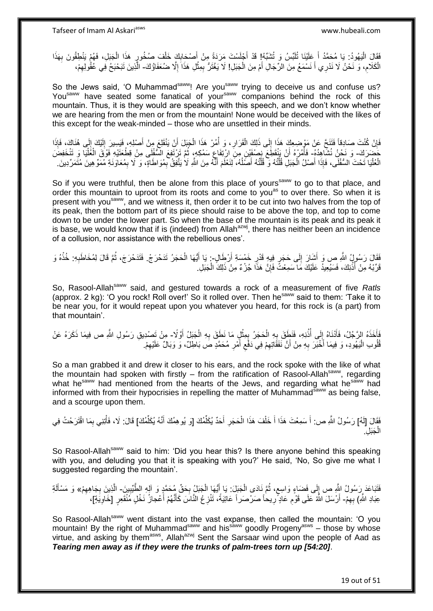فَقَالَ الْيَهُودُ: يَا مُحَمَّدُ أَ عَلَيْنَا تُلَبَّسُ وَ تُشَبِّهُ! قَدْ أَجْلَسْتَ مَرَدَةً مِنْ أَصْحَابِكَ خَلْفَ صُخُورٍ هَذَا الْجَبَلِ، فَهُمْ يَنْطِقُونَ بِهَذَا ْ ِ َ َ لَ َ :<br>ا **∶** ْ ِ الْكَلَامِ، وَ نَحْنُ لَا نَدْرِي أَ نَسْمَعُ مِنَ الرِّجَالِ أَمْ مِنَ الْجَبَلِ! لَا يَغْتَرُّ بِمِثْلِ هَذَا إِلَّا صَنُعَفَاؤُكَ- الَّذِينَ تَبَحْبَحُ فِي عُقُولِهِمْ، ِ ْ ْ َ ِ **ٔ** ِ ِ

So the Jews said, 'O Muhammad<sup>saww</sup>! Are you<sup>saww</sup> trying to deceive us and confuse us? You<sup>saww</sup> have seated some fanatical of your<sup>saww</sup> companions behind the rock of this mountain. Thus, it is they would are speaking with this speech, and we don't know whether we are hearing from the men or from the mountain! None would be deceived with the likes of this except for the weak-minded – those who are unsettled in their minds.

فَإِنْ كُنْتَ صَادِقاً فَتَنَحَّ عَنْ مَوْضِعِكَ هَذَا إِلَى ذَلِكَ الْقَرَارِ ، وَ أُمُرْ هَذَا الْجَبَلَ أَنْ يَنْقَلِعَ مِنْ أَصْلِهِ، فَيَسِيرَ إِلَيْكَ إِلَى هُنَاكَ، فَإِذَا َ ْ ْ **∶** ْ  $\frac{1}{2}$ ِ  $\frac{1}{2}$ لَ ِ َ خَصَرَكَ- وَ نَحْنُ نُشَاهِدُهُ- فَأُمُرْهُ أَنْ يَنْقَطِّعَ نِصْفَيْنِ مِنِّ ارْتِفَاعٍ سَمْكِهٍ، ثُمَّ تَرْتَفِعُ السُّفْلِي مِنْ قِطْعَتَيْهِ فَوْقَ الْغَلْيَا وَ تَنْخَفِضَ<br>وَوَقَا عَمَلَتُهُمْ مَنْ يَجْمَعُونَ مِنْ ا **ٔ** ْ ْ ُ ِ الْعُلْيَا تَحْتَ السُّفْلَى، فَإِذَا أَصْلُ الْجَبَلِ قُلَّتُهُ وَ قُلَّتُهُ أَصَلُهُ، لِنَعْلَمَ أَنَّهُ مِنَ اللَّهِ لَا يَتَّفِقُ بِمُوَاطَاةٍ، وَ لَا بِمُعَاوَنَةِ مُمَوِّ هِينَ مُتَمَرِّدِينَ َ ا<br>ا َ ه ه ْ ا<br>ا ِ ِ

So if you were truthful, then be alone from this place of yours<sup>saww</sup> to go to that place, and order this mountain to uproot from its roots and come to you<sup>as</sup> to over there. So when it is present with you<sup>saww</sup>, and we witness it, then order it to be cut into two halves from the top of its peak, then the bottom part of its piece should raise to be above the top, and top to come down to be under the lower part. So when the base of the mountain is its peak and its peak it is base, we would know that if is (indeed) from Allah $a$ <sup>azwj</sup>, there has neither been an incidence of a collusion, nor assistance with the rebellious ones'.

َفْقَالَ رَسُولُ اللَّهِ صِ وَ أَشَارَ إِلَى حَجَرٍ فِيهِ قَدْرِ خَمْسَةِ أَرْطَالٍ- يَا أَيُّهَا الْحَجَرُ تَدَحْرَجْ. فَتَدَحْرَجَ، ثُمَّ قَالَ لِمُخَاطَبِهِ: خُذْهُ وَ َ **∶**  $\frac{1}{2}$ َ **ٔ** ِ ُ ْ َ قَرِّبُهُ مِنْ أُذُنِكَ، فَسَيُعِيدُ عَلَيْكَ مَا سَمِعْتَ فَإِنَّ هَذَا جُزْءٌ مِنْ ذَلِكَ الْجَبَلِ. ِ ا<br>ا ْ

So, Rasool-Allahsaww said, and gestured towards a rock of a measurement of five *Ratls* (approx. 2 kg): 'O you rock! Roll over!' So it rolled over. Then he<sup>saww</sup> said to them: 'Take it to be near you, for it would repeat upon you whatever you heard, for this rock is (a part) from that mountain'.

.<br>أَأَخَذَهُ الرَّجُلُ، فَأَذَنَاهُ إِلَى أُذُنِهِ، فَنَطِّقَ بِهِ الْحَجَرُ بِمِثْلٍ مَا نَطَقَ بِهِ الْجَبَلُ أَوَّلًا- مِنْ تَصِبْدِقِ رَسُولِ اللَّهِ ص فِيمَا ذَكَرَهُ عَنْ َ ْ ِ ْ ِ ْ ِ ُ ∣∣<br>∶ اُ قُلُوبِ الْيَهُودِ، وَ فِيمَا أَخْبَرَ بِهِ مِنْ أَنَّ نَفَقَاتِهِمْ فِي دَفْعٍ أَمْرٍ مُحَمَّدٍ صَ بَاطِلٌ، وَ وَبَالٌ عَلَيْهِمْ. :<br>ا ِ **∶** َ  $\zeta$ ِ َ **∶** َ

So a man grabbed it and drew it closer to his ears, and the rock spoke with the like of what the mountain had spoken with firstly  $-$  from the ratification of Rasool-Allah<sup>saww</sup>, regarding what he<sup>saww</sup> had mentioned from the hearts of the Jews, and regarding what he<sup>saww</sup> had informed with from their hypocrisies in repelling the matter of Muhammad $\frac{3}{5}$  as being false. and a scourge upon them.

فَقَالَ [لَهُ] رَسُولُ اللَّهِ ص: أَ سَمِعْتَ هَذَا أَ خَلْفَ هَذَا الْحَجَرِ أَحَدٌ يُكَلِّمُكَ [وَ يُوهِمُكَ أَنَّهُ يُكَلِّمُكَ] قَالَ: لَا، فَأُتِنِي بِمَا اقْتَرَحْتُ فِي ِّ َ ِّ َ ِ ْ ْ َ َ ْ ْ ِل. َجَب ْ ال

So Rasool-Allah<sup>saww</sup> said to him: 'Did you hear this? Is there anyone behind this speaking with you, and deluding you that it is speaking with you?' He said, 'No, So give me what I suggested regarding the mountain'.

```
فَتَبَاعَدَ رِسُولُ اللَّهِ ص إِلَى فَضَاءٍ وَاسِع، ثُمَّ نَادَى الْجَبَلِ: يَا إَيُّهَا الْجَبَلُ بِحَقٌ مُحَمَّدٍ وَ آلِهِ الطَّيِّبِينَ- الَّذِينَ بِجَاهِهِمْ» وَ مَسْأَلَةِ
                                                                                  ∶
                                                                                            ْ
                                                                                                     َ
                                                                                                                     ْ
                                                                                                                                    ا ماہور ماہور<br>سال
                                                                                                                                          ٍ
                                                                                                                                                                   ।।<br>ॄ
                                              ¦
                  ِ
                          ِ
لَ
َ
                     عِبَادِ اللَّهِ) بِهِمْ- أَرْسَلَ اللَّهُ عَلَى قَوْمِ عَادٍ ۗ رِيحاً صَرْصَر أَ عَاتِيَةً، تَنْزِعُ النَّاسَ كَأَنَّهُمْ أَعْجازُ نَخْلٍ مُنْقَعِرٍ [خَاوِيَةٍ]،
                                                                                                                                                                                       ِ
                                                                  َ
                                                                          َ
                                                                                              ∶
                                                                                                                                       ٍ
                                                                                                                                                   ِ
                                                                                                                                                                                َ
                            ِ
```
So Rasool-Allah<sup>saww</sup> went distant into the vast expanse, then called the mountain: 'O you mountain! By the right of Muhammad<sup>saww</sup> and his<sup>saww</sup> goodly Progeny<sup>asws</sup> – those by whose virtue, and asking by them<sup>asws</sup>, Allah<sup>azwj</sup> Sent the Sarsaar wind upon the people of Aad as *Tearing men away as if they were the trunks of palm-trees torn up [54:20]*.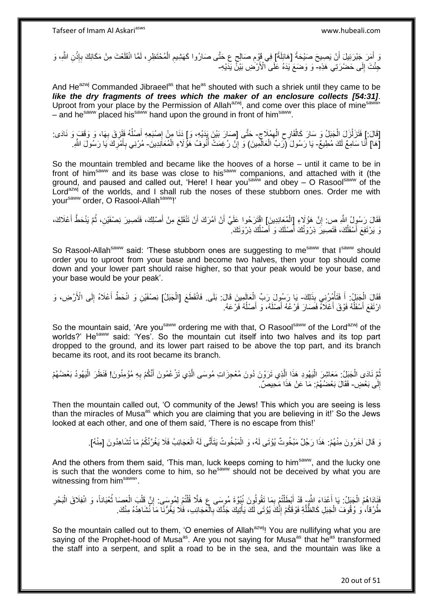وَ أَمَرَ جَبْرَئِيلَ أَنْ يَصِيحَ صَيْحَةً [هَائِلَةً] فِي قَوْمِ صَالِحٍ عِ حَتَّى صَارُوا كَهَشِيمِ الْمُحْتَظِرِ، لَمَّا انْقَلَعْتَ مِنْ مَكَانِكَ بِإِنْنِ اللَّهِ، وَ **∶** ْ ِ ِ **ٔ** ِ جِّئْتَ إِلَى حَضْرَتِي هَذِهِ- وَ وَضَعَ يَدَهُ عَلَى ۗالْأَرْضِ بَيْنً يَدَيْهِ-יִי (ו

And He<sup>azwj</sup> Commanded Jibraeel<sup>as</sup> that he<sup>as</sup> shouted with such a shriek until they came to be *like the dry fragments of trees which the maker of an enclosure collects [54:31]*. Uproot from your place by the Permission of Allah<sup>azwj</sup>, and come over this place of mine<sup>saww</sup> – and he<sup>saww</sup> placed his<sup>saww</sup> hand upon the ground in front of him<sup>saww</sup>.

ِ [قَالَ:] فَتَزَلْزَلَ الْجَبَلُ وَ سَارَ كَالْقَارِحِ الْهِمْلَاجِ- حَتَّى [صَارَ بَيْنَ يَدَيْهِ، وَ] دَنَا مِنْ إِصْبَعِهِ أَصْلُهُ فَلَزِقَ بِهَا، وَ وَقَفَ وَ نَادَى: ْ ْ ْ ِ ِ **∶** ُ َ ِ ِ [هَ] أَنَا سَامِعٌ لَكَ مُطِيعٌ- يَا رَسُولَ (َرَبِّ الْعَالَمِينَ) وَ إِنْ رُعِمَتٌ أُنُوفُ هَؤُلاءِ الْمُعَاَنِدِينَ- مُرْنِي بِأَمْرِكَ يَا رَسُولَ اللَّهِ ـ ِ ْ :<br>ا **∶** َ ِ

So the mountain trembled and became like the hooves of a horse – until it came to be in front of himsaww and its base was close to hissaww companions, and attached with it (the ground, and paused and called out, 'Here! I hear you<sup>saww</sup> and obey – O Rasool<sup>saww</sup> of the Lord<sup>azwj</sup> of the worlds, and I shall rub the noses of these stubborn ones. Order me with vour<sup>saww</sup> order, O Rasool-Allah<sup>saww</sup>!'

فَقَالَ رَسُولُ اللَّهِ صِ: إِنَّ هَؤُلَاءِ [الْمُعَانِدِينَ] اقْتَرَحُوا عَلَيَّ أَنْ آمُرَكَ أَنْ تَنْقَلِعَ مِنْ أَصْلِكَ، فَتَصِيرَ نِصْفَيْنِ، ثُمَّ يَنْحَطُّ أَعْلَاكَ، اٍ َ ُ اُ َ رَ يَرْتَفِعَ أَسْفَلُكَ، فَتَصِيرَ ذِرْوَتُكَ أَصْلَكَ وَ أَصْلُكَ ذِرْوَتَكَ ۚ اُ َ َ اُ َ

So Rasool-Allah<sup>saww</sup> said: 'These stubborn ones are suggesting to me<sup>saww</sup> that Isaww should order you to uproot from your base and become two halves, then your top should come down and your lower part should raise higher, so that your peak would be your base, and your base would be your peak'.

فَقَالَ الْجَنْلُ: أَ فَتَأْمُرُنِي بِذَلِكَ- يَا رَسُولَ رَبِّ الْعَالَمِينَ قَالَ: بَلَى فَانْقَطَعَ [الْجَبَلُ] نِصْفَيْنِ وَ انْحَطَّ أَعْلَاهُ إِلَى الْأَرْضِ، وَ<br>وَيَنَ الْجَمَعُ: يَوَفَّقُونَ وَفَقْدَتُوا بِنَ وَيَ **ٔ** ْ ْ ِ َ ارْتَفَعَ أَسْفَلُهُ فَوْقَ أَعْلَاهُ فَصَارَ فَرْعُهُ أَصْلَهُ، وَ أَصْلُهُ فَرْعَهُ. ا<br>ا َ َ ُ

So the mountain said, 'Are you<sup>saww</sup> ordering me with that, O Rasool<sup>saww</sup> of the Lord<sup>azwj</sup> of the worlds?' He<sup>saww</sup> said: 'Yes'. So the mountain cut itself into two halves and its top part dropped to the ground, and its lower part raised to be above the top part, and its branch became its root, and its root became its branch.

**∶** نْعَ نَادَى الْجَبَلُ: مَعَاشِرَ الْيَهُودِ هَذَا اِلَّذِي تَرَوْنَ دُونَ مُعْجِزَاتِ مُوسَى الَّذِي تَزْعُمُونَ أَنَّكُمْ بِهِ مُؤْمِنُونَ! فَنَظَرَ الْيَهُودُ بَعْضُهُمْ َ ه ه ْ ْ ْ إِلَى بَعْضٍ- فَقَالَ بَعْضُهُمْ: مَا عَنْ هَذَا مَحِيصٌ. יִי<br>;

Then the mountain called out, 'O community of the Jews! This which you are seeing is less than the miracles of Musa<sup>as</sup> which you are claiming that you are believing in it!' So the Jews looked at each other, and one of them said, 'There is no escape from this!'

> رَ قَالَ آخَرُونَ مِنْهُمْ: هَذَا رَجُلٌ مَبْخُوتٌ يُؤْتَى لَهُ، وَ الْمَبْخُوتُ يَتَأَتَّى لَهُ الْعَجَائِبُ فَلَا يَغُرَّنَّكُمْ مَا تُشَاهِدُونَ [مِنْهُ]. ْ َ ْ

And the others from them said, 'This man, luck keeps coming to him<sup>saww</sup>, and the lucky one is such that the wonders come to him, so he<sup>saww</sup> should not be deceived by what you are witnessing from him<sup>saww</sup>'.

فَذَاهُمُ الْجَبَلُ: يَا أَعْدَاءَ اللَّهِۦ قَدْ أَبْطَلْتُمْ بِمَا تَقُولُونَ نُبُوَّةَ مُوسَى ع هَلَّا قُلْتُمْ لِمُوسَى ۚ إِنَّ قَلْبَ الْعَصَا تُعْبَاناً، وَ انْفِلَاقَ الْبَحْرِ ْ ا<br>المقام ْ ْ ِ ْ ِ ֺ֧֦֦֧֦֦֖֦֦֦֖֦֧֦֪֦֧֦֪֪֦֧֦֪֦֪֦֪֦֧֦֪֦֧֦֪֦֧֦֧֦֪֪֦֧֦֪֪֦֧֦֧֦֧֪֝֟֟֟֟֟֟֟֟֟֟֟֟֟֟֟֟֟֟֟֟֟֬֟֟֓֟֟֟֓֞֟֟֟֓֞֟֟֟֟֩֓֞֟֟֓֞֟֟֟֟֟֟֟֟֝ َ ِ ْ طُرُقاً، ٰوَ وُقُوفَ الْجَبَلِ كَالظُّلَّةِ فَوْقَكُمْ إِنَّكَ يُؤْتَى لَكَ يَأْتِيكَ جَدًّكَ بِالْعَجَائِبِ، فَلَا يَغُرُّنَا مَاَ نَشَاهِدُهُ مِنْكَ. ِ ه ْ ْ ֦֧<u>֓</u> ِ

So the mountain called out to them, 'O enemies of Allah<sup>azwj</sup>! You are nullifying what you are saying of the Prophet-hood of Musa<sup>as</sup>. Are you not saying for Musa<sup>as</sup> that he<sup>as</sup> transformed the staff into a serpent, and split a road to be in the sea, and the mountain was like a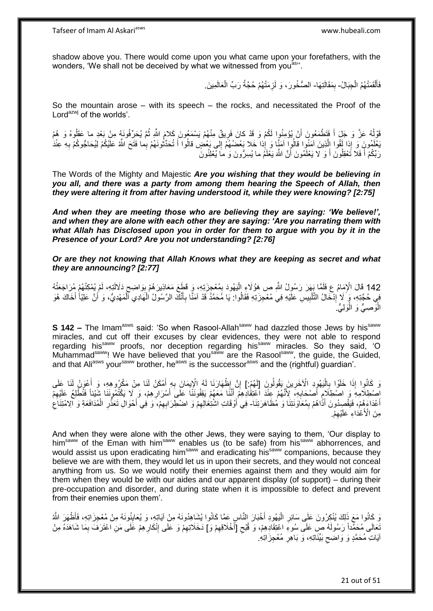shadow above you. There would come upon you what came upon your forefathers, with the wonders, 'We shall not be deceived by what we witnessed from you<sup>as</sup>".

> فَأَلْقَمَتْهُمُ الْجِبَالُ- بِمَقَالَتِهَا- الصُّخُورَ ، وَ لَزِمَتْهُمْ حُجَّةُ رَبِّ الْعَالَمِينَ ِ ْ ْ َ ِ ِ ْ

So the mountain arose  $-$  with its speech  $-$  the rocks, and necessitated the Proof of the Lord<sup>azwj</sup> of the worlds'.

قَوْلُهُ عَزَّ وَ جَلَ أَ فَتَطْمَعُونَ أَنْ يُؤْمِنُوا لَكُمْ وَ قَدْ كانَ فَرِيقٌ مِنْهُمْ يَسْمَعُونَ كَلامَ اللَّهِ ثُمَّ يُحَرِّفُونَهُ مِنْ بَعْدِ ما عَقَلُوهُ وَ هُمْ ا<br>ا َ ُ ُ **ٍ** بَعْلَمُونٍَ وَ إِذا لَقُوا إِلَّذِينَ آمَنُوا قالُوا آمَنَا وَ إِذا خَلا بَعْضُهُمْ إِلى بَعْضٍ قالُوا أَ تُحَدِّثُونَهُمْ بِما فَتَحَ اللَّهُ عَلَيْكُمْ لِيُحَاجُوكُمْ بِهِ عِنْدَٰ  $\frac{1}{2}$ ه ان<br>أما َ ِ رَبَّكُمْ أَ فَلا تَعْقِلُونَ أَ وَ لا يَعْلَمُونَ أَنَّ اللَّهَ يَعْلَمُ ما يُسِرُّونَ وَ ٰمَا يُعْلِنُونَ َ َ

The Words of the Mighty and Majestic *Are you wishing that they would be believing in you all, and there was a party from among them hearing the Speech of Allah, then they were altering it from after having understood it, while they were knowing? [2:75]*

*And when they are meeting those who are believing they are saying: 'We believe!', and when they are alone with each other they are saying: 'Are you narrating them with what Allah has Disclosed upon you in order for them to argue with you by it in the Presence of your Lord? Are you not understanding? [2:76]*

*Or are they not knowing that Allah Knows what they are keeping as secret and what they are announcing? [2:77]*

ْم ُي ِت ِه، لَ َما ُم ع َدََللَ ْْلِ ِ <sup>142</sup> َقا َل <sup>ا</sup> َوا ِضح ُمْع ِج َزِت ِه، َو َق َط َع َمَعاِذي َر ُه ْم ب َي ُهوَد ب هما َب َه َر َر ُسو ُل هَّللاِ ص َهُؤََل ِء ال ت ُه َ ُهْم ُم َرا َجَع َفل ُ ْمِكنْ ِ ِ :<br>ا فِي حُجَّتِهِ، وَ لَا إِدْخَالُ التَّلْبِيسِ عَلَيْهِ فِي مُعْجِزَتِهِ فَقَالُوا: يَا مُحَمَّدُ قَدْ آمَنًا بِأَنَّكَ الرَّسُولُ الْهَادِي الْمَهْدِيُّ، وَ أَنَّ عَلِيّاً أَخَاكَ هُوَ ُ **!** ْ יִי (ו َ َ ْ ْ َ ِ الْوَصِـيُّ وَ الْوَلِـيُّ. ْ :<br>ا

**S 142 –** The Imam<sup>asws</sup> said: 'So when Rasool-Allah<sup>saww</sup> had dazzled those Jews by his<sup>saww</sup> miracles, and cut off their excuses by clear evidences, they were not able to respond regarding his<sup>saww</sup> proofs, nor deception regarding his<sup>saww</sup> miracles. So they said, 'O Muhammad<sup>saww</sup>! We have believed that you<sup>saww</sup> are the Rasool<sup>saww</sup>, the guide, the Guided, and that Ali<sup>asws</sup> your<sup>saww</sup> brother, he<sup>asws</sup> is the successor<sup>asws</sup> and the (rightful) quardian'.

وَ كَانُوا إِذَا خَلَوْا بِالْيَهُوِدِ الْآخَرِينَ يَقُولُونَ [لَهُمْ:] إِنَّ إِظْهَارَنَا لَهُ الْإِيمَانَ بِهِ أَمْكَنُ لَنَا مِنْ مَكْرُوهِهِ، وَ أَعْوَنُ لَنَا عَلَى َ ِ ∣<br>; ِ ِ :<br>ا **∶** َ اِصْطِلَامِهِۢ وَ اصْطِلَامِ أَصْحَابِهِ، ۚ لِأَنَّهُمْ عِنْدَ اعْتِقَادِهِمْ ۖ أَنَنًا مَعَهُمْ يَقِفُونَنَا عَلَى أَسْرَارِهِمْ، وَ لَا يَكْتُمُونَنَا فَنُطْلِعُ عَلَيْهِمْ َ ِ ِ ِ **∶** َ أَعْدَاءَهُمْ، فَيَقْصِدُونَ أَذَّاهُمْ بِمُعَاوَنَتِنَا وَ مُظَاهَرَتِنَا- فِي أَوْقَاتِ اشْتِغَالِهِمْ وَ اضْطِرَابِهِمْ، وَ فِي أَحْوَالِ تَعَذُّرِ الْمُدَافَعَةِ وَ الِامْتِنَاعِ ِ َ ْ ِ َ ِ ِ اُ ِ مِنَ الْأَعْدَاءِ عَلَيْهِمْ. ِ

And when they were alone with the other Jews, they were saying to them, 'Our display to him<sup>saww</sup> of the Eman with him<sup>saww</sup> enables us (to be safe) from his<sup>saww</sup> abhorrences, and would assist us upon eradicating him<sup>saww</sup> and eradicating his<sup>saww</sup> companions, because they believe we are with them, they would let us in upon their secrets, and they would not conceal anything from us. So we would notify their enemies against them and they would aim for them when they would be with our aides and our apparent display (of support) – during their pre-occupation and disorder, and during state when it is impossible to defect and prevent from their enemies upon them'.

وَ كَانُوا مَعَ ذَلِكَ يُنْكِرُونَ عَلَى سَائِرِ الْيَهُودِ أَخْبَارَ النَّاسِ عَمَّا كَانُوا يُشَاهِدُونَهُ مِنْ إِيَاتِهِ، وَ يُعَايِنُونَهُ مِنْ مُعْجِزَاتِهِ، فَأَظْهَرَ اللَّهُ ْ ِ ِ نَعَالَى مُحَمِّّداً رَسُولَهُ صِ عَلَى سُوءِ اعْتِقَادِهِمْ، وَ قُبْحِ [َأَخْلَاقِهِمْ وَ] دَخَلَاتِهِمْ وَ عَلَى إِنْكَارِهِمْ عَلَى مَنِ اعْتَرَفَ بِمَا شَاهَدَهُ مِنْ َ  $\zeta$ ِ ِ ِ ِ ِ آيَاتِ مُحَمَّدٍ وَ وَاضِحِ بَيِّنَاتِهِ، وَ بَاهِرِ مُعْجِزَاتِهِ. **∶** ِ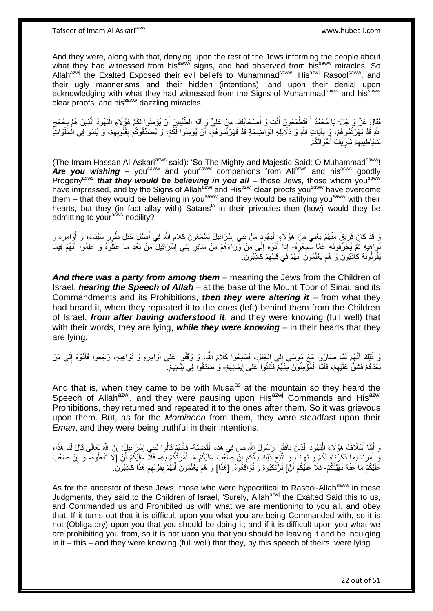And they were, along with that, denying upon the rest of the Jews informing the people about what they had witnessed from his<sup>saww</sup> signs, and had observed from his<sup>saww</sup> miracles. So Allah<sup>azwj</sup> the Exalted Exposed their evil beliefs to Muhammad<sup>saww</sup>, His<sup>azwj</sup> Rasool<sup>saww</sup>, and their ugly mannerisms and their hidden (intentions), and upon their denial upon acknowledging with what they had witnessed from the Signs of Muhammad<sup>saww</sup> and his<sup>saww</sup> clear proofs, and his<sup>saww</sup> dazzling miracles.

فَقَالَ عَزَّ وَ جَلَّ: يَا مُحَمَّدُ أَ فَتَطْمَعُونَ أَنْتَ وَ أَصْحَابُكَ- مِنْ عَلِيٍّ وَ آلِهِ الطَّيِّبِينَ أَنْ يُؤْمِنُوا لَكُمْ هَؤُلَاءِ الْيَهُودُ الَّذِينَ هُمْ بِحُجَج َ َ ِ َ ِ ِ ه ْ لَّهِ قَدْ بَهَرْتُمُو هُمْ، وَ بِآيَاتِ اللَّهِ وَ دَلَائِلِهِ الْوَاضِحَةِ قَدْ قَهَرْتُمُو هُمْ، أَنْ يُؤْمِنُوا لَكُمْ، وَ يُصَدِّقُوكُمْ بِقُلُوبِهِمْ، وَ يُيْدُو فِي الْخَلَوَاتِّ :<br>ا **∶** ِ ِ اُ ْ لِشَيَاطِينِهِمْ شَرِيفَ أَحْوَالِكُمْ. َ ِ ِ

(The Imam Hassan Al-Askari<sup>asws</sup> said): 'So The Mighty and Majestic Said: O Muhammad<sup>saww</sup>! Are you wishing – you<sup>saww</sup> and your<sup>saww</sup> companions from Ali<sup>asws</sup> and his<sup>asws</sup> goodly Progeny<sup>asws</sup> *that they would be believing in you all* – these Jews, those whom you<sup>saww</sup> have impressed, and by the Signs of Allah<sup>azwj</sup> and His<sup>azwj</sup> clear proofs you<sup>saww</sup> have overcome them – that they would be believing in you<sup>saww</sup> and they would be ratifying you<sup>saww</sup> with their hearts, but they (in fact allay with) Satans<sup>la</sup> in their privacies then (how) would they be admitting to your<sup>asws</sup> nobility?

وَ قَدْ كانَ فَرِيقٌ مِنْهُمْ يَعْنِي مِنْ هَؤُلَاءِ اِلْيَهُودِ مِنْ بَنِي إِسْرَائِيلَ يَسْمَعُونَ كَلامَ اللَّهِ فِي أَصْلِ جَبَلِ طُورِ سَيْنَاءَ، وَ أَوَرامِرِهِ وَ ِ ِ ْ ِ َ ِ َ َفَوَاهِيهِ ثُمَّ يُحَرِّفُونَهُ عَمَّا سَمِعُوهُ- إِذَا أَدَّوْهُ إِلَى مَنْ وَرَاءَهُمْ مِنْ سَائِرِ بَنِي إِسْرَائِيلَ مِنْ بَعْدِ ما عَقَلُوهُ وَ عَلِمُوا أَنَّهُمْ فِيمَا لَ  $\frac{1}{2}$ َ ِ **∶** ُ َ يَقُولُونَهُ كَاذِبُونَ وَ هُمْ يَعْلَمُونَ أَنَّهُمْ فِي قِيلِهِمْ كَاذِبُونَ. ِ َ

And there was a party from among them – meaning the Jews from the Children of Israel, *hearing the Speech of Allah* – at the base of the Mount Toor of Sinai, and its Commandments and its Prohibitions, *then they were altering it* – from what they had heard it, when they repeated it to the ones (left) behind them from the Children of Israel, *from after having understood it*, and they were knowing (full well) that with their words, they are lying, *while they were knowing* – in their hearts that they are lying.

وَ ذَلِكَ أَنَّهُمْ لَمَّا صَارُِوا مَعَ مُوسَى إِلَى اِلْجَبَلِ، فَسَمِعُوا كَلَامَ اللَّهِ، وَ وَقَفُوا عَلَى أَوَامِرِهِ وَ نَوَاهِيهِ، رَجَعُوا فَأَدَّوْهُ إِلَى مَنْ ِ َ ْ ֖֚֚֝׀<br>֧֪֪֚ ٍّ أ لَ ِ َ بَعْدَهُمْ فَشَقَّ عَلَيْهِمْ، فَأَمَّا الْمُؤْمِنُونَ مِنْهُمْ فَثَبَتُوا عَلَى إِيمَانِهِمْ- وَ صَدَقُوا فِي نِيَّاتِهِمْ. ِ ة<br>أ ْ َ ِ ِ ِ

And that is, when they came to be with Musa<sup>as</sup> at the mountain so they heard the Speech of Allah<sup>azwj</sup>, and they were pausing upon His<sup>azwj</sup> Commands and His<sup>azwj</sup> Prohibitions, they returned and repeated it to the ones after them. So it was grievous upon them. But, as for the *Momineen* from them, they were steadfast upon their *Eman*, and they were being truthful in their intentions.

وَ أَمَّا أَسْلَافُ هَؤُلَاءِ الْيَهُودِ الَّذِينَ نَافَقُوا رَسُولَ اللَّهِ ص فِي هَذِهِ الْقَضِيَّةِ- فَإِنَّهُمْ قَالُوا لِبَنِي إِسْرَائِيلِ: إِنَّ اللَّهَ تَعَالَى قَالَ لَنَا هَذَا، ْ ه :<br>ا َ َ ِ ِ ِ وَ أَمَرَنَا بِمَا ذَكَرْنَاهُ لَكُمْ وَ نَهَانَا، وَ اتَّبَعَ ذَلِكَ بِأَنَّكُمْ إِنْ صَعُبَ عَلَيْكُمْ مَا أَمَرْتُكُمْ بِهِ- فَلَا عَلِيْكُمْ أَنْ [لا تَفْعَلُوهُ- وَ إِنْ صَعُبَ ِ َ ِ َ **∶** ِ َ ُ َ ِ عَلَيْكُمْ مَا َعَنْهُ نَهَيْتُكُمْ- فَلَا عَلَيْكُمْ أَنْ] تَرْتَّكِبُوهُ وَ تُوَافِعُوهُ. [هَذَا] وَ هُمْ يَعْلَمُونَ أَنَّهُمْ بِقَوْلِهِمْ هَذَا كَاذِبُونَ. َ ِ ِ َ

As for the ancestor of these Jews, those who were hypocritical to Rasool-Allah<sup>saww</sup> in these Judgments, they said to the Children of Israel, 'Surely, Allah<sup>azwj</sup> the Exalted Said this to us, and Commanded us and Prohibited us with what we are mentioning to you all, and obey that. If it turns out that it is difficult upon you what you are being Commanded with, so it is not (Obligatory) upon you that you should be doing it; and if it is difficult upon you what we are prohibiting you from, so it is not upon you that you should be leaving it and be indulging in it – this – and they were knowing (full well) that they, by this speech of theirs, were lying.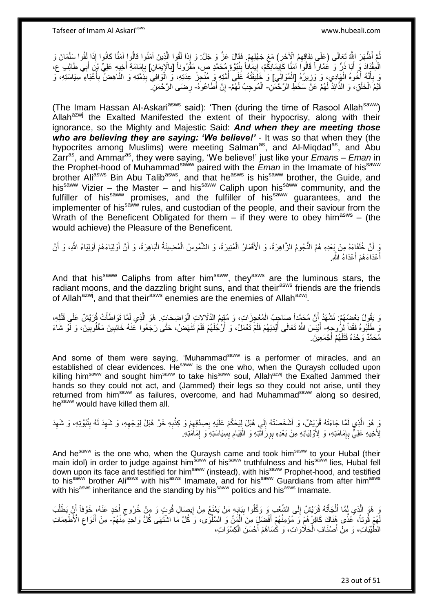ُمَّ أَظْهَرَ الثَّهُ تَعالَى (عَلَى نِفَاقِهِمُ الْإِخَرِ) مَعَ جَهْلِهِمْ فَقَالَ عَزَّ وَ جَلَّ: وَ إِذا لَقُوا الَّذِينَ آمَنُوا قالُوا آمَنَّا كَانُوا إِذَا لَقُوا سَلْمَانَ وَ ه ِ ¦ ْ الْمِقْدَادَ وَ أَبَا ذَرٌ وَ عُمَّاراً قَالُوا آمَنَّا كَابِمَانِكُمْ، إِيمَاناً بِنُبُوَّةٍ مُحَمَّدٍ ص، مَقْرُوناً [بِالْإِيمَانِ] بِإِمَامَةِ أَخِيهِ عَلِيِّ بِنَ أَبِي طَالِبِ ع،<br>الْمِقْدَادَ وَ أَبَا ذُرٌ وَ عُمَّار ِ ِ ֧֦֧֦֧֦֧֦֧֦֧֦֧֦֧֦֧֦֧֦֧֦ׅ֦֧֦֧֦֧֦֧֦֧֦֧֦֧֦֧֦֧֦֧֦֧֦֧ׅ֦֧ׅ֦֧֦֚֬֜֓֡֜֓֡֜֓֞֡ ِ َ َ َ ِ ِ وَ بِأَنَّهُ أُخُوهُ الْهَادِي، وَ وَزِيرُهُ [الْمُوَالِّي] وَ خَلِيفَتُهُ عَلَى أُمَّتِهِ وَ مُنْجِزُ عِدَتِهِ، وَ الْوَافِيَ بِذَمَّتِهِ وَ النَّاهِضُ بِأَعْبَاءِ سِيَاسَتِهِ، وَ ْ ِ ْ َ ֧֞<sup>֟</sup>֓֡֘֩׆ **∶** ِ ْ ا<br>ا َ ِ قَيِّمُ الْخَلْقِ، وَ الذَّائِدُ لَهُمْ عَنَّ سَخَطٍ الرَّحْمَٰنِ- الْمُوحِبُ لَهُمْ- إِنْ أَطَاعُوهُ- رِضَى الرَّحْمَنِ ْ ْ ْ ِ ِ

(The Imam Hassan Al-Askari<sup>asws</sup> said): 'Then (during the time of Rasool Allah<sup>saww</sup>) Allah $a^{2xy}$  the Exalted Manifested the extent of their hypocrisy, along with their ignorance, so the Mighty and Majestic Said: *And when they are meeting those who are believing they are saying: 'We believe!'* - It was so that when they (the hypocrites among Muslims) were meeting Salman<sup>as</sup>, and Al-Miqdad<sup>as</sup>, and Abu Zarras, and Ammaras, they were saying, 'We believe!' just like your *Eman*s – *Eman* in the Prophet-hood of Muhammadsaww paired with the *Eman* in the Imamate of hissaww brother Ali<sup>asws</sup> Bin Abu Talib<sup>asws</sup>, and that he<sup>asws</sup> is his<sup>saww</sup> brother, the Guide, and his<sup>saww</sup> Vizier – the Master – and his<sup>saww</sup> Caliph upon his<sup>saww</sup> community, and the fulfiller of his<sup>saww</sup> promises, and the fulfiller of his<sup>saww</sup> guarantees, and the implementer of his<sup>saww</sup> rules, and custodian of the people, and their saviour from the Wrath of the Beneficent Obligated for them  $-$  if they were to obey him<sup>asws</sup>  $-$  (the would achieve) the Pleasure of the Beneficent.

وَ أَنَّ خُلَفَاءَهُ مِنْ بَعْدِهِ هُمُ النُّجُومُ الزَّاهِرَةُ، وَ الْأَقْمَارُ الْمُنِيرَةُ، وَ الشَّمُوسُ الْمُضِينَةُ الْبَاهِرَةُ، وَ أَنَّ أَوْلِيَاءَهُمْ أَوْلِيَاءُ اللَّهِ، وَ أَنَّ ْ ْ َ َ َ َ :<br>ا أَعْدَاءَهُمْ أَعْدَاءُ اللَّهِ. َ

And that his<sup>saww</sup> Caliphs from after him<sup>saww</sup>, they<sup>asws</sup> are the luminous stars, the radiant moons, and the dazzling bright suns, and that their<sup>asws</sup> friends are the friends of Allah<sup>azwj</sup>, and that their<sup>asws</sup> enemies are the enemies of Allah<sup>azwj</sup>.

وَ يَقُولُ بَعْضُهُمْ: نَشْهَدُ أَنَّ مُحَمَّداً صَاحِبُ الْمُعْجِزَاتِ، وَ مُقِيمُ الذَّلالاتِ الْواضِحَاتِ. هُوَ الَّذِي لَمَّا تَوَاطَأَتْ قُرَيْشٌ عَلَى قَتْلِهِ، اُ َ ه ْ ْ يَ طَلِّبُوهُ فَقْداً لِرُوجِهِ- أَيْبَسَ اللَّهُ تَعَالَى أَيْدِيَهُمْ فَلَمْ تَعْمَلْ، وَ أَرْجُلَهُمْ فَلَمْ تَنْهَضَْ، حَتَّى رَجَعُوا كَنْهُ خَانِبِينَ مَغْلُوبِينَ، وَ لَّوْ شَاءَ َ َ ِ ِ مُحَمَّدٌ وَحْدَهُ قَتَلَهُمْ أَجْمَعِينَ.

And some of them were saying, 'Muhammad<sup>saww</sup> is a performer of miracles, and an established of clear evidences. He<sup>saww</sup> is the one who, when the Quraysh colluded upon killing him<sup>saww</sup> and sought him<sup>saww</sup> to take his<sup>saww</sup> soul, Allah<sup>azwj</sup> the Exalted Jammed their hands so they could not act, and (Jammed) their legs so they could not arise, until they returned from him<sup>saww</sup> as failures, overcome, and had Muhammad<sup>saww</sup> along so desired, hesaww would have killed them all.

رَ ٍ هُوَ الَّذِي لَمَّا جَاءَتْهُ قُرَبِّشٌ، وَ أَشْخَصَتْهُ إِلَى هُبَلَ لِيَحْكُمَ عَلَيْهِ بِصِدْقِهِمْ وَ كِذْبِهِ خَرَّ هُبَلُ لِوَجْهِهِ، وَ شَهِدَ لَهُ بِنُبُوَّتِهِ، وَ شَهِدَ ِ **ٔ** ِ ِ ∣∣<br>∶ َ ِ ِ ِ ِ ة<br>أ ِلأَخِيهِ عَلِيٍّ بِإِمَامَتِهِ، وَ لِأَوْلِيَائِهِ مِنْ بَعْدِهِ بِوِرَاثَتِهِ وَ الْقِيَامِ بِسِيَاسَتِهِ وَ إِمَامَتِهِ. ِ ِ **∶** َ ِ ِ ِ ْ

And he<sup>saww</sup> is the one who, when the Quraysh came and took him<sup>saww</sup> to your Hubal (their main idol) in order to judge against him<sup>saww</sup> of his<sup>saww</sup> truthfulness and his<sup>saww</sup> lies, Hubal fell down upon its face and testified for him<sup>saww</sup> (instead), with his<sup>saww</sup> Prophet-hood, and testified to his<sup>saww</sup> brother Ali<sup>asws</sup> with his<sup>asws</sup> Imamate, and for his<sup>saww</sup> Guardians from after him<sup>asws</sup> with his<sup>asws</sup> inheritance and the standing by his<sup>saww</sup> politics and his<sup>asws</sup> Imamate.

وَ هُوَ الَّذِي لَمَّا أَلْجَأَتُهُ قُرَيْشٌ إِلَى الشِّعْبِ وَ وَكَلُوا بِبَابِهِ مَنْ يَمْنَعُ مِنْ إِيصَالِ قُوتٍ وَ مِنْ خُرُوجٍ أَحَدٍ عَنْهُ، خَوْفاً أَنِْ يَطْلُبَ ِ ِ **∣**  $\frac{1}{2}$ َ ْ َ ُ َ ِ لَّهُمْ فُُوتاً، ۚ غَذًى هُذَاكَ كَافِرُ هُمْ وَ مُؤْمِنُهُمْ أَفْضَلِّ مِنَ الْمَنِّ وَ الْسَّلْوَى، وَ كُلَّ مَا اشْتَهَى كُلِّ وَاحِدٍۖ مِنْهُمْ- مِنْ أَنْوَاع الْأَطْعِمَاتِ ْ َ ِ َ الطَّيِّبَاتِ، وَ مِنْ أَصْنَافِ الْحَلَاوَاتِ، وَ كَسَاهُمْ أَحْسَنَ الْكِسْوَاتِ، ْ َ ْ َ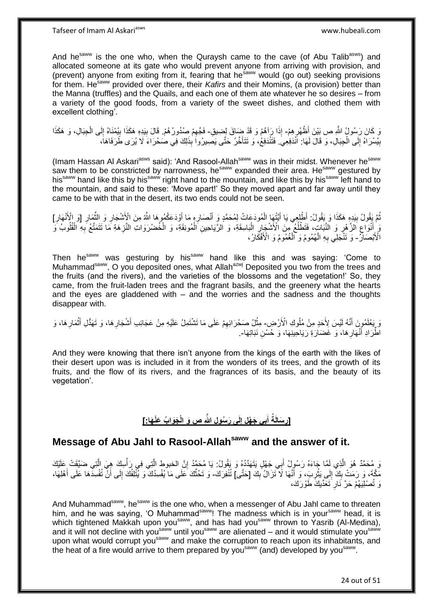And he<sup>saww</sup> is the one who, when the Quraysh came to the cave (of Abu Talib<sup>asws</sup>) and allocated someone at its gate who would prevent anyone from arriving with provision, and (prevent) anyone from exiting from it, fearing that he<sup>saww</sup> would (go out) seeking provisions for them. He<sup>saww</sup> provided over there, their *Kafirs* and their Momins, (a provision) better than the Manna (truffles) and the Quails, and each one of them ate whatever he so desires – from a variety of the good foods, from a variety of the sweet dishes, and clothed them with excellent clothing'.

يَ كَانَ رَسُولُ اللَّهِ ص بَيْنَ أَظْهُرِهِمْ- إِذَا رَآهُمْ وَ قَدْ ضَاقَ لِضِيقٍ- فَجِّهِمْ صُدُورُهُمْ. قَالَ بِيَدِهِ هَكَذَا بِيُمْنَاهُ إِلَى الْجِبَالِ، وَ هَكَذَا ِ ِ ِ ْ ِ ِ بِيُسْرَاهُ إِلَى الْجِبَالِ، وَ قَالَ لَهَا: اَنْدَفِعِيَ. فَتَتْدَفِعُ، وَ تَتَأَخَّرُ حَتَّى يَصِيرُوا بِذَلِكَ فِي صَحْرَاءَ لَا يُرَى طَرَفَاهَا، َ ْ  $\frac{1}{2}$ **∣** 

(Imam Hassan Al Askari<sup>asws</sup> said): 'And Rasool-Allah<sup>saww</sup> was in their midst. Whenever he<sup>saww</sup> saw them to be constricted by narrowness, he<sup>saww</sup> expanded their area. He<sup>saww</sup> gestured by his<sup>saww</sup> hand like this by his<sup>saww</sup> right hand to the mountain, and like this by his<sup>saww</sup> left hand to the mountain, and said to these: 'Move apart!' So they moved apart and far away until they came to be with that in the desert, its two ends could not be seen.

نُّمَّ يَقُولُ بِيَدِهِ هَكَذَا وَ بَقُولُ: أَطْلِعِي يَا أَيَّتُهَا الْمُودَعَاتُ لِمُحَمَّدٍ وَ أَنْصَارِهِ مَا أَوْدَعَكُمُوهَا اللَّهُ مِنَ الْإَشْجَارِ وَ الثَّمَارِ [وَ الْأَنْهَارِ] ُ ِ َ ْ َ **!** ِ ِ ِّ ِ َ ْ هَ إِنَّوَاعِ الزَّهْرِ وَ النَّبَاتِ، فَتَطْلُعُ مِنَ الْأَشْجَارِ الْبَاسِقَةِ، وَ الرَّيَاحِينِ الْمُونِقَةِ، وَ الْخُضْرَوَاتِ النَّزِهَةِ مَا نَتَمَتَّعُ بِهِ الْقُلُوبُ وَ ِ ا<br>ا ِ ِ ُ ْ ِ ِ ْ الْأَبْصَالُ- وَ تَتْجَلِّي بِهِ الْهُمُومُ وَ الْغُمُومُ وَ الْأَفْكَارُ، ْ ْ ِ

Then he<sup>saww</sup> was gesturing by his<sup>saww</sup> hand like this and was saying: 'Come to Muhammad<sup>saww</sup>, O you deposited ones, what Allah<sup>azwj</sup> Deposited you two from the trees and the fruits (and the rivers), and the varieties of the blossoms and the vegetation!' So, they came, from the fruit-laden trees and the fragrant basils, and the greenery what the hearts and the eyes are gladdened with – and the worries and the sadness and the thoughts disappear with.

رَ يَعْلَمُوِنَ أَنَّهُ لَيْسَ لِأَحَدٍ مِنْ مُلُوكِ الْأَرْضِ- مِثْلُ صَحْرَائِهِمْ عَلَى مَا تَشْتَمِلُ عَلَيْهِ مِنْ عَجَائِبِ أَشْجَارِ هَا، وَ تَهَدُّلِ أَثْمَارِ هَا، وَ َ ِ ْ َ ِ َ ِ ْ اَطِّرَادِ أَنْهَارِ هَا، وَ غَضَارَةِ رَيَاحِينِهَا، وَ خُسْنِ نَبَاتِهَا-. ِ َ

And they were knowing that there isn't anyone from the kings of the earth with the likes of their desert upon was is included in it from the wonders of its trees, and the growth of its fruits, and the flow of its rivers, and the fragrances of its basis, and the beauty of its vegetation'.

### [رِسَالَةُ أَبِي جَهْلِ إِلَى رَسُولِ اللَّهِ صِ وَ الْجَوَابُ عَنْهَا:] **ِ َ ِ**

## **Message of Abu Jahl to Rasool-Allahsaww and the answer of it.**

وَ مُحَمَّدٌ هُوَ الَّذِي لَمَّا جَاءَهُ رَسُولُ أَبِي جَهْلٍ يَتَهَدَّدُهُ وَ يَقُولُ: يَا مُحَمَّدُ إِنَّ الخبوط الَّتِي فِي رَأْسِكَ هِيَ الَّتِي ضَيَّقَتْ عَلَيْكَ ه ِ َ ه ْ مَكَّةَ، وَ رَمَتْ بِكَ إِلَى يَثْرِبَ، وَ أَنَّهَا لَا تَزَالُ بِكَ [حَتَّى] تُنْفِرَكَ- وَ تَحُثُّكَ عَلَى مَا يُفْسِدُكَ وَ يُنْلِفُكَ إِلَى أَنْ تُفْسِدَهَا عَلَى أَهْلِهَا، ِ َ ِ ْ  $\frac{1}{2}$ ِ ه َ َ ِ وَ تُصْلِيَهُمْ حَرَّ نَارِ َتَعَدِّيكَ طَوْرَكَ، ِ

And Muhammad<sup>saww</sup>, he<sup>saww</sup> is the one who, when a messenger of Abu Jahl came to threaten him, and he was saying, 'O Muhammad<sup>saww</sup>! The madness which is in your<sup>saww</sup> head, it is which tightened Makkah upon you<sup>saww</sup>, and has had you<sup>saww</sup> thrown to Yasrib (Al-Medina), and it will not decline with you<sup>saww</sup> until you<sup>saww</sup> are alienated – and it would stimulate you<sup>saww</sup> upon what would corrupt you<sup>saww</sup> and make the corruption to reach upon its inhabitants, and the heat of a fire would arrive to them prepared by you<sup>saww</sup> (and) developed by you<sup>saww</sup>.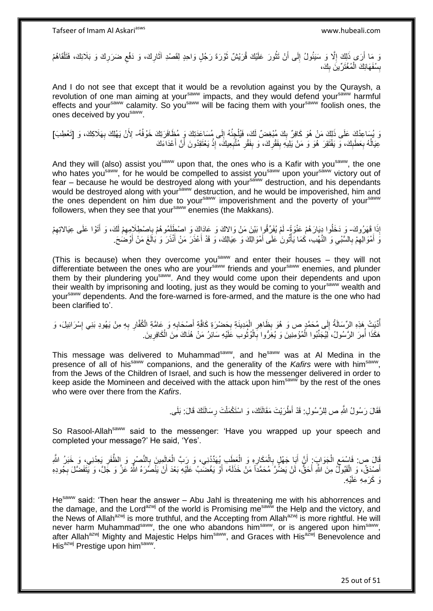وَ مَا أَرَى ذَلِكَ إِلَّا وَ سَيَئُولُ إِلَى أَنْ تَثُورَ عَلَيْكَ قُرَيْشٌ ثَوْرَةَ رَجُلٍ وَاحِدٍ لِقَصْدِ آثَارِكَ، وَ دَفْعِ ضَرَرِكَ وَ بَلَائِكَ، فَتَلْقَاهُمْ **∶** َ َ ان مان ا َ  $\frac{1}{2}$ ِ ْ ِ ِ بِسُفَهَائِكَ الْمُغْتَرِّينَ بِكَ،  $\frac{1}{2}$ ْ **ِ** 

And I do not see that except that it would be a revolution against you by the Quraysh, a revolution of one man aiming at your<sup>saww</sup> impacts, and they would defend your<sup>saww</sup> harmful effects and your<sup>saww</sup> calamity. So you<sup>saww</sup> will be facing them with yoursaww foolish ones, the ones deceived by you<sup>saww</sup>.

وَ يُسَاعِدُكَ عَلَى ذَلِكَ مَنْ هُوَ كَافِرٌ بِكَ مُبْغِضٌ لَكَ، فَيُلْجِئُهُ إِلَى مُسَاعَدَتِكَ وَ مُظَافَرَتِكَ خَوْفُهُ- لِأَنْ يَهْلِكَ بِهَلَاكِكَ، وَ [تَعْطِبَ] ِ ْ ِ **∶** َ عِيَالُهُ بِعَطَبِكَ، وَ يَفْتَقِرَ هُوَ وَ مَنْ يَلِيهِ بِفَقْرِكَ، وَ بِفَقْرِ مُتَّبِعِيكَ، إِذْ يَعْتَقِدُونَ أَنَّ أَعْدَاءَكَ ِ ِ **ِ** ِ **ِ** ِ ِ َ اً **ٔ** 

And they will (also) assist you<sup>saww</sup> upon that, the ones who is a Kafir with you<sup>saww</sup>, the one who hates you<sup>saww</sup>, for he would be compelled to assist you<sup>saww</sup> upon your<sup>saww</sup> victory out of fear – because he would be destroyed along with your<sup>saww</sup> destruction, and his dependants would be destroyed along with your<sup>saww</sup> destruction, and he would be impoverished, him and the ones dependent on him due to your<sup>saww</sup> impoverishment and the poverty of your<sup>saww</sup> followers, when they see that your<sup>saww</sup> enemies (the Makkans).

إِذَا قَهَرُوكَ- وَ دَخَلُوا دِيَارَهُمْ عَنْوَةً ۖ لَمْ يُفَرِّقُوا بَيْنَ مَنْ وَالاكَ وَ عَادَاكَ وَ اصْطَلَمُوهُمْ بِإِصْطِلَامِهِمْ لَكَ، وَ أَتَوْا عَلَى عِيَالاتِهِمْ ِ َ ِ ِ لَ َنَ أَمْوَالِهِمْ بِالسَّبْيِ وَ النَّهْبِ، كَمَا يَأْتُونَ عَلَى أَمْوَالِكَ وَ عِيَالِكَ، وَ قَدْ أَعْذَرَ مَنْ أَنْذَرَ وَ بَالَغَ مَنْ أَوْضَحَ. َ ْ ِ ِ ِ َ َ َ َ

(This is because) when they overcome you<sup>saww</sup> and enter their houses  $-$  they will not differentiate between the ones who are your<sup>saww</sup> friends and your<sup>saww</sup> enemies, and plunder them by their plundering yousaww. And they would come upon their dependents and upon their wealth by imprisoning and looting, just as they would be coming to your<sup>saww</sup> wealth and yoursaww dependents. And the fore-warned is fore-armed, and the mature is the one who had been clarified to'.

ْ أُدِّيَتْ هَذِهِ الرِّسَالَةُ إِلَى مُحَمَّدٍ ص وَ هُوَ بِظَاهِرٍ الْمَدِينَةِ بِحَضْرَةِ كَافَّةِ أَصْحَابِهِ وَ عَامَّةِ الْكُفَّارِ بِهِ مِنْ يَهُودِ بَنِي إِسْرَائِيلَ، وَ ِ َ ِ ْ ِ ِ ِ ِ ِ ِ هَكَذَا أَمِرَ الرَّسُولُ، لِيُجَنِّبُوا الْمُؤْمِنِينَ وَ يُغِرُّوا بِالْوُتُوبِ عََلَيْهِ سَائِرُ مَنْ هُنَاكَ مِنَ الْكَافِرِينَ. افہ ہے۔<br>ا ْ **∶** ْ ا<br>ا ِ ْ

This message was delivered to Muhammad<sup>saww</sup>, and he<sup>saww</sup> was at Al Medina in the presence of all of his<sup>saww</sup> companions, and the generality of the Kafirs were with him<sup>saww</sup>, from the Jews of the Children of Israel, and such is how the messenger delivered in order to keep aside the Momineen and deceived with the attack upon him<sup>saww</sup> by the rest of the ones who were over there from the *Kafirs*.

> فَقَالَ رَسُولُ اللَّهِ ص لِلرَّسُولِ: قَدْ أَطْرَيْتَ مَقَالَتَكَ، وَ اسْتَكْمَلْتَ رِسَالَتَكَ قَالَ: بَلَى **∶** ْ

So Rasool-Allah<sup>saww</sup> said to the messenger: 'Have you wrapped up your speech and completed your message?' He said, 'Yes'.

َفَالَ ص: فَاسْمَعِ الْجَوَابَ: أَنَّ أَبَا جَهْلٍ بِالْمَكَارِهِ وَ الْعَطَبِ بِمُهَدِّدِنِي، وَ رَبَّ الْعَالِمِينَ بِالنَّصْرِ وَ الظَّفَرِ يَعِدُنِي، وَ خَبَرُ اللَّهِ ْ ِ ْ ِ َ َ ْ ِ ِ **≀** ; ْ أَصْدَقُ، وَ الْقَبُولُّ مِنَ اللَّهِ أَحَقُّ، لَنْ يَضُرَّ مُحَمَّدًا مَنْ خَذَلَهُ، أَوْ يَغْضَّبُ عَلَيْهِ بَعْدَ أَنْ يَنْصُرَهُ اللَّهُ عَزَّ وَ جَلَّ، وَ يَّتَفَضَّلَ بِجُودِهِ َ َ لَ َ ْ َ ِ رَ كَرَمِهِ عَلَيْهِ

He<sup>saww</sup> said: 'Then hear the answer - Abu Jahl is threatening me with his abhorrences and the damage, and the Lord<sup>azwj</sup> of the world is Promising me<sup>saww</sup> the Help and the victory, and the News of Allah<sup>azwj</sup> is more truthful, and the Accepting from Allah<sup>azwj</sup> is more rightful. He will never harm Muhammad<sup>saww</sup>, the one who abandons him<sup>saww</sup>, or is angered upon him<sup>saww</sup>, after Allah<sup>azwj</sup> Mighty and Majestic Helps him<sup>saww</sup>, and Graces with His<sup>azwj</sup> Benevolence and His<sup>azwj</sup> Prestige upon him<sup>saww</sup>.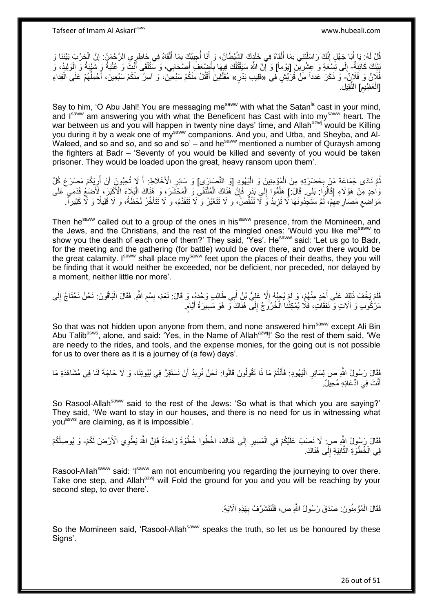قُلْ لَهُ: يَا أَبَا جَهْلٍ إِنَّكَ رَاسَلْتَنِي بِمَا أَلْقَاهُ فِي خَلَدٍكَ الشَّيْطَانُ، وَ إِنَّا أُحِيبُكَ بِمَا أَلْقَاهُ فِي خَاطِرٍ يِ الرَّحْمَنُ: إِنَّ الْحَرْبَ بَيْنَنَا وَ ْ َ ِ ْ ِ َ ِ ْ َ ِ َ ْ ِ بَيْنَكَ كَائِنَةٌ- إِلَى تُسِعَةٍ وَ عِشْرِيْنَ [يَوْمأ] وَ إِنَّ اللَّهَ سَيَقْتُلُكَ فِيهَا بِأَضِعَفَ أَصْنَحَابِي، وَ سَتُتْلَقَى أَنْتُ وَ عُتْبَةُ وَ الْوَلِيدُ، وَ وَ יֲ<br>י ِ ِ ْ َ ْ َ َ ِ ُ فُلَانٌ وَ فُلَانٌٍ - وَ ذَكَرَ عَدَداً مِنْ قُرَيْشٍ فِي «قَلِيبِ بَدْرٍ» مُقَتَّلِينَ أَقْتُلُ مِنْكُمْ سَبْعِينَ، وَ آسِرُ مِنْكُمْ سَبْعِينَ، أَحْمِلُهُمْ عَلَى الْفِدَاءِ ُ َ َ ْ ِ [العَظِيمِ] النْقِيلِ. ْ ه

Say to him, 'O Abu Jahl! You are messaging me<sup>saww</sup> with what the Satan<sup>la</sup> cast in your mind, and Isaww am answering you with what the Beneficent has Cast with into mysaww heart. The war between us and you will happen in twenty nine days' time, and Allah<sup>azwj</sup> would be Killing you during it by a weak one of my<sup>saww</sup> companions. And you, and Utba, and Sheyba, and Al-Waleed, and so and so, and so and so' – and he<sup>saww</sup> mentioned a number of Quraysh among the fighters at Badr – 'Seventy of you would be killed and seventy of you would be taken prisoner. They would be loaded upon the great, heavy ransom upon them'.

نُّمَّ نَادَى جَمَاعَةَ مَنْ بِحَضْرَتِهِ مِنَ الْمُؤْمِنِينَ وَ الْيَهُودِ [وَ النَّصَارَى] وَ سَائِرِ الْأَخْلَاطِ: أَ لَإِ تُحِبُّونَ أَنْ أُرِيَكُمْ مَصْرَعَ كُلِّ :<br>ا ْ **∶** ِ ا<br>ا َ َ ِ ْ وَاحِدٍ مِنْ هَؤُلَاءِ [قَالُوا ۚ بَلَى ۚ قَالَ ۖ إِ هَلْمُوا ۚ إِلَى بَدْرٍ ۖ فَإِنَّ ۖ هُٰنَاكَ الْمَلْتَقَى وَ الْمَحْشَرَ، وَ هُنَاكَ الْبَلَاءَ الْأَكْبَرَ، لَأَضَعُ قَدَمِي عَلَى ِ ِ ٔ<br>ا ْ ْ ْ مَوَاضِعِ مَصَارِ عِهِمْ، ثُمَّ سَتَجِدُونَهَا لَا تَزِيدُ وَ لَا تَتْقُصُّ، وَ لَا تَتَغَيَّرُ وَ لَا تَتَقَدَّمُ، وَ لَا تَتَأَخَّرُ لَحْظَةً، وَ لَا قَلِيلًا وَ لَا كَثِيراً. ِ .<br>• • • • ِ ِ  $\zeta$ َ

Then he<sup>saww</sup> called out to a group of the ones in his<sup>saww</sup> presence, from the Momineen, and the Jews, and the Christians, and the rest of the mingled ones: 'Would you like me<sup>saww</sup> to show you the death of each one of them?' They said, 'Yes'. He<sup>saww</sup> said: 'Let us go to Badr, for the meeting and the gathering (for battle) would be over there, and over there would be the great calamity. Isaww shall place my<sup>saww</sup> feet upon the places of their deaths, they you will be finding that it would neither be exceeded, nor be deficient, nor preceded, nor delayed by a moment, neither little nor more'.

فَلَمْ يَخْفَ ذَلِكَ عَلَى أَحَدٍ مِنْهُمْ، وَ لَمْ يُجِبْهُ إِلَّا عَلِيُّ بْنُ أَبِي طَالِبٍ وَحْدَهُ، وَ قَالَ نَعَمْ، بِسْمِ اللَّهِ. فَقَالَ الْبَاقُونَ: نَحْنُ نَحْنَاجُ إِلَى َ ِ َ ِ ْ ِ ِ مَرْكُوبِ وَ آلَاتٍ وَ نَفَقَاتٍ، فَلَا يُمْكِنُنَا الْخُرُوجُ إِلَى هُنَاكَ َو هُوَ مَسِيرَةُ أَيَّامٍ.  $\frac{1}{2}$ ٍ َ

So that was not hidden upon anyone from them, and none answered him<sup>saww</sup> except Ali Bin Abu Talib<sup>asws</sup>, alone, and said: 'Yes, in the Name of Allah<sup>azwi</sup>!' So the rest of them said. 'We are needy to the rides, and tools, and the expense monies, for the going out is not possible for us to over there as it is a journey of (a few) days'.

فَقَالَ رَسُولُ اللَّهِ ص لِسَائِرِ الْيَهُودِ: فَأَنْتُمْ مَا ذَا تَقُولُونَ قَالُوا: نَحْنُ نُرِيدُ أَنْ نَسْتَقِرَّ فِي بُيُوتِنَا، وَ لَا حَاجَةَ لَنَا فِي مُشَاهَدَةِ مَا َ ِ َ ا<br>ا ِ أَنْتَ فِي ادِّعَائِهِ مُحِيلٌ. َ

So Rasool-Allah<sup>saww</sup> said to the rest of the Jews: 'So what is that which you are saying?' They said, 'We want to stay in our houses, and there is no need for us in witnessing what youasws are claiming, as it is impossible'.

فَقَالَ رَسُولُ الثَّهِ صِ: لَا نَصَبَ عَلَيْكُمْ فِي الْمَسِيرِ إِلَى هُنَاكَ، اخْطُوا خُطْوَةً وَاحِدَةً فَإِنَّ اللَّهَ يَطْوِي الْأَرْضَ لَكُمْ- وَ يُوصِلْكُمْ ِ ِ ِ ْ فِي الْخُطْوَةِ الثَّانِيَةِ إِلَى هُنَاكَ. ِ ه

Rasool-Allah<sup>saww</sup> said: 'Isaww am not encumbering you regarding the journeying to over there. Take one step, and Allah<sup>azwj</sup> will Fold the ground for you and you will be reaching by your second step, to over there'.

> فَقَالَ الْمُؤْمِنُونَ: صَدَقَ رَسُولُ اللَّهِ ص، فَلْنَتَشَرَّفْ بِهَذِهِ الْآيَةِ. ْ ْ **∶**

So the Momineen said, 'Rasool-Allah<sup>saww</sup> speaks the truth, so let us be honoured by these Signs'.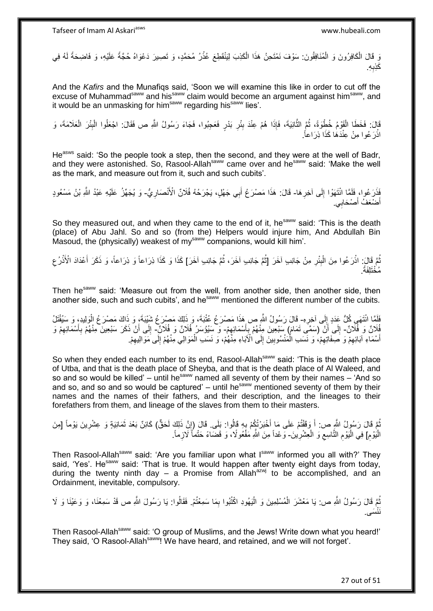وَ قَالَ الْكَافِرُونَ وَ الْمُنَافِقُونَ: سَوْفَ نَمْتَحِنُ هَذَا الْكَذِبَ لِيَنْقَطِعَ عُذْرُ مُحَمَّدٍ، وَ تَصِيرَ دَعْوَاهُ حُجَّةً عَلَيْهِ، وَ فَاضِحَةً لَهُ فِي **ٔ** ْ ْ ْ لَ ِه. َكِذب **∶** 

And the *Kafirs* and the Munafiqs said, 'Soon we will examine this like in order to cut off the excuse of Muhammad<sup>saww</sup> and his<sup>saww</sup> claim would become an argument against him<sup>saww</sup>, and it would be an unmasking for him<sup>saww</sup> regarding his<sup>saww</sup> lies'.

قَالَ: فَخَطَا الْقَوْمُ خُطْوَةً، ثُمَّ الثَّانِيَةَ، فَإِذَا هُمْ عِنْدَ بِئْرِ بَدْرٍ فَعَجِبُوا، فَجَاءَ رَسُولُ اللَّهِ ص فَقَالَ: اجْعَلُوا الْبِئْرَ الْعَلَامَةَ، وَ ِ **∣** ه ُ ْ ْ ِ ْ اذْرَعُوا مِنْ عِنْدَهَا كَذَا ذِرَاعاً. **ٔ** 

He<sup>asws</sup> said: 'So the people took a step, then the second, and they were at the well of Badr, and they were astonished. So, Rasool-Allah<sup>saww</sup> came over and he<sup>saww</sup> said: 'Make the well as the mark, and measure out from it, such and such cubits'.

فَذَرَ عُوا، فَلَمَّا انْتَهَوْا إِلَى آخِرِهَا- قَالَ: هَذَا مَصْرَعُ أَبِي جَهْلٍ، يَجْرَحُهُ فُلَانٌ الْأَنْصَارِيُّ- وَ يُجَهِّزُ عَلَيْهِ عَبْدُ اللَّهِ بْنُ مَسْعُودٍ َ **∶** ِ ِ َ أضْعَفُ أصْحَابِي َ

So they measured out, and when they came to the end of it, he<sup>saww</sup> said: 'This is the death (place) of Abu Jahl. So and so (from the) Helpers would injure him, And Abdullah Bin Masoud, the (physically) weakest of my<sup>saww</sup> companions, would kill him'.

نُّمَّ قَالَ: اذْرَعُوا مِنَ الْبِئْرِ مِنْ جَانِبِ آخَرَ [ثُمَّ جَانِبِ آخَرَ، ثُمَّ جَانِبِ آخَرَ] كَذَا وَ كَذَا ذِرَاعاً، وَ ذَكَرَ أَعْدَادَ الْأَذْرُعِ ُ .<br>• • • • ِ **∣** ْ **ٔ** ُ ِ **ٔ:** َ . ُم ْخَتلَِفةً

Then he<sup>saww</sup> said: 'Measure out from the well, from another side, then another side, then another side, such and such cubits', and he<sup>saww</sup> mentioned the different number of the cubits.

فَلَمَّا انْتَهَى كُلُّ عَدَدٍ إِلَى آخِرِهِ- قَالَ رَسُولُ اللَّهِ ص هَذَا مَصْرَ عُ عُتْبَةَ، وَ ذَلِكَ مَصْرَعُ شَيْبَةَ، وَ ذَاكَ مَصْرَعُ الْوَلِيدِ، وَ سَيُقْنَلُ ِ ∣∣<br>∶ ْ فُلَانٌ وَ فُلَانٌ- إِلَى أَنْ (سَمَّى تَمَامَ) سَبْعِينَ مِنْهُمْ بِأَسْمَائِهِمْ- وَ سَيُؤْسَرُ فُلَانٌ وَ فُلَانٌ- إِلَى أَنْ ذَكَرَ سَبْعِينَ مِنْهُمْ بِأَسْمَائِهِمْ وَ ِ َ  $\frac{1}{2}$ ِ ِ َ ِ َ ِ أَسْمَاءِ آبَائِهِمْ وَ صَفَاتِهِمْ، وَ نَسَب الْمَنْسُوبِينَ إِلَى الْآبَاءِ مِنْهُمْ، وَ نَسَب الْمَوَالِي مِنْهُمْ إِلَى مَوَالِيهِمْ. ْ ِ ِ ْ ِ ِ َ ِ ِ

So when they ended each number to its end, Rasool-Allah<sup>saww</sup> said: 'This is the death place of Utba, and that is the death place of Sheyba, and that is the death place of Al Waleed, and so and so would be killed' – until he<sup>saww</sup> named all seventy of them by their names – 'And so and so, and so and so would be captured' – until hesaww mentioned seventy of them by their names and the names of their fathers, and their description, and the lineages to their forefathers from them, and lineage of the slaves from them to their masters.

نُّمَّ قَالَ رَسُولُ اللَّهِ ص: أَ وَقَفْتُمْ عَلَى مَا أَخْبَرْتُكُمْ بِهِ قَالُوا: بَلَى. قَالَ (إِنَّ ذَلِكَ لَحَقٌّ) كَائِنٌ بَعْدَ ثَمَانِيَةٍ وَ عِشْرِينَ يَوْماً [مِنَ ِ ا<br>پ َ َ ِ َ ِ الْمَيْومِ] فِي الْيَوْمِ النَّاسِعِ وَ الْعِشْرِيْنَ- وَعْداً مِنَ النَّهِ مَفْعُولًا، وَ قَضَاءً حَتْماً لَازِماً. ِ ْ  $\zeta$ ِ ا<br>ا

Then Rasool-Allah<sup>saww</sup> said: 'Are you familiar upon what Isaww informed you all with?' They said, 'Yes'. He<sup>saww</sup> said: 'That is true. It would happen after twenty eight days from today, during the twenty ninth day – a Promise from Allah<sup>azwj</sup> to be accomplished, and an Ordainment, inevitable, compulsory.

ُمَّ قَالَ رَسُولُ اللَّهِ ص: يَا مَعْشَرَ الْمُسْلِمِينَ وَ الْيَهُودِ اكْتُبُوا بِمَا سَمِعْتُمْ. فَقَالُوا: يَا رَسُولَ اللَّهِ ص قَدْ سَمِعْنَا، وَ وَعَيْنَا وَ لَا ِ :<br>ا ْ َسى. َننْ

Then Rasool-Allah<sup>saww</sup> said: 'O group of Muslims, and the Jews! Write down what you heard!' They said, 'O Rasool-Allah<sup>saww</sup>! We have heard, and retained, and we will not forget'.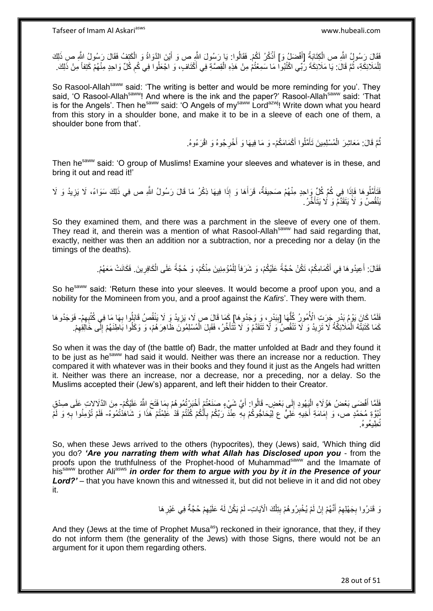فَقَالَ رَسُولُ اللَّهِ ص الْكِتَابَةُ [أَفْضَلْ وَ] أَذْكُرُ لَكُمْ. فَقَالُوا: يَا رَسُولَ اللَّهِ ص وَ أَيْنَ الذَّوَاةُ وَ الْكَتِفُ فَقَالَ رَسُولُ اللَّهِ صِ ذَلِكَ **ٔ** َ ْ ْ َ ُ لِلْمَلَائِكَةِ، ثُمَّ قَالَ: يَا مَلَائِكَةَ رَبِّي اكْتُبُوا مَا سَمِعْتُمْ مِنْ هَذِهِ الْقِصَّةِ فِي أَكْتَافٍ، وَ اجْعَلُوا فِي كُمِ كُلِّ وَاحِدٍ مِنْهُمْ كَتِفاً مِنْ ذَلِكَ. َ ْ ُ ْ ِ

So Rasool-Allah<sup>saww</sup> said: 'The writing is better and would be more reminding for you'. They said, 'O Rasool-Allah<sup>saww</sup>! And where is the ink and the paper?' Rasool-Allah<sup>saww</sup> said: 'That is for the Angels'. Then he<sup>saww</sup> said: 'O Angels of my<sup>saww</sup> Lord<sup>azwj</sup>! Write down what you heard from this story in a shoulder bone, and make it to be in a sleeve of each one of them, a shoulder bone from that'.

> نُمَّ قَالَ: مَعَاشِرَ الْمُسْلِمِينَ تَأَمَّلُوا أَكْمَامَكُمْ- وَ مَا فِيهَا وَ أَخْرِجُوهُ وَ اقْرَءُوهُ. َ ْ ُ َ **ٍ**

Then he<sup>saww</sup> said: 'O group of Muslims! Examine your sleeves and whatever is in these, and bring it out and read it!'

فَتَأَمَّلُوهَا فَإِذَا فِي كُمِّ كُلِّ وَاحِدٍ مِنْهُمْ صَحِيفَةٌ، قَرَأَهَا وَ إِذَا فِيهَا ذِكْرُ مَا قَالَ رَسُولُ اللَّهِ ص فِي ذَلِكَ سَوَاءً، لَا يَزِيدُ وَ لَا َ ِ يَنْقُصُ وَ لَا يَتَقَدَّمُ وَ لَا يَتَأَخَّرُ. َ

So they examined them, and there was a parchment in the sleeve of every one of them. They read it, and therein was a mention of what Rasool-Allah<sup>saww</sup> had said regarding that, exactly, neither was then an addition nor a subtraction, nor a preceding nor a delay (in the timings of the deaths).

> فَقَالَ: أَعِيدُوهَا فِي أَكْمَامِكُمْ، تَكُنْ حُجَّةً عَلَيْكُمْ، وَ شَرَفاً لِلْمُؤْمِنِينَ مِنْكُمْ، وَ حُجَّةً عَلَى الْكَافِرِينَ. فَكَانَتْ مَعَهُمْ. ْ َ ِ ْ

So he<sup>saww</sup> said: 'Return these into your sleeves. It would become a proof upon you, and a nobility for the Momineen from you, and a proof against the *Kafirs*'. They were with them.

فَلَمَّا كَانَ يَوْمُ بَدْرٍ جَرَتِ الْأُمُورُ كُلُّهَا [بِبَدْرٍ ، وَ وَجَدُوهَا] كَمَا قَالَ ص لَا، يَزِيدُ وَ لَا يَنْقُصُ قَابَلُوا بِهَا مَا فِي كُتُبِهِمْ- فَوَجَدُوهَا **ٔ** ِ **∣** ُّ  $\epsilon$ ِ كَمَا كَتَبَتْهُ الْمَلَائِكَةُ لَا تَزِيدُ وَ لَا تَنْقُصُ ۖ وَ لَا تَتَأَخَّرُ، فَقَبِلَ الْمُسْلِمُونَ ظَاهِرَهُمْ، وَ وَكَلُوا بَاطِنَهُمْ إِلَى خَالِقِهِمْ. ْ **!** َ **∶** ْ ِ ِ

So when it was the day of (the battle of) Badr, the matter unfolded at Badr and they found it to be just as he<sup>saww</sup> had said it would. Neither was there an increase nor a reduction. They compared it with whatever was in their books and they found it just as the Angels had written it. Neither was there an increase, nor a decrease, nor a preceding, nor a delay. So the Muslims accepted their (Jew's) apparent, and left their hidden to their Creator.

فَلَمَّا أَفْضَى بَعْضُ هَؤُلَاءِ الْيَهُودِ إِلَى بَعْضٍ- قَالُوا: أَيَّ شَيْءٍ صَنَعْتُمْ أَخْبَرْتُمُوهُمْ بِمَا فَتَحَ اللَّهُ عَلَيْكُمْ- مِنَ الذَّلَالاتِ عَلَى صِدْقِ<br>ان  $\frac{1}{2}$ ْ َ َ ِ ْبُوَّةِ مُحَمَّدٍ ص، وَ إِمَامَةِ أَخِيهِ عَلِيٍّ ع لِيُحَاجُوكُمْ بِهِ عِنْذَ رَبِّكُمْ بِأَنَّكُمْ كُنْتُمْ قَذْ عَلِمْتُمْ هَذَا وَ شَاهَدْتُمُوهُ- فَلَمْ تُؤْمِنُوا بِهِ وَ لَمْ َ ِ **∶** َ ِ ِ نُطِيعُوهُ.

So, when these Jews arrived to the others (hypocrites), they (Jews) said, 'Which thing did you do? *'Are you narrating them with what Allah has Disclosed upon you* - from the proofs upon the truthfulness of the Prophet-hood of Muhammad<sup>saww</sup> and the Imamate of his<sup>saww</sup> brother Ali<sup>asws</sup> in order for them to argue with you by it in the Presence of your *Lord?'* – that you have known this and witnessed it, but did not believe in it and did not obey it.

> َن قَدَرُوا بِجَهْلِهِمْ أَنَّهُمْ إِنْ لَمْ يُخْبِرُوهُمْ بِنِلْكَ الْآيَاتِ- لَمْ يَكُنْ لَهُ عَلَيْهِمْ حُجَّةٌ فِي غَيْرِهَا ْ **!** ِ ِ َ ِ **∶** ِ ِ

And they (Jews at the time of Prophet Musa<sup>as</sup>) reckoned in their ignorance, that they, if they do not inform them (the generality of the Jews) with those Signs, there would not be an argument for it upon them regarding others.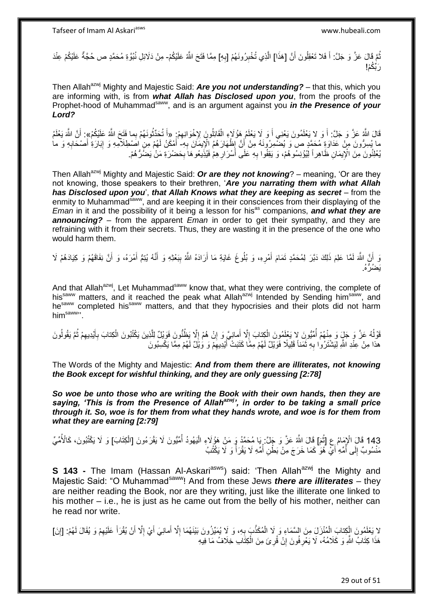نُّمَّ فَالَ عَزَّ وَ جَلَّ: أَ فَلا تَعْقِلُونَ أَنَّ [هَذَا] الَّذِي تُخْبِرُ ونَهُمْ [بِهِ] مِمَّا فَتَحَ اللَّهُ عَلَيْكُمْ- مِنْ دَلَائِلِ نُبُوَّةِ مُحَمَّدٍ ص حُجَّةٌ عَلَيْكُمْ عِنْدَ ُ َ ِ ه ِ رَ نَّكُمْ!

Then Allah<sup>azwj</sup> Mighty and Majestic Said: **Are you not understanding?** – that this, which you are informing with, is from *what Allah has Disclosed upon you*, from the proofs of the Prophet-hood of Muhammad<sup>saww</sup>, and is an argument against you *in the Presence of your Lord?*

قَالَ اللَّهُ عَنَّ وَ جَلَّ: أَ وَ لا يَعْلَمُونَ يَعْنِي أَ وَ لَا يَعْلَمُ هَؤُلَاءِ الْقَائِلُونَ لِإِخْوَانِهِمْ: «أَ تُحَدَّثُونَهُمْ بِما فَتَحَ اللَّهُ عَلَيْكُمْ»: أَنَّ اللَّهَ يَعْلَمُ َ ِ ْ ان<br>سالہ َ ما يُسِرُّونَ مِنْ عَدَاوَةٍ مُحَمَّدٍ صَّ وَ يُضَّمِرُونَهُ مِنْ أَنَّ إِظْهَارَهُمُ الْإِيمَانَ بِهِ- أَمْكَنُ لَهُمْ مِنٍ اصَطِلَامِهِ وَ إِبَارَةِ أَصْحَابِهِ وَ ما<br>دينُه الله ∣∣<br>; **∶** َ ِ َ يُعْلِنُونَ مِنَ الْإِيمَانِ ظَاهِراً لِيُؤْنِسُوهُمْ، وَ يَقِفُوا بِهِ عَلَى أَسْرَارِ هِمْ فَيُذِيعُوهَا بِحَضْرَةِ مَنْ يَضَرَّهُمْ. ِ **ٍ** َ ِ

Then Allah<sup>azwj</sup> Mighty and Majestic Said: **Or are they not knowing**? – meaning, 'Or are they not knowing, those speakers to their brethren, '*Are you narrating them with what Allah has Disclosed upon you*', *that Allah Knows what they are keeping as secret* – from the enmity to Muhammad<sup>saww</sup>, and are keeping it in their consciences from their displaying of the *Eman* in it and the possibility of it being a lesson for his<sup>as</sup> companions, and what they are *announcing?* – from the apparent *Eman* in order to get their sympathy, and they are refraining with it from their secrets. Thus, they are wasting it in the presence of the one who would harm them.

وَ أَنَّ اللَّهَ لَمَّا عَلِمَ ذَلِكَ دَبَّرَ لِمُحَمَّدٍ تَمَامَ أَمْرِهِ، وَ بُلُوعَ غَايَةِ مَا أَرَادَهُ اللَّهُ بِبَعْثِهِ وَ أَنَّهُ يُبْمُ أَمْرَهُ، وَ أَنَّ نِفَاقَهُمْ وَ كِيَادَهُمْ لَا ِ َ ِ َ لَ َ َ َ يَضُرُّهُ<u>.</u>

And that Allah<sup>azwj</sup>, Let Muhammad<sup>saww</sup> know that, what they were contriving, the complete of his<sup>saww</sup> matters, and it reached the peak what Allah<sup>azwj</sup> Intended by Sending him<sup>saww</sup>, and he<sup>saww</sup> completed his<sup>saww</sup> matters, and that they hypocrisies and their plots did not harm him<sup>saww</sup>".

قَوْلُهُ عَزَّ وَ جَلٍّ وَ مِنْهُمْ أُمِّيُّونَ لا يَغْلِمُونَ الْكِتابَ إِلَّا أَمانِيَّ وَ إِنْ هُمْ إِلَّا يَظُنُّونَ فَوَيْلٌ لِلَّذِينَ يَكْتُبُونَ الْكِتابَ بِأَيْدِيهِمْ ثُمَّ يَقُولُونَ ا<br>ا ه ِ ِ َ ِ ْ ُ ُ ُ ِ َ ِ ْ هذا مِنْ عِنْدِ اللَّهِ لِيَشْتَرُوْا بِهِ ثَمَناً قَلِيلًا فَوَيْلٌ لَهُمْ مِمَّا كَثَبَتْ أَيْدِيهِمْ وَ وَيْلٌ لَهُمْ مِمَّا يَكْسِبُونَ َة<br>أ ِ

The Words of the Mighty and Majestic: *And from them there are illiterates, not knowing the Book except for wishful thinking, and they are only guessing [2:78]*

*So woe be unto those who are writing the Book with their own hands, then they are saying, 'This is from the Presence of Allahazwj', in order to be taking a small price through it. So, woe is for them from what they hands wrote, and woe is for them from what they are earning [2:79]*

143 قَالَ الْإِمَامُ عِ [ثُمَ] قَالَ اللَّهُ عَزَّ وَ جَلَّ: يَا مُحَمَّدُ وَ مَنْ هَؤُلَاءِ الْيَهُودُ أُمِّيُّونَ لَا يَقْرَءُونَ [الْكِتَابَ] وَ لَا يَكْتُبُونَ، كَالْأُمِّيِّ ان<br>سال ِّ ْ ْ مَنْسُوبٌ إِلَى أُمِّهِ أَيْ هُوَ كَمَا خَرَجَ مِنْ بَطْنِ أُمِّهِ لَا يَقْرَأُ وَ لَا يَكْتُبُ ؚ<br>ا  $\frac{1}{2}$ ا<br>ا ا<br>ا َ

**S 143 -** The Imam (Hassan Al-Askari<sup>asws</sup>) said: 'Then Allah<sup>azwj</sup> the Mighty and Majestic Said: "O Muhammad<sup>saww</sup>! And from these Jews *there are illiterates* – they are neither reading the Book, nor are they writing, just like the illiterate one linked to his mother – i.e., he is just as he came out from the belly of his mother, neither can he read nor write.

لا يَعْلَمُونَ الْكِتابَ الْمُنْزَلَ مِنَ السَّمَاءِ وَ لَا الْمُكَذَّبَ بِهِ، وَ لَا يُمَيِّزُونَ بَيْنَهُمَا إِلَّا أَمانِيَ أَيْ إِلَّا أَنْ يُقْرَأَ عَلَيْهِمْ وَ يُقَالَ لَهُمْ: [إِنَ] ْ ِ َ َ ِ َ َ ِ **∶** ْ ْ هَذَا كِتَابُ اللَّهِ وَ كَلَامُهُ، لَا يَعْرِ فُونَ إِنْ قُرِئَ مِنَ الْكِتَابِ خِلَافُ مَا فِيهِ ْ **∶** ِ ِ

29 out of 51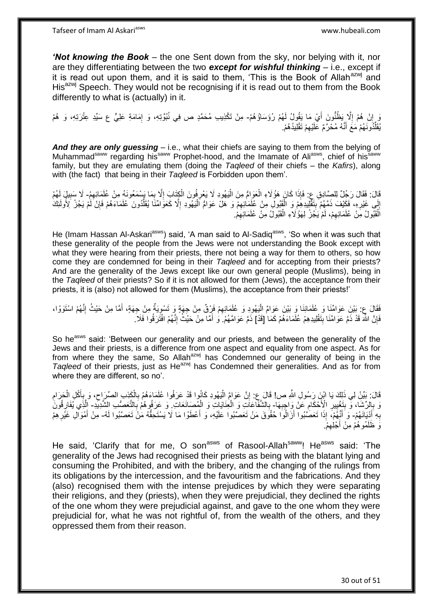*'Not knowing the Book* – the one Sent down from the sky, nor belying with it, nor are they differentiating between the two *except for wishful thinking* – i.e., except if it is read out upon them, and it is said to them, 'This is the Book of Allah<sup>azwj</sup> and His<sup>azwj</sup> Speech. They would not be recognising if it is read out to them from the Book differently to what is (actually) in it.

نَ إِنْ هُمْ إِلَّا ِيَظُنُّونَ أَيْ مَا يَقُولُ لَهُمْ رُؤَسَاؤُهُمْ- مِنْ تَكْذِيبِ مُحَمَّدٍ ص فِي نُبُوَّتِهِ، وَ إِمَامَةِ عَلِيٍّ ع سَيِّدِ عِتْرَتِهِ، وَ هُمْ  $\ddot{\phantom{a}}$  ِ ِ يُقَلِّدُونَـهُمْ مَعَ أَنَّـهُ مُحْرَّمٌ عَلَيْهِمْ تَقْلِيدُهُمْ. ِ َ ِّ

*And they are only guessing* – i.e., what their chiefs are saying to them from the belying of Muhammad<sup>saww</sup> regarding his<sup>saww</sup> Prophet-hood, and the Imamate of Aliasws, chief of his<sup>saww</sup> family, but they are emulating them (doing the *Taqleed* of their chiefs – the *Kafirs*), along with (the fact) that being in their *Taqleed* is Forbidden upon them'.

قَالَ رَجُلٌ لِلصَّادِقِ عِ: فَإِذَا كَانَ هَؤُلَاءِ الْعَوَامُ مِنَ الْيَهُودِ لَا يَعْرِفُونَ الْكِتَابَ إِلَّا بِسَمَعُونَهُ مِنْ عُلَمَائِهِمْ- لَا سَبِيلٍ لَهُمْ ْ ْ ِ ِ ِ ْ ِ ِ إِلَى غَيْرِهِ، فَكَيْفَ ذَمَّهُمْ بِتَقْلِيدِهِمْ وَ الْقَبُولْ مِنْ عُلِّمَائِهِمْ وَ هَلْ عَوَامٌ الْيَهُودِ إِلَّا كَعَوَامِّنَا يُقَلُّدُونَ عُلَمَاءَهُمْ فَإِنْ لَمْ يَجُنْ لِأُولَئِكَ ا<br>ا ْ ِ ْ ¦ ِ  $\ddot{\phantom{a}}$ ∣ٍ إ لَ الْقَبُولُ مِنْ عُلَمَائِهِمْ، لَمْ يَجُرْ لِهَؤُلَاءِ الْقَبُولُ مِنْ عُلَمَائِهِمْ. ِ ْ ِ :<br>ا

He (Imam Hassan Al-Askari<sup>asws</sup>) said, 'A man said to Al-Sadiq<sup>asws</sup>, 'So when it was such that these generality of the people from the Jews were not understanding the Book except with what they were hearing from their priests, there not being a way for them to others, so how come they are condemned for being in their *Taqleed* and for accepting from their priests? And are the generality of the Jews except like our own general people (Muslims), being in the *Taqleed* of their priests? So if it is not allowed for them (Jews), the acceptance from their priests, it is (also) not allowed for them (Muslims), the acceptance from their priests!'

فَقَالَ عِ: بَيْنَ عَوَامِّنَا وَ عُلَمَائِنَا وَ بَيْنَ عَوَامٌ الْيَهُودِ وَ عُلَمَائِهِمْ فَزِقٌ مِنْ جِهَةٍ وَ تَسْوِيَةٌ مِنْ جِهَةٍ، أَمَّا مِنْ حَيْثُ إِنَّهُمْ اسْتَوَوْا، َ ِ ِ ْ ِ فَإِنَّ اللَّهَ قَدْ ذَمَّ عَوَامَّنَا بِتَقْلِيدِهِمْ عُلَمَاءَهُمْ كَمَا ٰ [قَدْ] ذَمَّ عَوَامَّهُمْ. َو ٰ أَمَّا مِنْ حَيْثُ ٰ إِنَّهُمْ افْتَرَقُوا فَلَا ُ **∣** ِ ِ َ

So he<sup>asws</sup> said: 'Between our generality and our priests, and between the generality of the Jews and their priests, is a difference from one aspect and equality from one aspect. As for from where they the same, So Allah<sup>azwj</sup> has Condemned our generality of being in the Taqleed of their priests, just as He<sup>azwj</sup> has Condemned their generalities. And as for from where they are different, so no'.

قَالَ: بَيِّنْ لِي ذَلِكَ يَا ابْنِ رَسُولِ اللَّهِ ص! قَالَ عِ: إِنَّ عَوَامً الْيَهُودِ كَانُوا قَدْ عَرَفُوا عُلَمَاءَهُمْ بِالْكَذِبِ الصِّرَاحِ، وَ بِأَكْلِ الْحَرَامِ ِ ْ َ ِ ِ ْ ِ :<br>إ ِ وَ بِإِلِّ شَاء وَّ بِتَغْيِيرِ الْأَحْكَامِ عَنْ وَاجِبِهَا- بِالشَّفَاعَاتِ وَ الْحِنَايَاتِ وَ الْمِصَانَعَاتِ وَ عَرَفُوهُمْ بِالتَّعَصِّي الشَّدِيدِ- إِلَّذِي يُفَارِقُونَ **∶ ∶** ِ **↓** ِ ¦ ْ ْ ِ ِ <u>ุ</u> ه بِهِ أَدْيَانَهُمْ- وَ أَنَّهُمْ ۖ إِذَا تَعَصَّنُوا أَزَالُوَا حُقُوقَ مَنْ تَعَصَّنُوا عَلَيْهِ، وَ أَعْطَوْا مَا لَا يَسْتَحِقُّهُ مَنْ تَعَصَّنُوا لَهُ- مِنْ أَمْوَالِ غَيْرِ هِمْ َ **∶** َ َ َ َوَ ظَلَمُوهُمْ مِنْ أَجْلِهِمْ. ِ

He said, 'Clarify that for me, O son<sup>asws</sup> of Rasool-Allah<sup>saww</sup>! He<sup>asws</sup> said: 'The generality of the Jews had recognised their priests as being with the blatant lying and consuming the Prohibited, and with the bribery, and the changing of the rulings from its obligations by the intercession, and the favouritism and the fabrications. And they (also) recognised them with the intense prejudices by which they were separating their religions, and they (priests), when they were prejudicial, they declined the rights of the one whom they were prejudicial against, and gave to the one whom they were prejudicial for, what he was not rightful of, from the wealth of the others, and they oppressed them from their reason.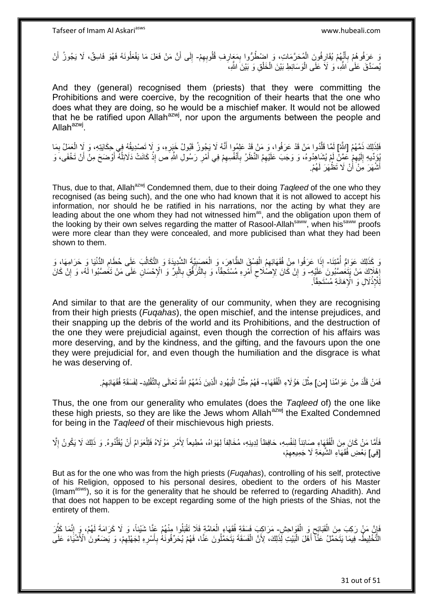نَ عَرَفُوهُمْ بِأَنِّهُمْ يُقَارِفُونَ الْمُحَرَّمَاتِ، وَ إِضْطُرُّوا بِمَعَارِفِ قُلُوبِهِمْ- إِلَى أَنَّ مَنْ فَعَلَ مَا يَفْعَلُونَهُ فَهُوَ فَاسِقٌ، لَا يَجُوزُ أَنْ ْ ِ َ ِ ِ **∶**  ِ َ ِ َ يُصدَّقَ عَلَىٰ اللَّهِ، ۚ وَ لَاَ عَلَى الْوَسَائِطِ بَيْنَ الْخَلْقِ وَ بَيْنَ اللَّهِ، ْ ْ ْ

And they (general) recognised them (priests) that they were committing the Prohibitions and were coercive, by the recognition of their hearts that the one who does what they are doing, so he would be a mischief maker. It would not be allowed that he be ratified upon Allah<sup>azwj</sup>, nor upon the arguments between the people and Allah<sup>azwj</sup>.

فَلِذَلِكَ ذَمَّهُمُ [اللَّهُ] لَمَّا قَلْدُوا مَنْ قَدْ عَرَفُوا، وَ مَنْ قَدْ عَلِمُوا أَنَّهُ لَا يَجُوزُ قَبُولُ خَبَرِهِ، وَ لَا تَصْدِيقُهُ فِي حِكَايَتِهِ، وَ لَا الْعَمَلُ بِمَا **∶** َ ه **∶** ْ ُوَدِّيهِ إِلَيْهِمْ عَمَّنْ لَمْ يُشَاهِدُوهُ، وَ وَجَبَ عَلَيْهِمُ النَّظَرُ بِأَنْفُسِهِمْ فِي أَمْرِ رَسُولِ اللَّهِ َص إِذْ كَانَتْ دَلَائِلُهُ أَوْضَحَ مِنْ أَنْ تَخْفَى، وَ ِ لَ  $\frac{1}{2}$ َ َ ُ **ٔ ∶** َ ِ َ ِ أَشْهَرَ مِنْ أَنْ لَا تَظْهَرَ لَهُمْ. أ َ

Thus, due to that, Allah<sup>azwj</sup> Condemned them, due to their doing *Tagleed* of the one who they recognised (as being such), and the one who had known that it is not allowed to accept his information, nor should he be ratified in his narrations, nor the acting by what they are leading about the one whom they had not witnessed him<sup>as</sup>, and the obligation upon them of the looking by their own selves regarding the matter of Rasool-Allahsaww, when hissaww proofs were more clear than they were concealed, and more publicised than what they had been shown to them.

وَ كَذَلِكَ عَوَامٌ أُمَّتِنَا- إِذَا عَرَفُوا مِنْ فُقَهَائِهِمُ الْفِسْقِّ الظَّاهِرَ، وَ الْعَصَبِيَّةَ الشَّدِيدَةَ وَ التَّكَالُبَ عَلَى حُطَامِ الدُّنْيَا وَ حَرَامِهَا، وَ ُ ِ ُ **!** ْ ْ إِهْلَاكَ مَنْ يَتَعُصَّبُونَ عَلَيْهِ- وَ إِنْ كَانَ لِإِصْلَاحِ أَمْرِهِ مُسْتَحِقَّاً، وَ بِالثَّرَفُّقِ بِالْبِرِّ وَ الْإِحْسَانِ عَلَى مَنْ تَغُصَّبُوا لَهُ، وَ إِنْ كَانَ<br>أ  $\frac{1}{2}$ ِ ِ َ  $\zeta$  ِ ِ ْ **∶** ِ لِّلْإِذْلَالِ وَ الْإِهَانَةِ مُسْتَحِقَّاً<sub>.</sub> ْ

And similar to that are the generality of our community, when they are recognising from their high priests (*Fuqahas*), the open mischief, and the intense prejudices, and their snapping up the debris of the world and its Prohibitions, and the destruction of the one they were prejudicial against, even though the correction of his affairs was more deserving, and by the kindness, and the gifting, and the favours upon the one they were prejudicial for, and even though the humiliation and the disgrace is what he was deserving of.

> فَمَنْ قَلَّدَ مِنْ عَوَامِّنَا [من] مِثْلَ هَؤُلَاءِ الْفُقَهَاءِ- فَهُمْ مِثْلُ الْيَهُودِ الَّذِينَ ذَمَّهُمُ اللَّهُ تَعَالَى بِالتَّقْلِيدِ- لِفَسَقَةِ فُقَهَائِهِمْ. ن<br>ا ْ **ٔ** ِ ه ا<br>ا **ٔ** ِ

Thus, the one from our generality who emulates (does the *Taqleed* of) the one like these high priests, so they are like the Jews whom Allah<sup>azwj</sup> the Exalted Condemned for being in the *Taqleed* of their mischievous high priests.

فَأَمَّا مَنْ كَانَ مِنَ الْفُقَهَاءِ صَائِناً لِنَفْسِهِ، حَافِظاً لِدِينِهِ، مُخَالِفاً لِهَوَاهُ، مُطِيعاً لِأَمْرِ مَوْلَاهُ فَلِلْعَوَامِّ أَنْ يُقَلِّدُوهُ. وَ ذَلِكَ لَا يَكُونُ إِلَّا ِ ْ َ ِّ َ ْ ِ [فِي] بَعْضِ فُقَهَاءِ الشُّيعَةِ لَا جَمِيعِهِمْ، ِ

But as for the one who was from the high priests (*Fuqahas*), controlling of his self, protective of his Religion, opposed to his personal desires, obedient to the orders of his Master (Imamasws), so it is for the generality that he should be referred to (regarding Ahadith). And that does not happen to be except regarding some of the high priests of the Shias, not the entirety of them.

فَإِنَّ مَنْ رَكِبَ مِنَ الْقَبَائِحِ وَ الْفَوَاحِشِ مَرَاكِبَ فَسَقَةٍ فُقَهَاءِ الْعَامَّةِ فَلَا تَقْبَلُوا مِنْهُمْ عَنَّا شَيْئاً، وَ لَا كَرَامَةَ لَهُمْ، وَ إِنَّمَا كَثُرَ ْ  $\zeta$ ْ ِ ْ ر<br>: ِ التَّخْلِيطُ- فِيمَا يَتَحَمَّلُ عَنَّآ أَهْلَ الْبَيْتِ لِّذَلِكَ، لِأَنَّ الْفَسَقَةَ يَتَحَمَّلُونَ عَنَّا، فَهُمْ يُحَرِّفُونَهُ بِأَسْرِهِ لِجَهْلِهِمْ، وَ يَصَعُونَ ٰالْأَشْيَاءَ عَلَى ِ ِ َ **∶** ْ :<br>ا َ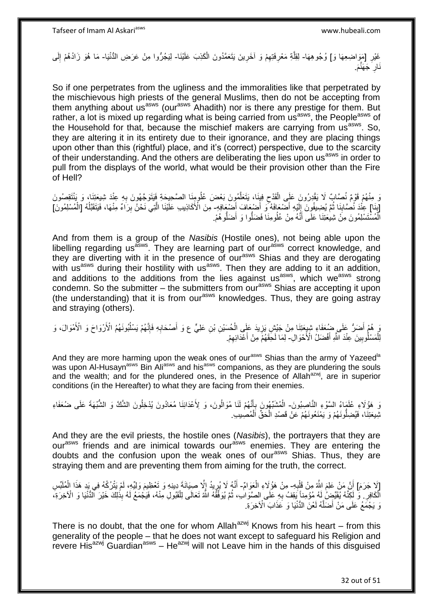غَيْرِ [مَوَاضِعِهَا وَ] وُجُوهِهَا- لِقِلَّةِ مَعْرِفَتِهِمْ وَ آخَرِينَ يَتَعَمَّدُونَ الْكَذِبَ عَلَيْنَا- لِيَجُرُّوا مِنْ عَرَضِ الدُّنْيَا- مَا هُوَ زَادُهُمْ إِلَى **∶** ْ **ٍ** ِ ِ ه لَ ِ نَارِ َجَهَنَّمَ. ِ

So if one perpetrates from the ugliness and the immoralities like that perpetrated by the mischievous high priests of the general Muslims, then do not be accepting from them anything about us<sup>asws</sup> (our<sup>asws</sup> Ahadith) nor is there any prestige for them. But rather, a lot is mixed up regarding what is being carried from us<sup>asws</sup>, the People<sup>asws</sup> of the Household for that, because the mischief makers are carrying from  $us^{asws}$ . So, they are altering it in its entirety due to their ignorance, and they are placing things upon other than this (rightful) place, and it's (correct) perspective, due to the scarcity of their understanding. And the others are deliberating the lies upon us<sup>asws</sup> in order to pull from the displays of the world, what would be their provision other than the Fire of Hell?

َدَ مِنْهُمْ قَوْمٌ نُصَّابٌ لَا يَقْدِرُونَ عَلَى الْقَدْح فِيِنَا، يَتَعَلَّمُونَ بَعْضَ عُلُومِنَا الصَّحِيحَةِ فِيَتَوَجَّهُونَ بِهِ عِنْدَ شِيعَتِنَا، وَ يَنْتَقِصُونَ ْ ِ ه  $\zeta$ [بَنَا] عِنْدَ نُصَّابِنَا ثُمَّ يُضِيفُونَ إِلَيْهِ أَضْعَافَهُ ۖ وَ أَضْبِعَافَ أَضَّعَافِهِ- مِنَ الْأَكَاذِيب عَلَيْنَا الَّتِي نَحْنُ بِرَاءٌ مِنْهَا، فَيَتَقَبَّلُهُ [الْمُسْلِمُونَ] َ َ َ لَ  $\frac{1}{2}$ ُ ِ **∶** ِ ه ْ ُ الْمُسْتَسْلِمُونَ مِنْ شِيعَتِنَا عَلَى أَنَّهُ مِنْ عُلُومِنَا فَضَلُّوا وَ أَضَلُّوهُمْ. َ ا<br>ا ْ

And from them is a group of the *Nasibis* (Hostile ones), not being able upon the libelling regarding us<sup>asws</sup>. They are learning part of our<sup>asws</sup> correct knowledge, and they are diverting with it in the presence of our<sup>asws</sup> Shias and they are derogating with us<sup>asws</sup> during their hostility with us<sup>asws</sup>. Then they are adding to it an addition, and additions to the additions from the lies against us<sup>asws</sup>, which we<sup>asws</sup> strong condemn. So the submitter – the submitters from our<sup>asws</sup> Shias are accepting it upon (the understanding) that it is from our<sup>asws</sup> knowledges. Thus, they are going astray and straying (others).

يَ هُمْ أَضَرُ ۚ عَلَى ضُعَفَاءِ شِيعَتِنَا مِنْ جَيْشٍ يَزِيدَ عَلَى الْحُسَيْنِ بْنِ عَلِيٍّ ع وَ أَصْحَابِهِ فَإِنَّهُمْ يَسْلُبُونَهُمُ الْأَرْوَاحَ وَ الْأَمْوَالَ، وَ َ ا<br>ا ا∣<br>ِ∘ِ ِ َ ْ ِ لِلْمَسْلُوبِينَ عِنْدَ النَّهِ أَفْضَلُ الْأَحْوَالِ- لِمَا لَحِقَهُمْ مِنْ أَعْدَائِهِمْ. َ **!** ْ ِ َ

And they are more harming upon the weak ones of our<sup>asws</sup> Shias than the army of Yazeed<sup>la</sup> was upon Al-Husayn<sup>asws</sup> Bin Ali<sup>asws</sup> and his<sup>asws</sup> companions, as they are plundering the souls and the wealth; and for the plundered ones, in the Presence of Allah<sup>azwj</sup>, are in superior conditions (in the Hereafter) to what they are facing from their enemies.

وَ هَؤُلَاءِ عُلَمَاءُ السَّوْءِ النَّاصِبُونَ- الْمُشَبِّهُونَ بِأَنَّهُمْ لَنَا مُوَالُونَ، وَ لِأَعْدَائِنَا مُعَادُونَ يُدْخِلُونَ الشَّكَّ وَ الشُّبْهَةَ عَلَى ضُعَفَاءِ َ ِ ْ تْلِيعَتِنَا، فَيُضِلُّونَهُمْ وَ يَمْنَعُونَهُمْ عَنْ قَصْدِ الْحَقِّ اَلْمُصِيبِ ْ ْ

And they are the evil priests, the hostile ones (*Nasibis*), the portrayers that they are our<sup>asws</sup> friends and are inimical towards our<sup>asws</sup> enemies. They are entering the doubts and the confusion upon the weak ones of our<sup>asws</sup> Shias. Thus, they are straying them and are preventing them from aiming for the truth, the correct.

[لَا جَرَمَ] أَنَّ مَنْ عَلِمَ اللَّهُ مِنْ قَلْدِهِ- مِنْ هَؤُلَاءِ الْعَوَامِّ- أَنَّهُ لَا يُرِيدُ إِلَّا صِيَانَةَ دِينِهِ وَ تَعْظِيمَ وَلِيِّهِ، لَمْ يَتْرُكْهُ فِي يَدِ هَذَا الْمُلَبِّسِ **∶** ْ ْ ્યુ<br>ક ِ َ ْ الَّكَافِرِ . وَّ لَكِنَّهُ يُقَيِّضُ لَهُ مُؤْمِنًا يَقِفُ بِهِ عَلَى الصَّوَابِ، ثُمَّ يُوَفِّقُهُ اللَّهُ تَعَالَى لِلْقَبُولِ مِنْهُ، فَيَجْمَعُ لَهُ بِذَٰلِكَ خَيْرَ الْدُّنْيَا وَ الْآخِرَةِ، ¦ ْ ْ ان<br>المقامات ِ نَ يَجْمَعُ عَلَى مَنْ أَضَلَّهُ لَعْنَ الدُّنْيَا وَ عَذَابَ الْأَخِرَةِ. ه َ

There is no doubt, that the one for whom Allah $a^{2}$ <sup>wj</sup> Knows from his heart – from this generality of the people – that he does not want except to safeguard his Religion and revere His $^{a}$ zwj Guardian $a$ <sup>sws</sup> – He $^{a}$ zwj will not Leave him in the hands of this disguised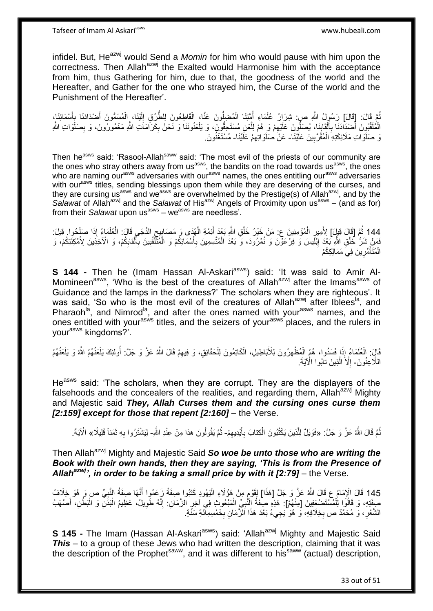infidel. But, He<sup>azwj</sup> would Send a *Momin* for him who would pause with him upon the correctness. Then Allah<sup>azwj</sup> the Exalted would Harmonise him with the acceptance from him, thus Gathering for him, due to that, the goodness of the world and the Hereafter, and Gather for the one who strayed him, the Curse of the world and the Punishment of the Hereafter'.

نُّمَّ قَالَ: [قَالَ] رَسُولُ اللَّهِ ص: شِرَارُ عُلَمَاءِ أُمِّتَنَا الْمُضِلُّونَ عَنَّا، الْقَاطِعُونَ لِلطَّرُقِ إِلَيْنَا، الْمُسَمُّونَ أَصْدَادَنَا بِأَسْمَائِنَا، ُ َ **∶** َ ْ لَ ِ ْ ْ ا<br>ا الْمُلَقَّبُوِنَ أَصْدَادَنَا بِأَلْقَابِنَا، يُصَلُّوِنَ عَلَيْهِمْ وَ ِهُمْ لِلَّعْنِ مُسْتَحِقُّونَ، وَ يَلْعَنُونَنَا وَ نَحْنُ بِكَرَامَاتِ اللَّهِ مَغْمُورُونَ، وَ بِصَلَّوَاتِ اللَّهِ ْ ه ِ **∣** ْ َ **∶** َ ِ ِ يَ صَلَوَاتِ مَلَائِكَتِهِ الْمُقَرَّبِينَ عَلَيْنَا- عَنْ صَلَوَاتِهِمْ عَلَيْنَا- مُسْتَغْنُونَ. **!** ْ ِ

Then he<sup>asws</sup> said: 'Rasool-Allah<sup>saww</sup> said: 'The most evil of the priests of our community are the ones who stray others away from us<sup>asws</sup>, the bandits on the road towards us<sup>asws</sup>, the ones who are naming our<sup>asws</sup> adversaries with our<sup>asws</sup> names, the ones entitling our<sup>asws</sup> adversaries with our<sup>asws</sup> titles, sending blessings upon them while they are deserving of the curses, and they are cursing us<sup>asws</sup> and we<sup>asws</sup> are overwhelmed by the Prestige(s) of Allah<sup>azwj</sup>, and by the Salawat of Allah<sup>azwj</sup> and the Salawat of His<sup>azwj</sup> Angels of Proximity upon us<sup>asws</sup> – (and as for) from their Salawat upon us<sup>asws</sup> – we<sup>asws</sup> are needless'.

144 ثُمَّ إِقَالَ قِيلَ] لِأَمِيرِ الْمُؤْمِنِينَ ع: مَنْ خَيْرُ خَلْقِ اللَّهِ بَعْدَ أَئِمَّةِ الْهُدَى وَ مَصَابِيعِ الدُّجَى قَالَ: الْعُلَمَاءُ إِذَا صَلَحُوا. قِيلَ:<br>وَمَا ذَلَّهُ أَنْ أَنْ أَمْرَ الْمُؤْمِنِينَ عَن ْ **↓** ْ َ ْ ْ ِ َ فَصَلُ شَلُّ خَلْقِ اللَّهِ بَعْدَ إِبْلِيسَ وَ فِرْعَوْنَ وَ نُمْرُودَ، وَ بَعْدَ الْمُتَّسِمِينَ بِأَسْمَائِكُمْ وَ الْمُثَلَّقَٰبِينَ بِأَلْقَابِكُمْ، وَ الْأَخِذِينَ لِأَمْكِنَتِكُمْ، وَ ْ ِ ْ ِ ْ َ ِ ِ ْ َ ِ الْمُتَأَمِّرِينَ فِيَ مَمَالِكِكُمْ **∶** َ ْ

**S 144 -** Then he (Imam Hassan Al-Askari<sup>asws</sup>) said: 'It was said to Amir Al-Momineen<sup>asws</sup>, 'Who is the best of the creatures of Allah<sup>azwj</sup> after the Imams<sup>asws</sup> of Guidance and the lamps in the darkness?' The scholars when they are righteous'. It was said, 'So who is the most evil of the creatures of Allah<sup>azwj</sup> after Iblees<sup>la</sup>, and Pharaoh<sup>la</sup>, and Nimrod<sup>la</sup>, and after the ones named with your<sup>asws</sup> names, and the ones entitled with your<sup>asws</sup> titles, and the seizers of your<sup>asws</sup> places, and the rulers in yourasws kingdoms?'.

قَالَ: الْعُلَمَاءُ إِذَا فَسَدُوا، هُمُ الْمُظْهِرُونَ لِلْأَبَاطِيلِ، الْكَاتِمُونَ لِلْحَقَائِقِ، وَ فِيهِمْ قَالَ اللَّهُ عَنَّ وَ جَلَّ: أُولئِكَ يَلْعَنُهُمُ اللَّهُ وَ يَلْعَنُهُمُ ِ ْ ْ ِ ْ ْ ْ ْ اللَّاعِنُونَ- إِلَّا الَّذِينَ تابُوا الْآيَةَ. ه ِ

He<sup>asws</sup> said: 'The scholars, when they are corrupt. They are the displayers of the falsehoods and the concealers of the realities, and regarding them, Allah<sup>azwj</sup> Mighty and Majestic said *They, Allah Curses them and the cursing ones curse them [2:159] except for those that repent [2:160]* – the Verse.

نُّمَّ قَالَ اللَّهُ عَنَّ وَ جَلَّ: «فَوَيْلٌ لِلَّذِينَ يَكْتُبُونَ الْكِتابَ بِأَيْدِيهِمْ- ثُمَّ يَقُولُونَ هذا مِنْ عِنْدِ اللَّهِ- لِيَشْتَرُوا بِهِ ثَمَناً قَلِيلًا» الْآيَةَ. َ ِ ْ ه ِ ُ َ **∶** 

Then Allah<sup>azwj</sup> Mighty and Majestic Said **So woe be unto those who are writing the** *Book with their own hands, then they are saying, 'This is from the Presence of Allahazwj', in order to be taking a small price by with it [2:79]* – the Verse.

145 قَالَ الْإِمَامُ عِ قَالَ اللَّهُ عَزَّ وَ جَلَّ [هَذَا] لِقَوْمٍ مِنْ هَؤُلَاءِ الْيَهُودِ كَثَيُوا صِفَةً زَعَمُوا أَنَّهَا صِفَةُ النَّبِيِّ ص وَ هُوَ خِلَافُ<br>النَّاسَ الْإِمَامُ فَيَ وَمِن مِنْ قَالِمَ اللَّهُ عَل ه َ ً ْ **∶** صِفَتِهِ، وَ قَالُوَا لِلْمُسْتَضْعِفِينَ [مِنْهُمْ]: هَذِهِ صِفَةُ النَّبْعِيِّ الْمَبْعُوثِ فِي آخِرِ الزَّمَانِ: إِنَّهُ طَوِيلٌ، عَظِيمُ الْبَدَلِّ وَ الْبَطْنِ، أَصْهَبُ ْ َ ْ ْ ِ ِ ِ ْ **∶** الشَّعْرِ ، وَ مُحَمَّدٌ ص بِخِلَافِهِ، وَ هُوَ يَجِيءُ بَعْدَ هَذَا الْزَّمَانِ بِخَمْسِمِآئَةِ سَنَةٍ. ِ ِ ِ

**S 145 -** The Imam (Hassan Al-Askari<sup>asws</sup>) said: 'Allah<sup>azwj</sup> Mighty and Majestic Said *This* – to a group of these Jews who had written the description, claiming that it was the description of the Prophet<sup>saww</sup>, and it was different to his<sup>saww</sup> (actual) description,

33 out of 51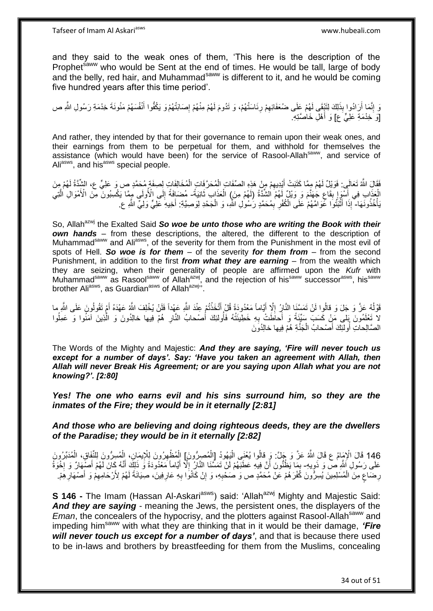and they said to the weak ones of them, 'This here is the description of the Prophet<sup>saww</sup> who would be Sent at the end of times. He would be tall, large of body and the belly, red hair, and Muhammad<sup>saww</sup> is different to it, and he would be coming five hundred years after this time period'.

وَ إِنَّمَا أَرَادُوا بِذَلِكَ لِتَبْقَى لَهُمْ عَلَى ضُعَفَائِهِمْ رِئَاسَتُهُمْ، وَ تَدُومَ لَهُمْ مِنْهُمْ إِصَابَتُهُمْوَ يَكُفُّوا أَنْفُسَهُمْ مَنُونَةَ خِدْمَةِ رَسُولِ اللَّهِ ص ِ ِ ِ اً َ [وَ خِدْمَةِ عَلِيٍّ ع] وَ أَهْلِ خَاصَّتِهِ. َ

And rather, they intended by that for their governance to remain upon their weak ones, and their earnings from them to be perpetual for them, and withhold for themselves the assistance (which would have been) for the service of Rasool-Allah<sup>saww</sup>, and service of Ali<sup>asws</sup>, and his<sup>asws</sup> special people.

فَقَالَِ اللَّهُ تَعَالَى: فَوَيْلُ لَهُمْ مِمَّا كَتَبَتْ أَيْدِيهِمْ مِنْ هَذِهِ الصِّفَاتِ الْمُحَرَّفَاتِ الْمُخَالِفَاتٍ لِصِفَةٍ مُحَمَّدٍ ص وَ عَلِيٍّ ع، الشِّدَّةُ لَهُمْ مِنَ ِ َ ْ ْ ْ الْعَذَابِ فِي أَسْوَإِ بِّقَاعِ جُهَنَّمَ وَ وَيْلٌ لَّهُمْ الشُّنَّةُ (لَهُمْ مِنَ) الْعَذَابِ ثَانِيَةٌ- مُضَافَةٌ إِلَى الْأُولَى مُمِمَّا يَكْسِبُونَ مِنَ الْأَمْوَالِ الَّتِي ِ **ِ** ِ  $\ddot{\phantom{0}}$ ْ ِ ه يَأْخُذُونَهَا- إِذَا أَثْبَتُوا عَوَامَّهُمْ عَلَى الْكُفْرِ بِمُحَمَّدٍ رَسُولِ اللَّهِ، وَ الْجَحْدِ لِوَصِيَّةِ: أَخِيهِ عَلِيٍّ وَلِيٍّ اللَّهِ عِ ِ **∶** ֦֘<u>֓</u>֖֖֖֦֧֦֦֚֝֝֝ َ َ ْ

So, Allah<sup>azwj</sup> the Exalted Said So woe be unto those who are writing the Book with their *own hands* – from these descriptions, the altered, the different to the description of Muhammad<sup>saww</sup> and Ali<sup>asws</sup>, of the severity for them from the Punishment in the most evil of spots of Hell. *So woe is for them* – of the severity *for them from* – from the second Punishment, in addition to the first *from what they are earning –* from the wealth which they are seizing, when their generality of people are affirmed upon the *Kufr* with Muhammad<sup>saww</sup> as Rasool<sup>saww</sup> of Allah<sup>azwj</sup>, and the rejection of his<sup>saww</sup> successor<sup>asws</sup>, his<sup>saww</sup> brother Ali<sup>asws</sup>, as Guardian<sup>asws</sup> of Allah<sup>azwj</sup>".

قَوْلُهُ عَنَّ وَ جَلَ وَ قالُوا لَنْ تَمَسَّنَا النَّابِ ۚ إِلَّا أَيَّاماً مَعْدُودَةً قُلْ أَتَّخَذْتُمْ عِنْدَ اللَّهِ عَهِداً فَلَنْ يُخْلِفَ اللَّهُ عَهْدَهُ أَمْ تَقُولُونَ عَلَى اللَّهِ ما ا<br>ا **ٔ** َ َ ِ َ لاً تَعْلَمُونَ بَلى مَنْ كَسَبَ سَيِّئَةً وَ أَحَاظَتْ بِهِ خَطِيئَتُهُ فَأُولئِكَ أُصْحابُ النَّارِ هُمْ فِيها خالِدُونَ وَ الَّذِينَ آَمَنُوا وَ عَمِلُوا َ ُ ِ ا<br>ا ه ِ الصَّالِحاتِ أُولئِكَ أَصْحابُ الْجَنَّةِ هُمْ فِيها خالِدُونَ ْ َ ِ<br>ا

The Words of the Mighty and Majestic: *And they are saying, 'Fire will never touch us except for a number of days'. Say: 'Have you taken an agreement with Allah, then Allah will never Break His Agreement; or are you saying upon Allah what you are not knowing?'. [2:80]*

*Yes! The one who earns evil and his sins surround him, so they are the inmates of the Fire; they would be in it eternally [2:81]*

*And those who are believing and doing righteous deeds, they are the dwellers of the Paradise; they would be in it eternally [2:82]*

146 قَالَ الْإِمَامُ ع قَالَ اللَّهُ عَنَّ وَ جَلَّ: وَ قالُوا يُعْنَى الْيَهُودُ [الْمُصِرُّونَ] الْمُظْهِرُونَ لِلْإِيمَانِ، الْمُسِرُّونَ لِلنَّفَاقِ، الْمُدَبِّرُونَ<br>146 قَالَ الْإِمَامُ ع قَالَ اللَّهُ عَنَّ وَ جُلَّ: ْ ْ ْ ْ ْ ْ عَلَى رَسُولِ إَللَّهِ ص وَ ذَوِيهِ- بِمَا يَظُنُّونَ أَنَّ فِيهِ عَطَبَهُمْ لَنْ تَمَسَّنَا النَّالِّ إِلَّا أَيَاماً مَعْذُودَةً وَ ذَلِكَ أَنَّهُ كَانَ لَهُمْ أَصْبِهَارٌ وَ إِخْوَةٌ ِ اً ِ ┆ َ َ َ ا<br>ا لَ رِمَمَاعٍ مِنَ الْمُسْلِمِينَ يُسِرُّونَ كُفْرَهُمْ عَنْ مُحَمَّدٍ ص وَ صُحّْبِهِ، وَ إِنْ كَانُوَا بِهِ عَارِفِينَ، صِبْيَانَةً لَهُمْ لِأَرْحَامِهِمْ وَ أَصْهَارِهِمْ. ٍ ِ ْ َ ِ لَ ِ **∶** ِ ِ

**S 146 -** The Imam (Hassan Al-Askari<sup>asws</sup>) said: 'Allah<sup>azwj</sup> Mighty and Majestic Said: *And they are saying* - meaning the Jews, the persistent ones, the displayers of the *Eman*, the concealers of the hypocrisy, and the plotters against Rasool-Allah<sup>saww</sup> and impeding himsaww with what they are thinking that in it would be their damage, *'Fire will never touch us except for a number of days'*, and that is because there used to be in-laws and brothers by breastfeeding for them from the Muslims, concealing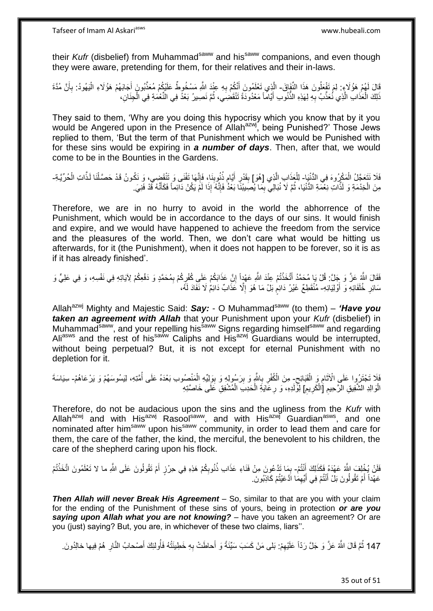their *Kufr* (disbelief) from Muhammad<sup>saww</sup> and his<sup>saww</sup> companions, and even though they were aware, pretending for them, for their relatives and their in-laws.

قَالَ لَهُمْ هَؤُلَاءٍ: لِمَ تَفْعَلُونَ هَذَا النَّفَإِقَ- الَّذِي تَعْلَمُونَ أَنَّكُمْ بِهِ عِنْدَ اللَّهِ مَسْخُوطٌ عَلَيْكُمْ مُعَذَّبُونَ أَجَابَهُمْ هَؤُلَاءِ الْيَهُودُ: بِأَنَّ مُدَّةَ ِ َ َ **∶** ْ َ ذَلِكَ الْعَذَابِ الَّذِي نُعَذَّبُ بِهِ لِهَذِهِ النُّنُوِبِ أَيَّاماً مَعْدُودَةً تَنْقَضِيَ، ثُمَّ نَصِيرُ بَعْدُ فِي الْنُّعْمَةِ فِي الْجِنَانِ، ْ ِ ْ ان<br>المقامات المقامات المقامات المقامات المقامات المقامات المقامات المقامات المقامات المقامات المقامات المقامات<br>المقامات المقامات المقامات المقامات المقامات المقامات المقامات المقامات المقامات المقامات المقامات المقامات َ

They said to them, 'Why are you doing this hypocrisy which you know that by it you would be Angered upon in the Presence of Allah<sup>azwj</sup>, being Punished?' Those Jews replied to them, 'But the term of that Punishment which we would be Punished with for these sins would be expiring in *a number of days*. Then, after that, we would come to be in the Bounties in the Gardens.

### فَلَا نَتَعَجَّلُ الْمَكْرُوهَ فِي الدُّنْيَا- لِلْعَذَابِ الَّذِي [هُوَ] بِقَدْرِ أَيَّام ذُنُوبِنَا، فَإِنَّها تَفْنَى وَ تَنْقَضِي، وَ نَكُونُ قَدْ حَصَّلْنَا لَذَّاتِ الْحُرِّيَّةِ-ْ ׀ו<br>ِי ; َ ِ **∣** ه مِنَ الْخِدْمَةِ وَ لَذَّاتِ نِعْمَةِ الدُّنْيَا، ثُمَّ لَا نُبَالِيَ بِمَا يُصِبِيبُنَا بَعْدُ فَإِنَّهُ إِذَا لَمَّ يَكُنْ دَابَماً فَكَأَنَّهُ قَدْ فَنِيَ ِ ا<br>ا ْ َ ׀ו<br>ְי

Therefore, we are in no hurry to avoid in the world the abhorrence of the Punishment, which would be in accordance to the days of our sins. It would finish and expire, and we would have happened to achieve the freedom from the service and the pleasures of the world. Then, we don't care what would be hitting us afterwards, for it (the Punishment), when it does not happen to be forever, so it is as if it has already finished'.

فَقَالَ اللَّهِ عَزَّ وَ جَلَّ: قُلْ يَا مُحَمَّدُ أَتَخَذْتُمْ عِنْدَ اللَّهِ عَهْدٍاً إِنَّ عَذَابَكُمْ عَلَي كُفْرِكُمْ بِمُحَمَّدٍ وَ دَفْعِكُمْ لِآيَاتِهِ فِي نَفْسِهِ، وَ فِي عَلِيٍّ وَ ِ ِ ِ **ٔ** سَائِرِ خُلَفَائِهِ وَ أَوْلِيَائِهِ- مُنْقَطِعٌ غَيْرُ دَائِمٍ بَلْ مَا هُوَ إِلَّا عَذَابٌ دَائِمٌ لَا نَفَادَ لَمُه َ ِ ֧֖֧֚֚֓֝֝֝ ِ

Allah<sup>azwj</sup> Mighty and Majestic Said: Say: - O Muhammad<sup>saww</sup> (to them) - 'Have you *taken an agreement with Allah* that your Punishment upon your *Kufr* (disbelief) in Muhammad<sup>saww</sup>, and your repelling his<sup>saww</sup> Signs regarding himself<sup>saww</sup> and regarding Ali<sup>asws</sup> and the rest of his<sup>saww</sup> Caliphs and His<sup>azwj</sup> Guardians would be interrupted, without being perpetual? But, it is not except for eternal Punishment with no depletion for it.

فَلَا تَجْتَرُوا عَلَى الْأَثَامِ وَ الْقَبَائِح- مِنَ الْكُفْرِ بِاللَّهِ وَ بِرَسُولِهِ وَ بِوَلِيِّهِ الْمَنْصُوبِ بَعْدَهُ عَلَى أُمَّتِهِ، لِيَسُوسَهُمْ وَ يَرْعَاهُمْ- سِيَاسَةَ **ُ** ة<br>ا ِ ُ ْ ِ **!** ِ ِ ِ الْوَالِدِ الشَّفِيقِ الرَّحِيمِ [َالْكَرِيمِ] لِوَّلَدِهِ، وَ رِعَايَةِ الْحَدِبَ الْمُشْفِقِ عَلَى خَاصَّتِهِ ِ ْ ِ ْ ِ

Therefore, do not be audacious upon the sins and the ugliness from the *Kufr* with Allah<sup>azwj</sup> and with His<sup>azwj</sup> Rasool<sup>saww</sup>, and with His<sup>azwj</sup> Guardian<sup>asws</sup>, and one nominated after him<sup>saww</sup> upon his<sup>saww</sup> community, in order to lead them and care for them, the care of the father, the kind, the merciful, the benevolent to his children, the care of the shepherd caring upon his flock.

فَلَنْ يُخْلِفَ اللَّهُ عَهْدَهُ فَكَذَلِكَ أَنْتُمْ- بِمَا تَدَّعُونَ مِنْ فَنَاءِ عَذَابَ ذُنُوبِكُمْ هَذِهِ فِي حِرْزٍ أَمْ تَقُولُونَ عَلَى اللَّهِ ما لا تَعْلَمُونَ اتَّخَذْتُمْ َ َ ِ ِ ْ عَهْداً أَمْ تَقُولُونَ بَلْ أَنْتُمْ فِي أَيِّهِمَا ادَّعَيْتُمْ كَاذِبُونَ. َ ِ َ اً<br>ا

*Then Allah will never Break His Agreement* – So, similar to that are you with your claim for the ending of the Punishment of these sins of yours, being in protection *or are you saying upon Allah what you are not knowing?* – have you taken an agreement? Or are you (just) saying? But, you are, in whichever of these two claims, liars''.

147 ثُمَّ قَالَ اللَّهُ عَزَّ وَ جَلَّ رَدّاً عَلَيْهِمْ: بَلى مَنْ كَسَبَ سَيِّئَةً وَ أَحاطَتْ بِهِ خَطِيئَتُهُ فَأُولئِكَ أَصْحابُ النَّارِ هُمْ فِيها خالِدُونَ. َ ِ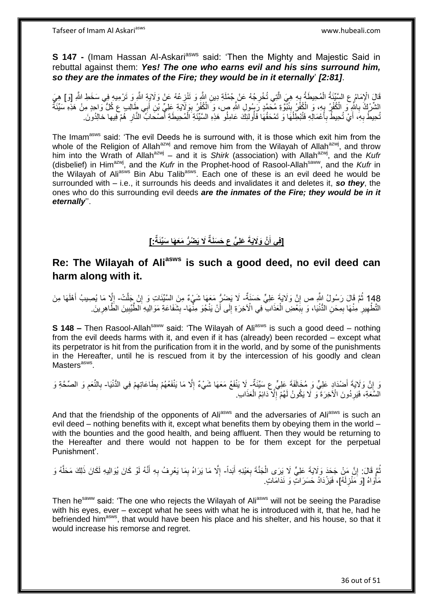**S 147 -** (Imam Hassan Al-Askari<sup>asws</sup> said: 'Then the Mighty and Majestic Said in rebuttal against them: *Yes! The one who earns evil and his sins surround him, so they are the inmates of the Fire; they would be in it eternally*' *[2:81]*.

قَالَ الْإِمَامُ عِ السَّيِّئَةُ الْمُحِيطَةُ بِهِ هِيَ الَّتِي تُخْرِجُهُ عَنْ جُمْلَةِ دِينِ اللَّهِ وَ تَنْزِجَهُ وَ تَرْمِيهِ فِي سَخَطِ اللَّهِ [وَ] هِيَ<br>نشرته وَ يَسْتَخِيرُ فَي الْمُحِيطَةُ فِي مُنَ الَّتِي تُخْرِج ِ ِ ه ا<br>با ْ الشَّرْكُ بِاللَّهِ ۖ وَ الْكُفْرُ بِهِ، وَ الْكُفْرُ بِنُبُوَّةِ مُحَمَّدٍ رَسُولِ اللَّهِ ص، وَ الْكُفْرُ بِوَلَايَةِ عَلِيٍّ بْنِ أَبِي طَالِبٍ ع كُلُّ وَاحِدٍ مِنْ هَذِهِ سَيِّئَةٌ ِ **∣** ِ **∶** َ تُحِيطُ بِهِ، أَيْ تُحِيطُ بِأَعْمَالِهِ فَتُبْطِلُهَا وَ تَمْحَقُهَا فَأُولئِكَ عَامِلُو هَذِهِ السَّيِّئَةِ الْمُحِيطَةِ أَصْحَابُ النَّارِ هُمْ فِيها خالِدُونَ َ **∶** َ **∶** :<br>ا ِ َ ْ

The Imam<sup>asws</sup> said: 'The evil Deeds he is surround with, it is those which exit him from the whole of the Religion of Allah<sup>azwj</sup> and remove him from the Wilayah of Allah<sup>azwj</sup>, and throw him into the Wrath of Allah<sup>azwj</sup> – and it is Shirk (association) with Allah<sup>azwj</sup>, and the Kufr (disbelief) in Himazwj, and the *Kufr* in the Prophet-hood of Rasool-Allahsaww, and the *Kufr* in the Wilayah of Ali<sup>asws</sup> Bin Abu Talib<sup>asws</sup>. Each one of these is an evil deed he would be surrounded with – i.e., it surrounds his deeds and invalidates it and deletes it, *so they*, the ones who do this surrounding evil deeds *are the inmates of the Fire; they would be in it eternally*''.

### **[فِي أَنَّ وَلَايَةَ عَلِيٍّ ع** حَسَنَةٌ لَا يَضُرُّ مَعَهَا سَيِّئَةٌ: **] َ**

# **Re: The Wilayah of Aliasws is such a good deed, no evil deed can harm along with it.**

148 ثُمَّ قَالَ رَسُولُ اللَّهِ ص إِنَّ وَلَايَةَ عَلِيٍّ حَسَنَةٌ- لَا يَضْرُّ مَعَهَا شَيْءٌ مِنَ السَّيِّئَاتِ وَ إِنْ جَلَّتْ- إِلَّا مَا يُصِيبُ أَهْلَهَا مِنَ َ ِ ِ ِ التَّطْهِيرِ ۚ مِنْهَا بِمِحَنِّ الدُّنْيَا، وَ بِبََعْضِ الْعَذَابِ ۖ فِي الْآخِرَةِ إِلَى أَنْ يَنْجُوَ مِثّْهَا- بِشَفَاعَةِ مَوَالِيهِ الطَّيِّبِينَ الظَّاهِرِينَ. َ ِ ْ ِ ِ ِ ِ ِ ِ ِ

**S 148 –** Then Rasool-Allah<sup>saww</sup> said: 'The Wilayah of Ali<sup>asws</sup> is such a good deed – nothing from the evil deeds harms with it, and even if it has (already) been recorded – except what its perpetrator is hit from the purification from it in the world, and by some of the punishments in the Hereafter, until he is rescued from it by the intercession of his goodly and clean Masters<sup>asws</sup>.

وَ إِنَّ وَلَايَةَ أَصْدَادٍ عَلِيٍّ وَ مُخَالَفَةَ عَلِيٍّ عِ سَيِّئَةٌ ۖ لَا يَنْفَعُ مَعَهَا شَيْءٌ إِلَّا مَا يَنْفَعُهُمْ بِطَاعَاتِهِمْ فِي الدُّنْيَا- بِالنَّعَمِ وَ الصِّحَّةِ وَ َ ِ ِ ِ ِ ِ السَّعَةِ، فَيَرِدُونَ الْأَخِرَةَ وَ لَا يَكُونُ لَهُمْ إِلَّا دَائِمُ الْعَذَابِ. ْ ِ **∶** 

And that the friendship of the opponents of Ali<sup>asws</sup> and the adversaries of Ali<sup>asws</sup> is such an evil deed – nothing benefits with it, except what benefits them by obeying them in the world – with the bounties and the good health, and being affluent. Then they would be returning to the Hereafter and there would not happen to be for them except for the perpetual Punishment'.

### نُمَّ قَالَ: إِنَّ مَنْ جَحَدَ وَلَايَةَ عَلِيٍّ لَا يَرَى الْجَنَّةَ بِعَيْنِهِ أَبَداً- إِلَّا مَا يَرَاهُ بِمَا يَعْرِفُ بِهِ أَنَّهُ لَوْ كَانَ يُوَالِيهِ لَكَانَ ذَلِكَ مَحَلُّهُ وَ اٍ ُ َ **∶** ْ ه َ **∶** ِ ِ ِ مَأْوَاهُ [وَ مَنْزِلَهُ]، فَيَزْدَادُ حَسَرَاتٍ وَ نَدَامَاتٍ. لَ ِ ا<br>ا

Then he<sup>saww</sup> said: 'The one who rejects the Wilayah of Ali<sup>asws</sup> will not be seeing the Paradise with his eyes, ever – except what he sees with what he is introduced with it, that he, had he befriended him<sup>asws</sup>, that would have been his place and his shelter, and his house, so that it would increase his remorse and regret.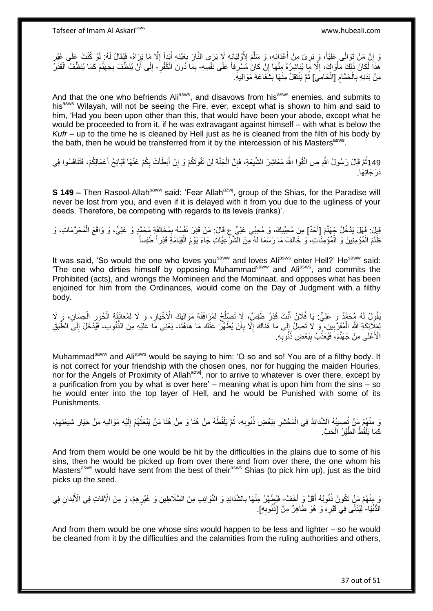وَ إِنَّ مَنْ تَوَالَى عَلِيّاً، وَ بَرِئَ مِنْ أَعْدَائِهِ، وَ سَلَّمَ لِأَوْلِيَائِهِ لَا يَرَى النَّارَ بِعَيْنِهِ أَبَداً إِلَّا مَا بَرَاهُ، فَيُقَالُ لَهُ ۚ لِأَو كُنْتَ عَلَى غَيْرِ َ ِ ه َ ِ ِ ِ ِ ْ هَٰذَاً لَكَانَ ذَلِكَ مَأْوَاكَ، إِلَّا مَا يُبَاشِرُهُ مِنْهَا إِنْ كَانَ مُسْرِفاً عَلَى نَفْسِهِ- بِمَا دُونَ الْكُفْرِ - إِلَى أَنْ يُنَظَّفَ بِجَهَنَّمَ كَمَا يُنَظُّفُ الْقَذَرِ ِ ِ ِ ِ ِ ِ َ ِ ْ مِنْ بَدَنِهِ بِالْحَمَّامِ [الْحَامِي] ثُمَّ يَنْتَقِلُ مِنْهَا بِشُفَاعَةِ مَوَالِيهِ. ْ ِ ْ ِ **∣** .<br>• • • •

And that the one who befriends Ali<sup>asws</sup>, and disavows from his<sup>asws</sup> enemies, and submits to his<sup>asws</sup> Wilayah, will not be seeing the Fire, ever, except what is shown to him and said to him, 'Had you been upon other than this, that would have been your abode, except what he would be proceeded to from it, if he was extravagant against himself – with what is below the *Kufr* – up to the time he is cleaned by Hell just as he is cleaned from the filth of his body by the bath, then he would be transferred from it by the intercession of his Masters<sup>asws</sup>.

149ثُمَّ قَالَ رَسُولُ اللَّهِ ص اتَّقُوا اللَّهَ مَعَاشِرَ الشَّيعَةِ، فَإِنَّ الْجَنَّةَ لَنْ تَفُوتَكُمْ وَ إِنْ أَبْطَأَتْ بِكُمْ عَنْهَا قَبَائِحُ أَعْمَالِكُمْ، فَتَنَافَسُوا فِي َ ِ َ َ ِ ْ ∣lٍ َدَجَاتِهَا.

**S 149 -** Then Rasool-Allah<sup>saww</sup> said: 'Fear Allah<sup>azwj</sup>, group of the Shias, for the Paradise will never be lost from you, and even if it is delayed with it from you due to the ugliness of your deeds. Therefore, be competing with regards to its levels (ranks)'.

قِيِلَ: فَهَلْ يَدْخُلُ جَهَنَّمَ [أَحَدٌ] مِنْ مُحِبِّيكَ، وَ مُحِبِّي عَلِيٍّ ع قَالَ: مَنْ قَذِرَ نَفْسُهُ بِمُخَالَفَةٍ مُحَمَّدٍ وَ عَلِيٍّ، وَ وَاقَعَ الْمُحَرَّمَاتِ، وَ ِ َ ْ ظَلَمَ الْمُؤْمِنِينَ وَ الْمُؤْمِنَاتِ، وَ خَالَفَ مَا رَسَمَا لَهُ مِنَ الْشَرّْعِيَّاتِ جَاءَ يَوْمَ الْقِيَامَةِ قَذِر أَ طَفِساً ْ ْ ْ

It was said, 'So would the one who loves you<sup>saww</sup> and loves Ali<sup>asws</sup> enter Hell?' He<sup>saww</sup> said: 'The one who dirties himself by opposing Muhammad<sup>saww</sup> and Ali<sup>asws</sup>, and commits the Prohibited (acts), and wrongs the Momineen and the Mominaat, and opposes what has been enjoined for him from the Ordinances, would come on the Day of Judgment with a filthy body.

َقُولُ لَهُ مُحَمَّدٌ وَ عَلِيٌّ: يَا فُلَانُ أَنْتَ قَذِرٌ طَفِسٌ، لَا تَصْلُحُ لِمُرَافَقَةِ مَوَالِيِكَ الْأَخْيَارِ، وَ ِلَا لِمُعَانَقَةِ الْحُورِ الْحِسَانِ، وَ ِلَا ِ ا<br>ـ َ ْ ِ ْ لِّهِ لَإِنَّهِ الْمُقَرَّبِينَ، مِّو لَا تَصِلُ إِلَى مَا هُنَاكَ إِلَّا بِأَنْ يُطَهِّرَ عَنْكَ مَا هَاهُنَا- يَعْنِي مَا عَلَيْهِ مِنَ الذُّنُوبِ- فَيُدْخَلُ إِلَى الطَّبَقِ َ ِ ِ ׀ ِ ْ ِ الْأَعْلَى مِنْ جَهَنَّمَ، فَيُعَذَّبُ بِبَعْضِ ذُنُوبِهِ. ِ **∣** 

Muhammad<sup>saww</sup> and Ali<sup>asws</sup> would be saying to him: 'O so and so! You are of a filthy body. It is not correct for your friendship with the chosen ones, nor for hugging the maiden Houries, nor for the Angels of Proximity of Allah<sup>azwj</sup>, nor to arrive to whatever is over there, except by a purification from you by what is over here' – meaning what is upon him from the sins – so he would enter into the top layer of Hell, and he would be Punished with some of its Punishments.

رَ مِنْهُمْ مَنْ تُصِيبُهُ الشَّدَائِدُ فِي الْمَحْشَرِ بِبَعْضِ ذُنُوبِهِ، ثُمَّ يَلْقُطُهُ مِنْ هُنَا وَ مِنْ هُنَا مَنْ يَبْعَثُهُمْ إِلَيْهِ مَوَالِيهِ مِنْ خِيَارِ شِيعَتِهِمْ، ْ ُ **∶** ِ **∶** ْ ِ ِ لَ ِ ا پایا<br>ا كَمَا يَلْقُطُ الطَّيْرُ الْحَبَّ ْ ْ

And from them would be one would be hit by the difficulties in the plains due to some of his sins, then he would be picked up from over there and from over there, the one whom his Masters<sup>asws</sup> would have sent from the best of their<sup>asws</sup> Shias (to pick him up), just as the bird picks up the seed.

َر مِنْهُمْ مَنِْ نَكُونُ ذُنُوبُهُ أَقَلَّ وَ أَخَفَّ- فَيُطَهَّرُ مِنْهَا بِالشَّدَائِدِ وَ النَّوَائِبِ مِنَ السَّلَاطِينِ وَ غَيْرِهِمْ، وَ مِنَ الْأَفَاتِ فِي الْأَبْدَانِ فِي ِ ِ اللُّنْنِا- لِيُدْلَى فِي َقَبْرِهِ وَ هُوَ طَاهِرٌ مِنْ [ذُنُوبِهِ]. ِ ِ

And from them would be one whose sins would happen to be less and lighter – so he would be cleaned from it by the difficulties and the calamities from the ruling authorities and others,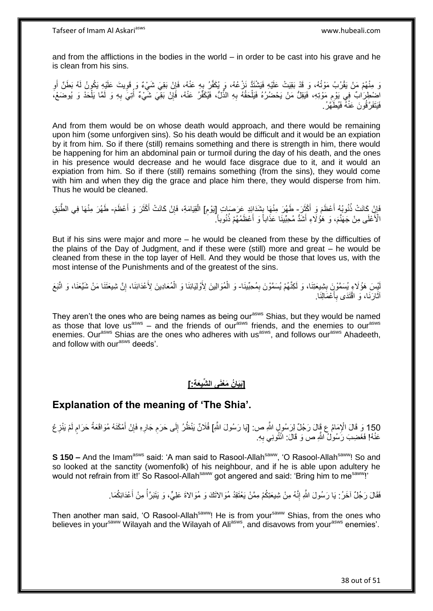and from the afflictions in the bodies in the world – in order to be cast into his grave and he is clean from his sins.

وَ مِنْهُمْ مَنْ يَقْرُبُ مَوْتُهُ، وَ قَدْ بَقِيَتْ عَلَيْهِ فَيَشْتَدُّ نَزْعُهُ، وَ يُكَفَّرُ بِهِ عَنْهُ، فَإِنْ بَقِيَ شَيْءٌ وَ قَوِيتَ عَلَيْهِ يَكُونُ لَهُ بَطَنٌ أَوِ ِ ِ ِ **∶** َ اضْطِرَاٰبٌ فِي يَوْم مَوْتِهِ، فَيَقِلُّ مَنْ يَحْضُرُهُ فَيَلْحَقُهُ بِهِ الذَّلُّ، فَيُكَفَّرُ عَنْهُ، فَإِنْ بَقِّيَ شَيْءٌ أُتِيَ بِهِ وَ لَمَّا يَلْحَدْ وَ يُوضَعْ، ِ ِ ِ ْ ْ ِ ُ فَيَتَفَرَّ قُونَ عَنْهُ فَيُطَّهَّرُ .

And from them would be on whose death would approach, and there would be remaining upon him (some unforgiven sins). So his death would be difficult and it would be an expiation by it from him. So if there (still) remains something and there is strength in him, there would be happening for him an abdominal pain or turmoil during the day of his death, and the ones in his presence would decrease and he would face disgrace due to it, and it would an expiation from him. So if there (still) remains something (from the sins), they would come with him and when they dig the grace and place him there, they would disperse from him. Thus he would be cleaned.

َابِنْ كَانَتْ ذُنُوبُهُ أَعْظَمَ وَ أَكْثَرَ - طَهُرَ مِنْهَا بِشَدَائِدٍ عَرَصَاتِ إِيْوْمِ] الْقِيَامَةِ، فَإِنْ كَانَتْ أَكْثَرَ وَ أَعْظَمَ- طَهُرَ مِنْهَا فِي الطَّبَقِ  $\ddot{\cdot}$ َ ا<br>ا ِ ِ ِ ِ ْ َ َ َ الْأَعْلَى مِنْ جَهَنَّمَ، وَ هَؤُلَاءِ أَشَدُّ مُحِبِّينًا عَذَاباً وَ أَعْظَمُهُمْ ذُنُوباً. َ َ

But if his sins were major and more – he would be cleaned from these by the difficulties of the plains of the Day of Judgment, and if these were (still) more and great – he would be cleaned from these in the top layer of Hell. And they would be those that loves us, with the most intense of the Punishments and of the greatest of the sins.

لْيِسَ هَؤُلَاءِ يُسَمَّوْنَ بِشِيعَتِنَا، وَ لَكِنَّهُمْ يُسَمَّوْنَ بِمُحِبِّينَا- وَ الْمُوَالِينَ لِأَوْلِيَائِنَا وَ الْمُعَادِينَ لِأَعْدَائِنَا، إِنَّ شِيعَتَنَا مَنْ شَيَّعَنَا، وَ اتَّبَعَ ِ **ِ** ِ ْ أَثَارَنَا، وَ اقْتَدَى بِأَعْمَالِذَا. َ ِ  $\ddot{\phantom{0}}$ 

They aren't the ones who are being names as being our<sup>asws</sup> Shias, but they would be named as those that love us<sup>asws</sup> – and the friends of ourasws friends, and the enemies to ourasws enemies. Our<sup>asws</sup> Shias are the ones who adheres with us<sup>asws</sup>, and follows our<sup>asws</sup> Ahadeeth, and follow with our<sup>asws</sup> deeds'.

### **]َبَيا ُن َم ْعَنى ال ِّشيَع ِة:[**

### **Explanation of the meaning of 'The Shia'.**

150 وَ قَالَ الْإِمَامُ عِ قَالَ رَجُلٌ لِرَسُولِ اللَّهِ ص: [يَا رَسُولَ اللَّهِ] فُلَانٌ يَنْظُرُ إِلَى حَرَمِ جَارِهِ فَإِنْ أَمْكَنَهُ مُوَاقَعَةُ حَرَامٍ لَمْ يَنْزِعْ<br>150 وَ قَالَ الْإِمَامُ عَ قَالَ رَجُلٌ يَرْسَنُ ِ ِ لَ **ื** َ ∣ļ عَنْهُ! فَغَضِبَ رَسُولٌ اللَّهِ ص وَ قَالَ: انْثُونِي بِهِ. **∶** 

**S 150 –** And the Imam<sup>asws</sup> said: 'A man said to Rasool-Allah<sup>saww</sup>, 'O Rasool-Allah<sup>saww</sup>! So and so looked at the sanctity (womenfolk) of his neighbour, and if he is able upon adultery he would not refrain from it!' So Rasool-Allah<sup>saww</sup> got angered and said: 'Bring him to me<sup>saww</sup>!'

> فَقَالَ رَجُلٌ آخَرُ : يَا رَسُولَ النَّهِ إِنَّهُ مِنْ شِيعَتِكُمْ مِمَّنْ يَعْتَقِدُ مُوَالاَتَكَ وَ مُوَالاةَ عَلِيٍّ، وَ يَتَبَرَّأُ مِنْ أَعْدَائِكُمَا . ِ َ ُ

Then another man said, 'O Rasool-Allah<sup>saww</sup>! He is from your<sup>saww</sup> Shias, from the ones who believes in your<sup>saww</sup> Wilayah and the Wilayah of Ali<sup>asws</sup>, and disavows from your<sup>asws</sup> enemies'.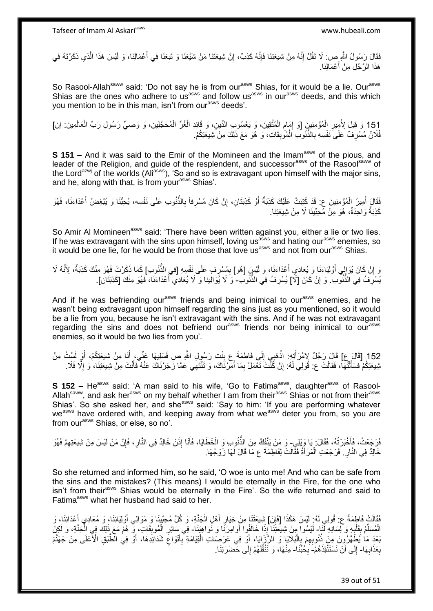فَقَالَ رَسُولُ الثَّهِ ص: لَا تَقُلْ إِنَّهُ مِنْ شِيعَتِنَا فَإِنَّهُ كَذِبٌ، إِنَّ شِيعَتَنَا مَنْ شَيَّعَذَا وَ تَبِعَنَا فِي أَعْمَالِنَا، وَ لَيْسَ هَذَا الَّذِي ذَكَرْتَهُ فِي ِ ِ ׀ו<br>ְי ِ ه هَذَا الرَّجُلِ مِنْ أَعْمَالِنَا. َ

So Rasool-Allah<sup>saww</sup> said: 'Do not say he is from our<sup>asws</sup> Shias, for it would be a lie. Our<sup>asws</sup> Shias are the ones who adhere to us<sup>asws</sup> and follow us<sup>asws</sup> in our<sup>asws</sup> deeds, and this which you mention to be in this man, isn't from our<sup>asws</sup> deeds'.

151 وَ قِيلَ لِأَمِيرِ الْمُؤْمِنِينَ [وَ إِمَامِ الْمُتَّقِينَ، وَ يَعْسُوبِ الدِّينِ، وَ قَائِدِ الْغُرِّ الْمُحَجَّلِينَ، وَ وَصِيٍّ رَسُولِ رَبِّ الْعَالَمِينَ: إن]<br>أَزَدُّ لَهُ مِنْ أَنْ الْعَالَمِينَ إِنَّ إِنَّ إِن ْ ْ ْ ِ ْ ِ ْ فُلَانٌ مُسْرِفٌ عَلَىَ نَفْسِهِ بِالذَّنُوبِ الْمُوَٰبِقَاتِ، وَ هُوَ مَعَ ذَلِكَ مِنْ شِيعَتِكُمْ. **∶** ِ **ِ** ْ

**S 151 –** And it was said to the Emir of the Momineen and the Imam<sup>asws</sup> of the pious, and leader of the Religion, and guide of the resplendent, and successor<sup>asws</sup> of the Rasool<sup>saww</sup> of the Lord<sup>azwj</sup> of the worlds (Ali<sup>asws</sup>), 'So and so is extravagant upon himself with the major sins, and he, along with that, is from your<sup>asws</sup> Shias'.

فَقَالَ أَمِيرُ الْمُؤْمِنِينَ ع: قَدْ كُتِبَتْ عَلَيْكَ كَذِبَةٌ أَوْ كَذِبَتَانِ، إِنْ كَانَ مُسْرِفاً بِالذُّنُوبِ عَلَى نَفْسِهِ، يُحِبُّنَا وَ يُبْغِضُ أَعْدَاءَنَا، فَهُوَ ِ ِ ِ َ ْ َ َ كَذِبَةٌ وَاحِدَةٌ، هُوَ مِنْ مُحِبِّينَا لَا مِنْ شِيعَتِنَا.

So Amir Al Momineen<sup>asws</sup> said: 'There have been written against you, either a lie or two lies. If he was extravagant with the sins upon himself, loving us<sup>asws</sup> and hating our<sup>asws</sup> enemies, so it would be one lie, for he would be from those that love us<sup>asws</sup> and not from our<sup>asws</sup> Shias.

وَ إِنْ كَانَ يُوَالِي أَوْلِيَاءَنَا وَ يُعَادِي أَعْدَاءَنَا، وَ لَيْسٍ [هُوَ] بِمُسْرِفٍ عَلَى نَفْسِهِ [فِي الذُّنُوبِ] كَمَا ذَكَرْتَ فَهُوَ مِنْكَ كَذِبَةٌ، لِأَنَّهُ لَا ِ ِ اً<br>ا َ ِ يُسْرِفُ فِي الذُّنُونِ ۚ وَ إِنْ كَانَ [لَآ] يُسْرِفُ فِي الذُّنُونِ ۚ وَ َلَا يُوَالِينَا وَ لَا يُعَادِي أَعْدَاءَنَا، فَهُوَ مِنْكَ [كَذِبَتَانِ]. **∶** اٍ **∶** َ

And if he was befriending our<sup>asws</sup> friends and being inimical to our<sup>asws</sup> enemies, and he wasn't being extravagant upon himself regarding the sins just as you mentioned, so it would be a lie from you, because he isn't extravagant with the sins. And if he was not extravagant regarding the sins and does not befriend our<sup>asws</sup> friends nor being inimical to our<sup>asws</sup> enemies, so it would be two lies from you'.

152 [قَالَ عِ] قَالَ رَجُلٌ لِإِمْرَأَتِهِ: اذْهَبِي إِلَى فَاطِمَةَ عِ بِنْتِ رَسُولِ اللَّهِ صِ فَسَلِيهَا عَنِّي، أَنَا مِنْ شِيعَتِكُمْ، أَوَ لَسْتُ مِنْ َ َ ِ ِ ; **ٔ** َ نْبِيعَتِكُمْ فَسَأَلَتُهَا، فَقَالَتْ ع: قُولِي لَهُ: إِنْ كُنْتَ تَعْمَلُ بِمَا أَمَّرْنَاكَ، وَ تَنْتَهِي عَمَّا زَجَرْنَاكَ عَنْهُ فَأَنْتَ مِنْ شِيعَتِنَا، وَ إِلَّا فَلَا َ ِ اٍ لَ َ ِ َ

**S 152 –** He<sup>asws</sup> said: 'A man said to his wife, 'Go to Fatima<sup>asws</sup>, daughter<sup>asws</sup> of Rasool-Allah<sup>saww</sup>, and ask her<sup>asws</sup> on my behalf whether I am from their<sup>asws</sup> Shias or not from their<sup>asws</sup> Shias'. So she asked her, and she<sup>asws</sup> said: 'Say to him: 'If you are performing whatever we<sup>asws</sup> have ordered with, and keeping away from what we<sup>asws</sup> deter you from, so you are from our<sup>asws</sup> Shias, or else, so no'.

فَرَجَعْتُ، فَأَخْبَرْتُهُ، فَقَالَ: يَا وَيْلِي- وَ مَنْ يَنْفَكُّ مِنَ الذُّنُوبِ وَ الْخَطَايَا، فَأَنَا إِذَنْ خَالِدٌ فِي النَّارِ، فَإِنَّ مَنْ لَيْسَ مِنْ شِيعَتِهِمْ فَهُوَ َ ِ ∣lٍ ِ َ ْ خَالِدٌ فِي النَّارِ . فَرَجَعَتِ الْمَرْأَةُ فَقَالَتْ لِفَاطِمَةَ ع مَا قَالَ لَهَا زَوْجُهَا . َ ْ **∶** 

So she returned and informed him, so he said, 'O woe is unto me! And who can be safe from the sins and the mistakes? (This means) I would be eternally in the Fire, for the one who isn't from their<sup>asws</sup> Shias would be eternally in the Fire'. So the wife returned and said to Fatima<sup>asws</sup> what her husband had said to her.

فَقَالَتْ فَاطِمَةُ ع: قُولِي لَهُ: لَيْسَ هَكَذَا [فَإِنَ] شِيعَتَنَا مِنْ خِيَارِ أَهْلِ الْجَنَّةِ، وَ كُلُّ مُحِبِّينَا وَ مُوَالِي أَوْلِيَائِنَا، وَ مُعَادِي أَعْدَائِنَا، وَ ِ ْ َ ِ َ َ الْمُسَلَّمُ بِقَلْبِهِ وَ لِسَانِهِ لَّذَا - لَيْسُوا مِنْ شِيعَتِنَا إِذَا خَالَفُوا أَوَامِرَنَا وَ نَواهِيَذَا فِي سَائِرِ الْمُوبِقَاتِ، وَ هُمْ مَعَ ذَلِكَ فِي الْجَنَّةِ، وَ لَكِن<br>.................................. **∶** ْ ׇ֧֦֧֦֧֦֧֦֧֦֢֪֦֡֝֝֝֝֝֜֜֝֘֝֝**֓**<br>֧֪֧֧֧֧֝֘֘֝֟֝֟ ِّ ْ َ ْ ِ ْ ِ َبْعَدَ مَا يُطْهَّرُونَ مِنْ ذُنُوبِهِمْ بِالْبَلَاَيَا وَ الزِّزَايَا، أَوْ فِي عَرَصَاتِ الْقِيَامَةِ بِّأَنْوَاعِ شَدَائِدِهَا، أَوْ فِي الْطَّبَقِ الْأَعْلَى مِنْ جَهَنَّمَ ِ َ ِ ْ ْ ِ ِ َ بِعَذَابِهَا- إِلَى أَنْ نَسْتَنْقِذَهُمْ- بِحُبِّنَا- مِنْهَا، وَ نَنْقُلَهُمْ إِلَى حَضْرَتِنَا. **∶ ∶** ِ ِ ِ لَ

39 out of 51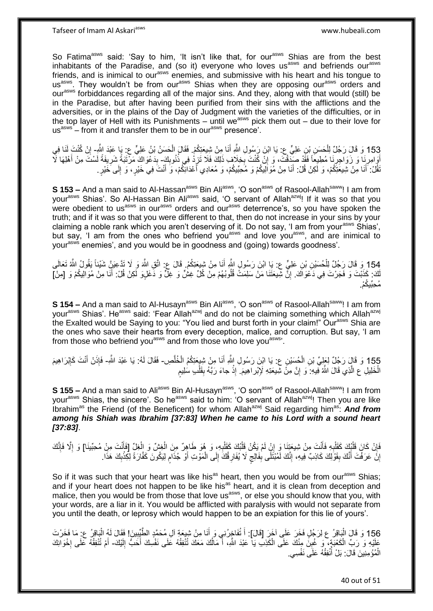So Fatima<sup>asws</sup> said: 'Say to him, 'It isn't like that, for our<sup>asws</sup> Shias are from the best inhabitants of the Paradise, and (so it) everyone who loves us<sup>asws</sup> and befriends our<sup>asws</sup> friends, and is inimical to our<sup>asws</sup> enemies, and submissive with his heart and his tongue to usasws. They wouldn't be from ourasws Shias when they are opposing ourasws orders and our<sup>asws</sup> forbiddances regarding all of the major sins. And they, along with that would (still) be in the Paradise, but after having been purified from their sins with the afflictions and the adversities, or in the plains of the Day of Judgment with the varieties of the difficulties, or in the top layer of Hell with its Punishments – until we<sup>asws</sup> pick them out – due to their love for us<sup>asws</sup> – from it and transfer them to be in our<sup>asws</sup> presence'.

153 وَ قَالَ رَجُلٌ لِلْحَسَنِ بْنِ عَلِيٍّ عِ: يَا ابْنَ رَسُولِ اللَّهِ أَنَا مِنْ شِيعَتِكُمْ. فَقَالَ الْحَسَنُ بْنُ عَلِيٍّ عِ: يَا عِبْدَ اِنْ كُنْتَ لَنَا فِي ِ ْ ْ أَوَامِرِنَا ۖ وَ زَوَاجِرِنَا مُطِيعًا فَقَّدْ صَيِّفَتْ، وَ إِنْ كُنْتَ بِخِلَافٍ ذَلِكَ فَلَا تَزِدُّ فِي ذُنُوبِكَ- بِدَعْوَاكَ مَرْتَبَةً شَرِيفَةً لَسْتَ مِنْ أَهْلِهَا لَآ ِ ِ ِ ِ **∶ ֝**֧֦֧֦֖֦֦֧֓֝֝֝ َ لَ ِ ِ ُقُلْ: أَنَا مِنْ شِيعَتِكُمْ، وَ لَكِنْ قُلْ: أَنَا مِنْ مُوَالِيكُمْ وَ مُحِبِّيكُمْ، وَ مُعَادِي أَعْدَائِكُمْ، وَ أَنْتَ فِي خَيْرٍ، وَ إِلَى خَيْرٍ. َ َ َ ׀l َ

**S 153 –** And a man said to Al-Hassan<sup>asws</sup> Bin Ali<sup>asws</sup>, 'O son<sup>asws</sup> of Rasool-Allah<sup>saww</sup>! I am from your<sup>asws</sup> Shias'. So Al-Hassan Bin Ali<sup>asws</sup> said, 'O servant of Allah<sup>azwj</sup>! If it was so that you were obedient to us<sup>asws</sup> in our<sup>asws</sup> orders and our<sup>asws</sup> deterrence's, so you have spoken the truth; and if it was so that you were different to that, then do not increase in your sins by your claiming a noble rank which you aren't deserving of it. Do not say, 'I am from your<sup>asws</sup> Shias', but say, 'I am from the ones who befriend you<sup>asws</sup> and love you<sup>asws</sup>, and are inimical to vour<sup>asws</sup> enemies', and you would be in goodness and (going) towards goodness'.

154 وَ قَالَ رَجُلٌ لِلْحُسَيْنِ بْنِ عَلِيٍّ ع: يَا ابْنَ رَسُولٍ اللَّهِ أَنَا مِنْ شِيعَتِكُمْ. قَالَ ع: اتَّقِ اللَّهَ وَ لَا تَذَّعِيَنَّ شَيْئاً يَقُولُ اللَّهُ تَعَالَى َ ْ لَكَ: كَذَبْتَ وَ فَجَرْتَ فِي دَعْوَاكَ. إِنَّ شِّيعَتَنَا مَنْ سَلِمَتْ قُلُوبُهُمْ مِنْ كُلِّ غِشٍّ وَ ظِلِّ وَ دَغَلٍوَ لَكِنْ قُلْ: أَنَا مِنْ مُوَالِيكُمْ وَ [مِنْ] ِ َ مُحِبِّيكُمْ.

**S 154 –** And a man said to Al-Husayn<sup>asws</sup> Bin Ali<sup>asws</sup>, 'O son<sup>asws</sup> of Rasool-Allah<sup>saww</sup>! I am from your<sup>asws</sup> Shias'. He<sup>asws</sup> said: 'Fear Allah<sup>azwj</sup> and do not be claiming something which Allah<sup>azwj</sup> the Exalted would be Saying to you: "You lied and burst forth in your claim!" Our<sup>asws</sup> Shia are the ones who save their hearts from every deception, malice, and corruption. But say, 'I am from those who befriend you<sup>asws</sup> and from those who love you<sup>asws</sup>.

155 وَ قَالٍَ رَجُلٌ لِعَلِيٍّ بْنِ الْحُسَيْنِ ع ۚ يَا ابْنَ رَسُولِ اللَّهِ أَنَا مِنْ شِيِعَتِكُمُ الْخُلَّصِ۔ فَقَالَ لَهُ: يَا عَبْدَ اللَّهِ- فَإِذَنْ أَنْتَ كَإِبْرَاهِيمَ ِ ْ َ َ ِ ه ْ َ ْ ֧֧֚֓֝֝֓֝ الْخَلِيلِ ع الَّذِي قَالَ اللَّهُ فِيهِ: َوَ إِنَّ مِنْ شِيعَتِهِ لَإِبْرِ اهِيمَ. إِذْ جاءَ رَبَّهُ بِقَلْبِ سُلِيمٍ ْ **∣** ِْ ه ْ

**S 155 –** And a man said to Ali<sup>asws</sup> Bin Al-Husayn<sup>asws</sup>, 'O son<sup>asws</sup> of Rasool-Allah<sup>saww</sup>! I am from your<sup>asws</sup> Shias, the sincere'. So he<sup>asws</sup> said to him: 'O servant of Allah<sup>azwj</sup>! Then you are like Ibrahim<sup>as</sup> the Friend (of the Beneficent) for whom Allah<sup>azwj</sup> Said regarding him<sup>as</sup>: **And from** *among his Shiah was Ibrahim [37:83] When he came to his Lord with a sound heart [37:83]*.

فَإِنْ كَانَ قَلْبُكَ كَقَلْبِهِ فَأَنْتَ مِنْ شِيعَتِنَا وَ إِنْ لَمْ يَكُنْ قَلْبُكَ كَقَلْبِهِ، وَ هُوَ طَاهِرٌ مِنَ الْغِشِّ وَ الْغِلِّ [فَأَنْتَ مِنْ مُحِبِّينَا] وَ إِلَّا فَإِنَّكَ ْ **∶** ْ ْ ِ َ **∶** ْ ٔ ֚׀֛<br>ׇ֧֢֚ ِ ا<br>ا َ إِنَّ عَرَفْتَ أَنَّكَ بِقَوْلِكَ كَاذِبٌ فِيهِ، إِنَّكَ لَمُبْتَلًى بِفَالِج لَا يُفَارِقُكَ إِلَى الْمَوْتِ أَوْ جُذَام لِيَكُونَ كَفَّارَةً لِكِذْبِكَ هَذَا. ֧֖֧֖֖֖֖֖֧֧֖֧֧֧֧ׅ֧֧֧֚֚֚֚֚֚֚֝֝֟֓֝֓֝֓֟֓֝֬֟֓֟֓֟֓֟֓֝֬֜֝֓֝֬֜֓֝֬֜֓֝֬ َ ْ ِ **∶** ٍ **∣** ِ **ِ** َ ا ِ **ٔ** 

So if it was such that your heart was like his<sup>as</sup> heart, then you would be from our<sup>asws</sup> Shias; and if your heart does not happen to be like his<sup>as</sup> heart, and it is clean from deception and malice, then you would be from those that love us<sup>asws</sup>, or else you should know that you, with malice, then you would be from those that love us<sup>asws</sup>, or else you should know that you, with your words, are a liar in it. You would be afflicted with paralysis with would not separate from you until the death, or leprosy which would happen to be an expiation for this lie of yours'.

156 وَ قَالَ الْبَاقِرُ عِ لِرَجُلٍ فَخَرَ عَلَى آخَرَ [قَالَ]: أَ تُفَاخِرُنِي وَ أَنَا مِنْ شِبِعَةٍ آلِ مُحَمَّدٍ الطَّيِّبِينَ! فَقَالَ لَهُ الْبَاقِرُ عِ مَا فَخَرْتَ ْ ِ َ ان<br>سا َ ا<br>ا عَلَيْهِ وَ رَبِّ الْكَعْبَةٍ، ۖ وَ غُبِنَّ مِنْكَ عَلَى الْكَذِبِ يَا عَبْدَ اللَّهِ، أَ مَالُكَ مَعَكَ تُنْفِقُهُ عَلَى نَفْسِكَ أَحَبُّ إِلَيْكَ- أَمْ تُنْفِقُهُ عَلَى إِخْوَانِكَ **∣** ْ لَ ِ َ اُ َ ْ ا.<br>: الْمُؤْمِنِينَ قَالَ: بَلْ أَنْفِقُهُ عَلَى نَفْسِي. ر<br>ا ْ

40 out of 51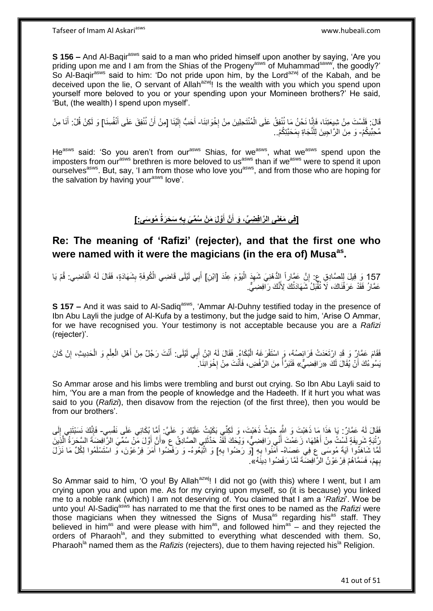**S 156 –** And Al-Bagir<sup>asws</sup> said to a man who prided himself upon another by saying, 'Are you priding upon me and I am from the Shias of the Progeny<sup>asws</sup> of Muhammad<sup>saww</sup>, the goodly?' So Al-Baqir<sup>asws</sup> said to him: 'Do not pride upon him, by the Lord<sup>azwj</sup> of the Kabah, and be deceived upon the lie, O servant of Allah<sup>azwj</sup>! Is the wealth with you which you spend upon yourself more beloved to you or your spending upon your Momineen brothers?' He said, 'But, (the wealth) I spend upon myself'.

فَالَ: فَلَسْتَ مِنْ شِيعَتِنَا، فَإِنَّا نَحْنُ مَا نُنْفِقُ عَلَى الْمُنْتَحِلِينَ مِنْ إِخْوَانِنَا- أَحَبُّ إِلَيْنَا [مِنْ أَنْ نُنْفِقَ عَلَى أَنْفُسِنَا] وَ لَكِنْ قُلْ: أَنَا مِنْ **∶** ْ  $\frac{1}{2}$ ِ َ َ مُحِبِّيكُمْ- وَ مِنَ الرَّاجِينَ لِلَّنَّجَاةِ بِمَحَبَّتِكُمْ.. ِ

He<sup>asws</sup> said: 'So you aren't from our<sup>asws</sup> Shias, for we<sup>asws</sup>, what we<sup>asws</sup> spend upon the imposters from our<sup>asws</sup> brethren is more beloved to us<sup>asws</sup> than if we<sup>asws</sup> were to spend it upon ourselves<sup>asws</sup>. But, say, 'I am from those who love you<sup>asws</sup>, and from those who are hoping for the salvation by having your<sup>asws</sup> love'.

> [فِی مَغْنَی الرَّافِضِیِّ، وَ أَنَّ أَوَّلَ مَنْ سُمِّیَ بِهِ سَحَرَةُ مُوسَیِّ:] **ِ َ َ**

# **Re: The meaning of 'Rafizi' (rejecter), and that the first one who were named with it were the magicians (in the era of) Musaas .**

157 وَ قِيلَ لِلصَّادِقِ عِ: إِنَّ عَمَّاراً الدُّهْنِيَ شَهِدَ الْيَوْمَ عِنْدَ [ابْنِ] أَبِي لَيْلَى قَاضِي الْكُوفَةِ بِشَهَادَةٍ، فَقَالَ لَهُ الْقَاضِي. قُمْ يَا ْ ِ ْ **∶** َ ا<br>ا יִי, عَمَّارُ فَقَّدْ عَرَفْنَاكَ، لَاَ نُقْبَلُ شَهَادَنُكَ لِأَنَّكَ رَآّفِضِيٍّ.

**S 157 –** And it was said to Al-Sadiq<sup>asws</sup>, 'Ammar Al-Duhny testified today in the presence of Ibn Abu Layli the judge of Al-Kufa by a testimony, but the judge said to him, 'Arise O Ammar, for we have recognised you. Your testimony is not acceptable because you are a *Rafizi* (rejecter)'.

فَقَامَ عَمَّازٌ وَ قَدِ اِرْتَعَدَتْ فَرَائِصُنُهُ، وَ اسْتَفْرَغَهُ الْبُكَاءُ. فَقَالَ لَهُ ابْنُ أَبِي لَيْلَى. أَنْتَ رَجُلٌ مِنْ أَهْلِ الْعِلْمِ وَ الْحَدِيثِ، إِنْ كَانَ ِ ْ ِ ْ ْ َ َ َ يَسُوعُكَ أَنْ يُقَالَ لَكَ «رَافِضِيٌّ» فَتَبَرَّأَ مِنَ الرَّفْضِ، فَأَنْتَ مِنْ إِخْوَانِنَا ِ َ יֲ<br>י َ ْ

So Ammar arose and his limbs were trembling and burst out crying. So Ibn Abu Layli said to him, 'You are a man from the people of knowledge and the Hadeeth. If it hurt you what was said to you (*Rafizi*), then disavow from the rejection (of the first three), then you would be from our brothers'.

فَقَالَ لَهُ عَمَّارٌ : يَا هَذَا مَا ذَهَبْتَ وَ الثَّهِ حَيْثُ ذَهَبْتَ، وَ لَكِنِّي بَكَيْتُ عَلَيْكَ وَ عَلَيَّ: أِمَّا بُكَائِي عَلَى نَفْسِي- فَإِنَّكَ نَسَبْتَنِي إِلَى لَ ِ ِ رُتْبَةٍ شَرِيفَةٍ لَسْتُ مِنْ أَهْلِهَا، زَعَمْتَ أَنِّي رَافِضِيٌّ، وَيْحَكَ لَقَّدْ حَدَّثَنِي الصَّادِقُ ع َ َ َ ِ ه َ َ لَمَّا شَاهَدُوا آيَةَ مُوسَى ع فِي عَصَاهُ- آمَنُوا بِهِ [ْوَ رَضُوا بِهِ] وَ اتَّبَّعُوهُ- وَ رَفَضُوا أَمَرَ فِرْعَوْنَ، وَ اسْتَسْلَمُوا لِكُلِّ مَا نَزَلَ ِ ِ َ بِهِمْ، فَسَمَّاهُمْ فِرْعَوْنُ الرَّافِضَـةَ لَمَّا رَفَضُوا دِينًهُ». ِ

So Ammar said to him, 'O you! By Allah<sup>azwj</sup>! I did not go (with this) where I went, but I am crying upon you and upon me. As for my crying upon myself, so (it is because) you linked me to a noble rank (which) I am not deserving of. You claimed that I am a '*Rafizi*'. Woe be unto you! Al-Sadiq<sup>asws</sup> has narrated to me that the first ones to be named as the *Rafizi* were those magicians when they witnessed the Signs of Musa<sup>as</sup> regarding his<sup>as</sup> staff. They believed in him<sup>as</sup> and were please with him<sup>as</sup>, and followed him<sup>as</sup> – and they rejected the orders of Pharaoh<sup>la</sup>, and they submitted to everything what descended with them. So, Pharaoh<sup>la</sup> named them as the *Rafizis* (rejecters), due to them having rejected his<sup>la</sup> Religion.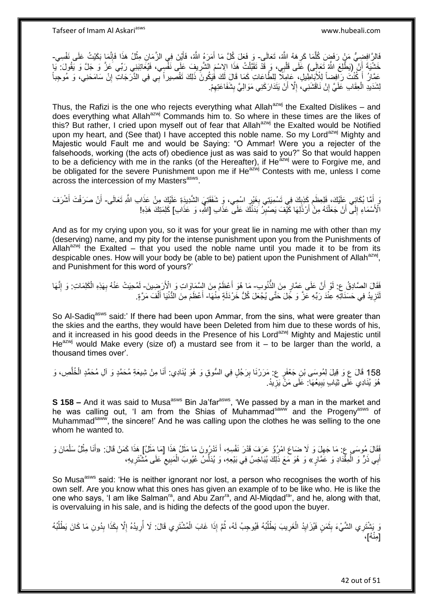فَالِنَّ افِضِيُّ مَنْ رَفَضٍ كُلِّمَا كَرِهَهُ اللَّهُ، تَعَالَى- وَ فَعَلَ كُلَّ مَا أَمَرَهُ اللَّهُ، فَأَيْنَ فِي الزَّمَانِ مِثْلُ هَذَا فَإِنَّمَا بَكَيْتُ عَلَى نَفْسِي-**∶** اً َ َ ׀ו<br>ְי **ٔ** خَشْيَةَ أَنْ إِنِطَّلِعَ اللَّهُ تَعَالَى) عَلَى قَلْبِي، وَ قَدْ تَقَبَّلْتُ هَذَا الِاسْمَ الْشَّرِيفِ عَلَى نَفْسِي، فَيُعَاتِبَنِي رَبِّي عَنَّ وَ يَفُولَ: يَّبَا ْ ْ اً ِ :<br>نا عَمَّارُ أَ كُنْتَ رَافِضاً لِلْأَبَاطِيلِ، عَامِلًا لِلطَّاعَاتِ كَمَا قَالَ لَكَ فَيَكُونَ ذَلِكَ تَقْصِيراً بِّي فِي الذَّرَجَاتِ إِنْ سَامَحَنِي، وَ مُوجِباً<br>يَمَيْنُ أَ كُنْتَ رَافِضاً لِلْأَبَاطِيلِ، عَامِلًا لِلطَّ َ ِ لِشَدَيدِ الْعِقَابِ عَلَيَّ إِنْ نَاقَشَنِي، إِلَّا أَنْ يَتَدَارَكَنِي مَوَالِيَّ بِشَفَاعَنِهِمْ. ِ ِ َ ِ ِ ْ

Thus, the Rafizi is the one who rejects everything what Allah<sup>azwj</sup> the Exalted Dislikes – and does everything what Allah<sup>azwj</sup> Commands him to. So where in these times are the likes of this? But rather, I cried upon myself out of fear that Allah<sup>azwj</sup> the Exalted would be Notified upon my heart, and (See that) I have accepted this noble name. So my Lord<sup>azwj</sup> Mighty and Majestic would Fault me and would be Saying: "O Ammar! Were you a rejecter of the falsehoods, working (the acts of) obedience just as was said to you?" So that would happen to be a deficiency with me in the ranks (of the Hereafter), if He<sup>azwj</sup> were to Forgive me, and be obligated for the severe Punishment upon me if He<sup>azwj</sup> Contests with me, unless I come across the intercession of my Masters<sup>asws</sup>.

وَ أَمَّا بُكَائِي عَلَيْكَ، فَلِعِظَم كَذِبِكَ فِي تَسْمِيَتِي بِغَيْرِ اسْمِي، وَ شَفَقَتِيَ الشَّدِيدَةِ عَلَيْكَ مِنْ عَذَابِ اللَّهِ تَعَالَى- أَنْ صَرَفْتَ أَشْرَفَ ِ ِ ِ ِ َ َ الْأَسْمَاءِ إِلَى ۖ أَنْ جَعَلْتَهُ مِنْ أَرْذَلِهَا كَيْفَ يَصْبِرُ بَدَنُكَ عَلَى ۖ عَذَابِ [اللَّهِ، وَ عَذَابِ] كَلِمَتِكَ هَذِهِ! ِ َ ْ اً ِ

And as for my crying upon you, so it was for your great lie in naming me with other than my (deserving) name, and my pity for the intense punishment upon you from the Punishments of Allah $^{azmj}$  the Exalted – that you used the noble name until you made it to be from its despicable ones. How will your body be (able to be) patient upon the Punishment of Allah<sup>azwj</sup>, and Punishment for this word of yours?'

فَقَالَ الصَّادِقُ ع: لَوْ أَنَّ عَلَى عَمَّارٍ مِنَ النُّنُوبِ- مَا هُوَ أَعْظَمُ مِنَ السَّمَاوَاتِ وَ الْأَرَضِينَ- لَمُحِيَتْ عَنْهُ بِهَذِهِ الْكَلِمَاتِ: وَ إِنَّهَا َ ِ ْ ِ لَ لَّتَزِيدُ فِي حَسَنَاتِهِ عِنْدَ رَبِّهِ عَزَّ وَ جَلَ حَتَّى يُجْعَلَ كُلُّ خَرْدَلَةٍ مِنْهَا- أَعْظَمَ مِنَ الدُّنْيَا أَلْفَ مَرَّةٍ. **∶** ْ َ َ

So Al-Sadig<sup>asws</sup> said:' If there had been upon Ammar, from the sins, what were greater than the skies and the earths, they would have been Deleted from him due to these words of his, and it increased in his good deeds in the Presence of his Lord<sup>azwj</sup> Mighty and Majestic until He<sup>azwj</sup> would Make every (size of) a mustard see from it  $-$  to be larger than the world, a thousand times over'.

158 قَالَ عِ وَ قِيلَ لِمُوسَى بْنِ جَعْفَرٍ عِ مَرَرْنَا بِرَجُلٍ فِي السُّوقِ وَ هُوَ بُنَادِي: أَنَا مِنْ شِيعَةِ مُحَمَّدٍ وَ آلِ مُحَمَّدٍ الْخُلُصِ، وَ ه ْ َ ِ هُوَ يُنَادِي عَلَى ثِيَابٍ يَبِيعُهَا: عَلَى مَنْ يَزِيدُ. **!** ِ

**S 158 –** And it was said to Musa<sup>asws</sup> Bin Ja'far<sup>asws</sup>, 'We passed by a man in the market and he was calling out, 'I am from the Shias of Muhammad<sup>saww</sup> and the Progeny<sup>asws</sup> of Muhammad<sup>saww</sup>, the sincere!' And he was calling upon the clothes he was selling to the one whom he wanted to.

فَقَالَ مُوسَى ع: مَا جَهِلَ وَ لَا ضَاعَ امْرُوٌ عَرَفَ قَدْرَ نَفْسِهِ، أَ تَدْرُونَ مَا مَثَلُ هَذَا [مَا مَثَلُ] هَذَا كَمَنْ قَالَ: «أَنَا مِثْلُ سَلْمَانَ وَ َ َ َ ِ  $\ddot{\cdot}$ ْ ْ أَبِي ذَرٍّ وَ الْمِقْدَادِ وَ عَمَّارٍ » وَ هُوَ مَعَ ذَلِكَ يُبَاجِسُ فِي بَيْعِهِ، وَ يُدَلِّسُ عُيُوبَ الْمَبِيعِ عَلَى مُثْنَثِرِيهِ، ْ ِ ِ ِ ْ

So Musa<sup>asws</sup> said: 'He is neither ignorant nor lost, a person who recognises the worth of his own self. Are you know what this ones has given an example of to be like who. He is like the one who says, 'I am like Salman<sup>ra</sup>, and Abu Zarr<sup>ra</sup>, and Al-Miqdad<sup>ra</sup>', and he, along with that, is overvaluing in his sale, and is hiding the defects of the good upon the buyer.

وَ يَشْتَرِي الشَّيْءَ بِثَمَنٍ فَيُزَايِدُ الْغَرِيبَ يَطْلُبُهُ فَيُوجِبُ لَهُ، ثُمَّ إِذَا غَابَ الْمُشْتَرِي قَالَ: لَا أُرِيدُهُ إِلَّا بِكَذَا بِدُونِ مَا كَانَ يَطْلُبُهُ ِ ِ ِ ْ ُ ا<br>ا ِ ْ ِ َ **∣** ُ ِ ءُ<br>م [مِنْهُ]، َ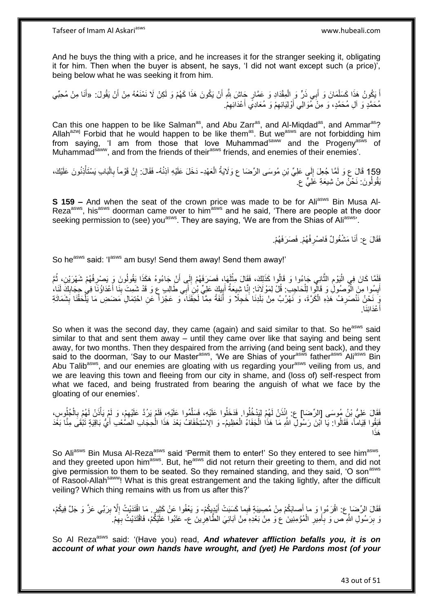And he buys the thing with a price, and he increases it for the stranger seeking it, obligating it for him. Then when the buyer is absent, he says, 'I did not want except such (a price)', being below what he was seeking it from him.

اً يَكُونُ هَذَا كَسَلْمَانَ وَ أَبِي ذَرٍّ وَ الْمِقْدَادِ وَ عَمَّارٍ جَاشَ بَلَّهِ أَنْ يَكُونَ هَذَا كَهُمْ وَ لَكِنْ لَا نَمْنَعُهُ مِنْ أَنْ يَقُولَ: «أَنَا مِنْ مُحِبِّي َ ْ َ ْ َ مُحَمَّدٍ وَ أَلِ مُحَمَّدٍ، وَ مِنْ مُوَالِي أَوْلِيَائِهِمْ وَ مُعَادِي أَعْدَائِهِمْ. ِ َ ِ َ

Can this one happen to be like Salman<sup>as</sup>, and Abu Zarr<sup>as</sup>, and Al-Miqdad<sup>as</sup>, and Ammar<sup>as</sup>? Allah<sup>azwj</sup> Forbid that he would happen to be like them<sup>as</sup>. But we<sup>asws</sup> are not forbidding him from saying, 'I am from those that love Muhammad<sup>saww</sup> and the Progeny<sup>asws</sup> of Muhammad<sup>saww</sup>, and from the friends of their<sup>asws</sup> friends, and enemies of their enemies'.

159 قَالَ عِ وَ لَمَّا جُعِلَ إِلَي عَلِيٍّ بْنِ مُوسَى الرِّضَا ع وَلَايَةُ الْعَهْدِ- دَخَلَ عَلَيْهِ آذِنُهُ- فَقَالَ: إِنَّ قَوْماً بِالْبَابِ يَسْتَأْذِنُونَ عَلَيْكَ، ْ ُ  $\sum_{i=1}^{n}$ ا<br>ا ْ ِ ِ يَقُولُونَ: نَحْنُ مِنْ شِيعَةِ عَلِيٍّ ع

**S 159 –** And when the seat of the crown price was made to be for Ali<sup>asws</sup> Bin Musa Al-Reza<sup>asws</sup>, his<sup>asws</sup> doorman came over to him<sup>asws</sup> and he said, 'There are people at the door seeking permission to (see) you<sup>asws</sup>. They are saying, 'We are from the Shias of Ali<sup>asws'</sup>.

> فَقَالَ عِ: أَنَا مَشْغُولٌ فَاصْرِفْهُمْ. فَصَرَفَهُمْ. َ **∶**

So he<sup>asws</sup> said: 'I<sup>asws</sup> am busy! Send them away! Send them away!'

فَلَمَّا كَانَ فِي الْيَوْمِ الثَّانِِي جَاءُوا وَ قَالُوا كَذَلِكَ، فَقَالَ مِثْلَهَا، فَصَرَفَهُمْ إِلَى أَنْ<br>أَنْفُعُولُونَ وَ يَصْرِفُهُمْ شَهْرَيْنِ، ثُمَّا مِنْ مِنْ الْمُولَّدِينَ مِثْلَهَا، فَصَرَفَهُمْ مَعْلَمَةٍ َ ِ لَ **ٔ** ه ِ ا<br>ا ِ ا<br>ا أَسِلُوا مِنَ الْوُصُولُ وَ قَالُوا لِلْحَاجِبِ: قُلْ لِمَوْلَانَا: إِنَّا شِيعَةُ أَبِيكٍ عَلِيٍّ بِنْنَ أَبِي طَالِبٍ عِ وَ قَدْ شَمِتَ بِنَا أَعْدَاؤُنَا فِي حِجَابِكَ لَنَا، ْ ْ ِ َ ِ َ َ ِ َ ِ يَ نَحْنُ نَنْصَرِفُ هَذِهِ الْكَرَّةَ، وَ نَهْرُبُ مِنْ بَلَدِنَا خَجِلًا وَ أَنَفَةً مِمَّاۤ لَحِقَنَاً، وَ عَجْزاً عَنِ احْتِمَالِ مَضَضِ مَا يَلْحَقُنَا بِشَمَاتَةِ ْ **∶** ِ ْ َ أَعْدَائِنَا. َ

So when it was the second day, they came (again) and said similar to that. So he<sup>asws</sup> said similar to that and sent them away – until they came over like that saying and being sent away, for two months. Then they despaired from the arriving (and being sent back), and they said to the doorman, 'Say to our Master<sup>asws</sup>, 'We are Shias of your<sup>asws</sup> father<sup>asws</sup> Ali<sup>asws</sup> Bin Abu Talib<sup>asws</sup>, and our enemies are gloating with us regarding your<sup>asws</sup> veiling from us, and we are leaving this town and fleeing from our city in shame, and (loss of) self-respect from what we faced, and being frustrated from bearing the anguish of what we face by the gloating of our enemies'.

ْ الْأَرْضَ عَلَيُّ بِّنُ مُوسَى [الرِّضَا] ع: إِئْذَنْ لَهُمْ لِيَدْخُلُوا قَذَخَلُوا عَلَيْهِ، فَسَلَّمُوا عَلَيْهِ، فَلَمْ يَرُدَّ عَلَيْهِمْ، وَ لَمْ يَأْذَنْ لَهُمْ بِالْجُلُوسِ،<br>ِ ه ْ ِ ْ ِ لَ فَبَقُوا قِيَاماً، فَقَالُوا: يَا اَبْنَ رَسُولِ اللَّهِ مَا هَذَا الْجَفَاءُ الْعَظِيمُ- وَ الِاسْتِخْفَافُ بَعْدَ هَذَا الْحِجَابِ الصَّعْبِ أَيُّ بَاقِيَةٍ تَبْقَى مِنَّا بَعْدَ ْ َ ا<br>ا ا َهذَ

So Ali<sup>asws</sup> Bin Musa Al-Reza<sup>asws</sup> said 'Permit them to enter!' So they entered to see him<sup>asws</sup>, and they greeted upon him<sup>asws</sup>. But, he<sup>asws</sup> did not return their greeting to them, and did not give permission to them to be seated. So they remained standing, and they said, 'O son<sup>asws</sup> of Rasool-Allah<sup>saww</sup>! What is this great estrangement and the taking lightly, after the difficult veiling? Which thing remains with us from us after this?'

فَقَالَ الرِّضَارِع: اقْرَعُواٍ وَ ما أَصابَكُمْ مِنْ مُصِيبَةٍ فَبِما كَسَبَتْ أَيْدِيِكُمْ- وَ يَعْفُوا عَنْ كَثِيرٍ. مَا اقْتَدَيْتُ إِلَّا بِرَبّي عَزَّ وَ جَلَّ فِيكُمْ، َ ِ ِ وَ بِرَسُولِ اللَّهِ ص وَ بِأَمِيرِ الْمُؤْمِنِينَ ع وَ مِنْ بَعْدِهِ مِنْ آبَائِيَ الطَّاهِرِينَ ع- عَتَبُوا عَلَيْكُمْ، فَاقْتَدَيْتُ بِهِمْ. ْ ِ َ **∶**  ِ ِ ِ

So Al Reza<sup>asws</sup> said: '(Have you) read, *And whatever affliction befalls you, it is on account of what your own hands have wrought, and (yet) He Pardons most (of your*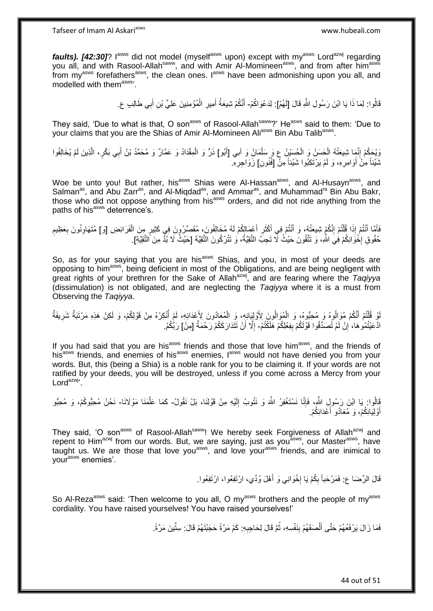*faults). [42:30]*? I<sup>asws</sup> did not model (myself<sup>asws</sup> upon) except with my<sup>asws</sup> Lord<sup>azwj</sup> regarding you all, and with Rasool-Allah<sup>saww</sup>, and with Amir Al-Momineen<sup>asws</sup>, and from after him<sup>asws</sup> from  $my<sup>asws</sup>$  forefathers<sup>asws</sup>, the clean ones. I<sup>asws</sup> have been admonishing upon you all, and modelled with themasws'.

> قَالُوا: لِمَا ذَا يَا ابْنَ رَسُولِ اللَّهِ قَالَ [لَهُمْ]: لِدَعْوَاكُمْ- أَنَّكُمْ شِيعَةُ أَمِيرِ الْمُؤْمِنِينَ عَلِيٍّ بْنِ أَبِي طَالِبٍ عِ. َ ْ **ٍ** َ َ

They said, 'Due to what is that, O son<sup>asws</sup> of Rasool-Allah<sup>saww</sup>?' He<sup>asws</sup> said to them: 'Due to your claims that you are the Shias of Amir Al-Momineen Ali<sup>asws</sup> Bin Abu Talib<sup>asws</sup>.

وَيْحَكُمْ إِنَّمَا شِيعَتُهُ الْحَسَنُ وَ الْحُسَيْنُ عِ وَ سَلْمَانُ وَ أَبي [أَبُو] ذَرٍّ وَ الْمِقْدَادُ وَ عَمَّالٌ وَ مُحَمَّدُ بْنُ أَبِي بَكْرٍ، الَّذِينَ لَمْ يُخَالِفُوا ْ َ ْ ْ ْ ِ ه َ نَمْيئاً مِنْ أَوَامِرِهِ، وَ لَمْ يَرْتَكِبُوا شَيْئاً مِنّْ [فُنُونِ] زَوَاجِرِهِ. **∶** اُ **ٍ** 

Woe be unto you! But rather, his<sup>asws</sup> Shias were Al-Hassan<sup>asws</sup>, and Al-Husayn<sup>asws</sup>, and Salman<sup>as</sup>, and Abu Zarr<sup>as</sup>, and Al-Miqdad<sup>as</sup>, and Ammar<sup>as</sup>, and Muhammad<sup>ra</sup> Bin Abu Bakr, those who did not oppose anything from his<sup>asws</sup> orders, and did not ride anything from the paths of his<sup>asws</sup> deterrence's.

َأَمَّا أَنْتُمْ إِذَا قُلْتُمْ إِنَّكُمْ شِيعَتُهُ، وَ أَنْتُمْ فِي أَكْثَرِ أَعْمَالِكُمْ لَهُ مُخَالِفُونَ، مُقَصِّرُونَ فِي كَثِيرٍ مِنَ الْفَرَائِضِ [وَ] مُتَهَاوِنُونَ بِعَظِيمِ َ ِ َ ِ ֦֧֦֧֧֦֧֦֧֦֧֦֧֦֧֦֧֧֦֧֦֪֧֪֦֪֦֧֧֧֧֧֧֧֟֟֟֓֕֟֓֕֝֓֟֓֡֟֓֡֟֓֡֟֓֡֟֓֡֟֟֓֡֟֓֡֟֟֩֓֞֟֓֞֟֓֡֟֓֞֟֓֟֓֝֬֝֓֟֝֓֟֝֬֝֬֝֬֝֬֝֬֝֬֝֬<br>֧֪֪֧֪֧֪֪֪֪֦֧֪֧֪֪֪֪֪֦֧֝֝֝֬֝֝֬֝ َ َ **∶ ∶** ِ ْ حُقُوقِ إِخْوَانِكُمْ فِيَ اللَّهِ، وَ تَتَّقُونَ حَيْثُ لَّا تَجِبُ التَّقِيَّةُ، وَ تَتْرُكُونَ التَّقِيَّةَ [حَيْثُ لَا بُذِّ مِنَ التَّقِيَّةِ].  $\cdot$ 

So, as for your saying that you are his<sup>asws</sup> Shias, and you, in most of your deeds are opposing to himasws, being deficient in most of the Obligations, and are being negligent with great rights of your brethren for the Sake of Allah<sup>azwj</sup>, and are fearing where the *Taqiyya* (dissimulation) is not obligated, and are neglecting the *Taqiyya* where it is a must from Observing the *Taqiyya*.

لْو قُلْتُمْ أَنَّكُمْ مُوَالُوهُ وَ مُحِبُّوهُ، وَ الْمُوَالُونَ بِأَوْلِيَائِهِ، وَ الْمُعَادُونَ لِأَعْدَائِهِ، لَمْ أُنْكِرْهُ مِنْ قَوْلِكُمْ، وَ لَكِنْ هَذِهِ مَرْتَبَةٌ شَرِيفَةٌ ا<br>ا ْ ْ َ ֦֧֦֧֦֧֦֦֧֦֧֦֧֦֧֦֧֦֧֦֧֦֧֦֪֪֪֦֪֪֦֟֟֟֓֕֟֓֟֓֕֟֓֡֟֓֟֓֟֓֟֓֡֟֟֓֡֟֟֓֡֟֓֟֓֡֟֓֞֟֟֓֡֟֓֡֟֓֟֓֟֓֟֓֟֓֟֓֟֓֞֟֟ ِ ادَّعَيْتُمُو هَا، ۚ إِنْ لَمْ تُصَدِّقُوا قَوْلَكُمْ بِفِعْلِكُمْ هَلَكْتُمْ- إِلَّا أَنْ تَتَدَارَ كَكُمْ رَحْمَةٌ [مِنْ] رَبِّكُمْ. **ِ** ِ اُ ِ

If you had said that you are his<sup>asws</sup> friends and those that love him<sup>asws</sup>, and the friends of his<sup>asws</sup> friends, and enemies of his<sup>asws</sup> enemies,  $I^{asws}$  would not have denied you from your words. But, this (being a Shia) is a noble rank for you to be claiming it. If your words are not ratified by your deeds, you will be destroyed, unless if you come across a Mercy from your  $Lord^{azwj}$ .

قَالُوا: يَا ابْنَ رَسُولِ اللَّهِ، فَإِنَّا نَسْتَغْفِرُ اللَّهَ وَ نَتُوبُ إِلَيْهِ مِنْ قَوْلِنَا، بَلْ نَقُولُ- كَمَا عَلَّمَنَا مَوْلَانَا- نَحْنُ مُحِبُّوكُمْ، وَ مُحِبُّو لَ ِ ِ ه أَوْلِيَائِكُمْ، وَ مُعَادُو أَعْدَائِكُمْ. َ َ

They said, 'O son<sup>asws</sup> of Rasool-Allah<sup>saww</sup>! We hereby seek Forgiveness of Allah<sup>azwj</sup> and repent to  $\text{Him}^{\text{azwj}}$  from our words. But, we are saving, just as you<sup>asws</sup>, our Master<sup>asws</sup>, have taught us. We are those that love you<sup>asws</sup>, and love you<sup>rasws</sup> friends, and are inimical to your<sup>asws</sup> enemies'.

> قَالَ الرِّضَا ع: فَمَرْحَباً بِكُمْ يَا إِخْوَانِي وَ أَهْلَ وُدِّي، ارْتَفِعُوا، ارْتَفِعُوا. َ ┆ ِ

So Al-Reza<sup>asws</sup> said: 'Then welcome to you all, O my<sup>asws</sup> brothers and the people of my<sup>asws</sup> cordiality. You have raised yourselves! You have raised yourselves!'

> فَمَا زَالَ يَرْفَعُهُمْ حَتَّى أَلْصَقَهُمْ بِنَفْسِهِ، ثُمَّ قَالَ لِحَاجِبِهِ: كَمْ مَرَّةً حَجَبْتَهُمْ قَالَ: سِتِّينَ مَرَّةً: ِ ٔ<br>ـ **∣** ْ َ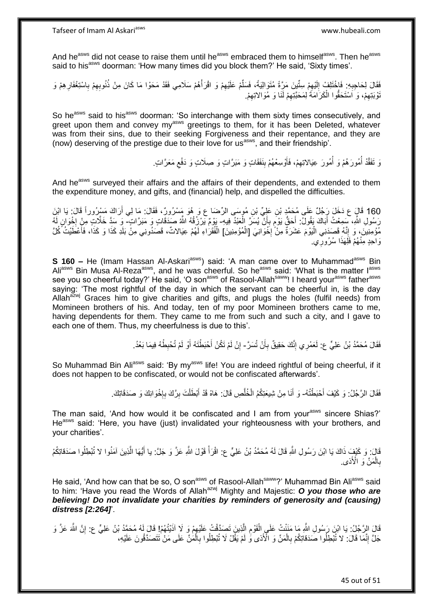And he<sup>asws</sup> did not cease to raise them until he<sup>asws</sup> embraced them to himself<sup>asws</sup>. Then he<sup>asws</sup> said to his<sup>asws</sup> doorman: 'How many times did you block them?' He said, 'Sixty times'.

ْفَقَالَ لِحَاجِبِهِ ۚ فَاخْتَلِفْ إِلَيْهِمْ سِتَّيِنَ مَرَّةً مُتَوَالِيَةً، فَسَلَّمْ عَلَيْهِمْ وَ اقْرَأْهُمْ سَلَامِي فَقَدْ مَحَوْا مَا كَانَ مِنْ ذُنُوبِهِمْ بِاسْتِغْفَارِهِمْ وَ ْ ِ ِّ ِ لَ  $\frac{1}{2}$ ِ ِ ِ ِ نُوْبَتِهِمْ، وَ اَسْتَحَقُّوا الْكَرَامَةُ لِمَحَبَّتِهِمْ لَنَا وَ مُوَالاتِهِمْ. ِ ِ ْ ِ

So he<sup>asws</sup> said to his<sup>asws</sup> doorman: 'So interchange with them sixty times consecutively, and greet upon them and convey my<sup>asws</sup> greetings to them, for it has been Deleted, whatever was from their sins, due to their seeking Forgiveness and their repentance, and they are (now) deserving of the prestige due to their love for usasws, and their friendship'.

> وَ تَفَقَّدْ أَمُورَ هُمْ وَ أَمُورَ عِيَالِاتِهِمْ، فَأُوْسِعْهُمْ بِنَفَقَاتٍ وَ مَبَرَّاتٍ وَ صِلَاتٍ وَ دَفْع مَعَرَّاتٍ ا<br>ا ،<br>ا ِ **∣** َ ِ

And he<sup>asws</sup> surveyed their affairs and the affairs of their dependents, and extended to them the expenditure money, and gifts, and (financial) help, and dispelled the difficulties.

160 قَالٍَ ع دَخَلَ رَجُلٌ عَلَى مُحَمَّدٍ بْنِ عَلِيٍّ بْنِ مُوسَى الرِّضَا ع وَ هُوَ مَسْرُورٌ ، فَقَالَ: مَا لِي أَرَاكَ مَسْرُوراً قَالَ: يَا ابْنَ َ رَسُولِ اللَّهِ، سَمِعْتُ أَبَاكَ يَقُولُ: أَحَقُّ يَوْمٍ بِأَنْ يُسَرَّ الْعَبْدُ فِيهِ- يَوْمٌ يَرْزِقُهُ اللَّهُ صَدَقَاتٍ وَ مَبَرَّاتٍ ۖ وَ سَدِّ خَلَّاتٍ مِنْ إِخْوَانٍ لَهُ ْ اُ ¦ ٍ َ َ ا.<br>\* مُؤْمِنِينَ، وَ إِنَّهُ قَصَدَنِي الْيَوْمَ عَشَرَةٌ مِنْ ۖ إِخْوَانِيَ [الْمُؤْمِنِينَ] الْفُقَرَاءِ لَهُمْ عِيَالاتٌ، قَصَدُونِي مِنْ بَلَدِ كَذَا وَ كَذَا، فَأَعْطَيْتُ كُلَّ ْ ·<br>∶ :<br>ا ֺ֦֧֦֧֦֧֦֧֦֧֦֧֦֧֦֧֦֦֦֧֦֦֧֦֧֦֦֦֦֦֦֧֦֧֦֦֦֦֧֦֧֦֧֦֧֦֝֟֝֓֕֜֟֓֡֡֓֞֡ َ وَاحِدٍ مِنْهُمْ فَلَِهَذَا سُرُورِي. ِ

**S 160 –** He (Imam Hassan Al-Askari<sup>asws</sup>) said: 'A man came over to Muhammad<sup>asws</sup> Bin Ali<sup>asws</sup> Bin Musa Al-Reza<sup>asws</sup>, and he was cheerful. So he<sup>asws</sup> said: 'What is the matter l<sup>asws</sup> see you so cheerful today?' He said, 'O son<sup>asws</sup> of Rasool-Allah<sup>saww</sup>! I heard your<sup>asws</sup> father<sup>asws</sup> saying: 'The most rightful of the day in which the servant can be cheerful in, is the day Allah $a^{z}$ wj Graces him to give charities and gifts, and plugs the holes (fulfil needs) from Momineen brothers of his. And today, ten of my poor Momineen brothers came to me, having dependents for them. They came to me from such and such a city, and I gave to each one of them. Thus, my cheerfulness is due to this'.

> فَقَالَ مُحَمَّدُ بْنُ عَلِيٍّ ع: لَعَمْرِي إِنَّكَ حَقِيقٌ بِأَنْ تُسَرَّ- إِنْ لَمْ تَكُنْ أَحْبَطْتَهُ أَوْ لَمْ تُحْبِطْهُ فِيمَا بَعْدُ. أ ِ ِ ِ َ َ ِ

So Muhammad Bin Ali<sup>asws</sup> said: 'By my<sup>asws</sup> life! You are indeed rightful of being cheerful, if it does not happen to be confiscated, or would not be confiscated afterwards'.

> فَقَالَ الرَّجُلُ: وَ كَيْفَ أَحْبَطْتُهُ- وَ أَنَا مِنْ شِيعَتِكُمُ الْخُلَّصِ قَالَ: هَاهْ قَدْ أَبْطَلْتَ بِرَّكَ بِإِخْوَانِكَ وَ صَدَقَاتِكَ. ه َ  $\frac{1}{2}$ **∶** ِ ْ َ

The man said, 'And how would it be confiscated and I am from your<sup>asws</sup> sincere Shias?' He<sup>asws</sup> said: 'Here, you have (just) invalidated your righteousness with your brothers, and your charities'.

قَالَ: وَ كَيْفٍ ذَاكَ يَا ابْنَ رَسُولِ اللَّهِ قَالَ لَهُ مُحَمَّدُ بْنُ عَلِيٍّ ع: اقْرَأْ قَوْلَ اللَّهِ عَزَّ وَ جَلَّ: يا أَيُّهَا الَّذِينَ آمَنُوا لا تُبْطِلُوا صَدَقاتِكُمْ <u> $\frac{1}{2}$ </u> ه بِالْمَنِّ وَ الْأَذى ْ **∶** 

He said, 'And how can that be so, O son<sup>asws</sup> of Rasool-Allah<sup>saww</sup>?' Muhammad Bin Ali<sup>asws</sup> said to him: 'Have you read the Words of Allah<sup>azwj</sup> Mighty and Majestic: O you those who are *believing! Do not invalidate your charities by reminders of generosity and (causing) distress [2:264]*'.

قَالَ الرَّجُلُ: يَا ابْنَ رَسُولِ اللَّهِ مَا مَنَنْتُ عَلَى الْقَوْمِ الَّذِينَ تَصِدَّقْتُ عَلَيْهِمْ وَ لَا آذَيْتُهُمْ! قَالَ لَمُهُ مُحَمَّدُ بْنُ عَلِيٍّ ع: إِنَّ اللَّهَ عَزَّ وَ ِ ه ِ ْ ِ جَلَّ إِنَّمَا قَالَ: ۚ لا تُبْطِلُوا ۖ صَدَقاتِكُمْ بِالْمَنِّ وَ الْأَذى ۖ وَ لَمْ يَقُلْ لَا تُبْطِلُوا بِالْمَنِّ عَلَى مَنْ تَتَصَدَّقُونَ عَلَيْهِ، ْ ِ ِ ْ **∶**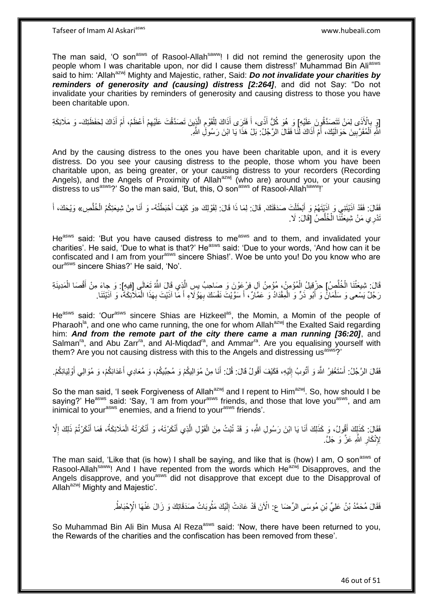The man said, 'O son<sup>asws</sup> of Rasool-Allah<sup>saww</sup>! I did not remind the generosity upon the people whom I was charitable upon, nor did I cause them distress!' Muhammad Bin Aliasws said to him: 'Allah<sup>azwj</sup> Mighty and Majestic, rather, Said: **Do not invalidate your charities by** *reminders of generosity and (causing) distress [2:264]*, and did not Say: "Do not invalidate your charities by reminders of generosity and causing distress to those you have been charitable upon.

[وَ بِالْأَذَى لِمَنْ تَتَصَدَّقُوِنَ عَلَيْهِ] وَ هُوَ كُلُّ أَذًى، أَ فَتَرَى أَذَاكَ لِلْقَوْمِ الَّذِينَ تَصَدَّقْتَ عَلَيْهِمْ أَعْظَمُ، أَمْ أَذَاكَ لِحَفَظَتِكَ- وَ مَلَائِكَةِ **∶** َ َ ِ ه ֺ֧֧֧֧֧֧ׅ֧֧ׅ֧֧֚֚֚֚֚֚֚֚֚֚֚֚֚֚֚֚֚֚֚֚֚֚֚֚֚֝֘֝֝֓֝֓֝֓֝֓֝֓֜֓֡֜֡֜֓֝֓ ْ َ َ َ اللَّهِ اَلْمُقَرَّبِينَ حَوَالَيْكَ، أَمْ أَذَاكَ لَّنَا فَقَالَ الرَّجُلُ: بَلْ هَذَا يَا ابْنَ رَسُولِ اللَّهِ َ َ **!** .<br>ا

And by the causing distress to the ones you have been charitable upon, and it is every distress. Do you see your causing distress to the people, those whom you have been charitable upon, as being greater, or your causing distress to your recorders (Recording Angels), and the Angels of Proximity of Allah<sup>azwj</sup> (who are) around you, or your causing distress to us<sup>asws</sup>?' So the man said, 'But, this, O son<sup>asws</sup> of Rasool-Allah<sup>saww</sup>!'

فَقَالَ: فَقَدْ آذَيْتَنِي وَ آذَيْتَهُمْ وَ أَبْطَلْتَ صَدَقَتَكَ. قَالَ: لِمَا ذَا قَالَ: لِقَوْلِكَ «وَ كَيْفَ أَحْبَطْتُهُ- وَ أَنَا مِنْ شِيعَتِكُمُ الْخُلَّصِ» وَيْحَكَ، أَ ْ َ َ ه َ َ تَدْرِي مَنْ شِيعَتْنَا الْخُلَّصُٰ [قَالَ: لَا. ه

He<sup>asws</sup> said: 'But you have caused distress to me<sup>asws</sup> and to them, and invalidated your charities'. He said, 'Due to what is that?' Heasws said: 'Due to your words, 'And how can it be confiscated and I am from your<sup>asws</sup> sincere Shias!'. Woe be unto you! Do you know who are ourasws sincere Shias?' He said, 'No'.

قَالَ: شِيعَتُنَا الْخُلَّصُ] حِزْقِيلُ الْمُؤْمِنُ، مُؤْمِنُ آلِ فِرْعِوْنَ وَ صَاحِبُ بِسِ الَّذِي قَالَ اللَّهُ تَعَالَى [فِيهِ]. وَ جاءَ مِنْ أَقْصَا الْمَدِينَةِ ه ه ْ رَجُلٌ يَسْعى وَ سَلْمَانٌ وَ أَبُو ذَرٌ وَ الْمِقْدَادُ وَ عَمَّارٌ ، أَ سَوَّيْتَ نَفْسَكَ بِهَؤُلَاءِ أَ مَا آذَيْتَ بِهَذَا الْمَلَائِكَةُ، وَ آذَيْتَنَا ْ ِ َ ِ َ ْ َ ْ

He<sup>asws</sup> said: 'Our<sup>asws</sup> sincere Shias are Hizkeel<sup>as</sup>, the Momin, a Momin of the people of Pharaoh<sup>la</sup>, and one who came running, the one for whom Allah<sup>azwj</sup> the Exalted Said regarding him: *And from the remote part of the city there came a man running [36:20]*, and Salman<sup>ra</sup>, and Abu Zarr<sup>ra</sup>, and Al-Miqdad<sup>ra</sup>, and Ammar<sup>ra</sup>. Are you equalising yourself with them? Are you not causing distress with this to the Angels and distressing us<sup>asws</sup>?'

فَقَالَ الرَّجُلُ: أَسْتَغْفِرُ اللَّهَ وَ أَتُوبُ إِلَيْهِ، فَكَيْفَ أَقُولُ قَالَ: قُلْ: أَنَا مِنْ مُوَالِيكُمْ وَ مُحِبِّيكُمْ، وَ مُعَادِي أَعْدَائِكُمْ، وَ مُوَالِي أَوْلِيَائِكُمْ. َ لَ ِ َ َ َ َ َ

So the man said, 'I seek Forgiveness of Allah<sup>azwj</sup> and I repent to Him<sup>azwj</sup>. So, how should I be saying?' He<sup>asws</sup> said: 'Say, 'I am from your<sup>asws</sup> friends, and those that love you<sup>asws</sup>, and am inimical to yourasws enemies, and a friend to yourasws friends'.

فَقَالَ: كَذَلِكَ أَقُولُ، وَ كَذَلِكَ أَنَا يَا ابْنَ رَسُولِ اللَّهِ، وَ قَدْ تُبْتُ مِنَ الْقَوْلِ الَّذِي أَنْكَرْتَهُ، وَ أَنْكَرَتْهُ الْمَلَائِكَةُ، فَمَا أَنْكَرْتُمْ ذَلِكَ إِلَّا َ ه ْ َ َ ِ َ ْ َ لِإِنْكَارِ اللَّهِ عَزَّ وَ جَلَّ. **∶** 

The man said, 'Like that (is how) I shall be saying, and like that is (how) I am, O son<sup>asws</sup> of Rasool-Allah<sup>saww</sup>! And I have repented from the words which He<sup>azwj</sup> Disapproves, and the Angels disapprove, and you<sup>asws</sup> did not disapprove that except due to the Disapproval of Allah<sup>azwj</sup> Mighty and Majestic'.

> فَقَالَ مُحَمَّدُ بْنُ عَلِيِّ بْنِ مُوسَى الرِّضَا عِ: الْآنَ قَدْ عَادَتْ إِلَيْكَ مَثُوبَاتُ صَدَقَاتِكَ وَ زَالَ عَنْهَا الْإِحْبَاطُ. ا<br>ماہم سالہ لَ ِ

So Muhammad Bin Ali Bin Musa Al Reza<sup>asws</sup> said: 'Now, there have been returned to you, the Rewards of the charities and the confiscation has been removed from these'.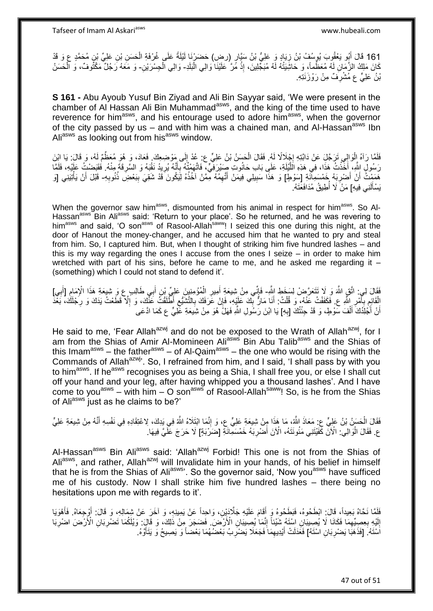161 قَالَ أَبُو يَعْقُوبَ يُوسُفُ بْنُ زِيَادٍ وَ عَلِيُّ بْنُ سَنَّإِرٍ (رض) حَضَرْنَا لَيْلَةً عَلَى غُرْفَةِ الْحَسَنِ بْنِ عَلِيٍّ بْنِ مُحَمَّدٍ ع وَ قَدْ<br>وَيَسْتَدَمَّنَ الْجُوَيَّةُ وَيَسْتَغْفُونَ فَيْ بِهِ مِنْ ي ْ َ كَانَ مَلِكُ الزَّمَانِ لَهُ مُعَظُّماً، وَ حَاشِّنِتُهُ لَّهُ مُبَجِّلِينَ، إِذْ مِّرَ كَلَيْنَا وَالِي الْبَلَدِ- وَالِي الْحِسْرَيْنِ- وَ مَعَهُ رَجُلٌ مَكْثُوفٌ، وَ الْحَسَنُ ْ .<br>.<br>. ْ بْنُ عَلِيٍّ عِ مُشْرِفٌ مِنْ رَوْزَنَتِهِ. ِ

**S 161 -** Abu Ayoub Yusuf Bin Ziyad and Ali Bin Sayyar said, 'We were present in the chamber of Al Hassan Ali Bin Muhammad<sup>asws</sup>, and the king of the time used to have reverence for him<sup>asws</sup>, and his entourage used to adore him<sup>asws</sup>, when the governor of the city passed by us – and with him was a chained man, and Al-Hassan<sup>asws</sup> Ibn Ali<sup>asws</sup> as looking out from his<sup>asws</sup> window.

فَلَمَّا رَآهُ إِلْوَالِي تَرَجَّلَ عَنْ دَابَّتِهِ إِجْلَالًا لَهُ. فَقَالَ الْحَسَنُ بْنُ عَلِيٍّ ع: عُدْ إِلَى مَوْضِعِكَ. فَعَادَ، وَ هُوَ مُعَظّمٌ لَهُ، وَ قَالَ: يَا ابْنَ ِ ْ  $\frac{1}{2}$ ْ رَسُولٍ الِثَّهِ، أَخَذْتُ هَذَا، فِي هَذِهِ اللَّيْلَةِ، عَلَى بَابِ حَانُوتِ صَيْرَفِّيٍّ، فَاتَّهَمْتُهُ بِأَنَّهُ يُرِيدُ نَقْبَهُ وَ السَّرِقَةَ مِنْهُ. فَقَبَضْتُ عَلَيْهِ، فَلَمَّا ِ َ ِ ه **ٔ** ِ هَمَمْتُ أَنْ أَصْرِبَهُ خَمْسَمِآَنَةِ [سَوْطٍ] وَ هَذَا سَبِيلِي فِيمَنْ أَتَّهِمُهُ مِمَّنْ آخُذُهُ لِيَكُونَ قَدْ شَقِيَ بِبَعْضِ ذُنُوبِهِ- قَبْلَ أَنْ يَأْتِيَنِي [وَ َ **!** ِ َ َ ِ ِ ْ َ يَسْأَلَنِي فِيهِ] مَنْ َلاَ أَطِيقُ مُدَافَعَتَهُ. لَ َ ُ

When the governor saw him<sup>asws</sup>, dismounted from his animal in respect for him<sup>asws</sup>. So Al-Hassan<sup>asws</sup> Bin Ali<sup>asws</sup> said: 'Return to your place'. So he returned, and he was revering to him<sup>asws</sup> and said, 'O son<sup>asws</sup> of Rasool-Allah<sup>saww</sup>! I seized this one during this night, at the door of Hanout the money-changer, and he accused him that he wanted to pry and steal from him. So, I captured him. But, when I thought of striking him five hundred lashes – and this is my way regarding the ones I accuse from the ones I seize – in order to make him wretched with part of his sins, before he came to me, and he asked me regarding it  $-$ (something) which I could not stand to defend it'.

فَقَالَ لِي: اتَّقِ اللَّهَ وَ لَا تَتَعَرَّضْ لِسَخَطِ اللَّهِ- فَإِنِّي مِنْ شِيعَةِ أَمِيرِ الْمُؤْمِنِينَ عَلِيٍّ بْنِ أَبِي طَالِبٍ ع وَ شِيعَةِ مَذَا الْإِمَامِ [أَبِي]<br>فَقَالَ لِي: اتَّقِ اللَّهَ وَ ِرَّهُ تَتَعَرَ **∶** َ ِ َ ْ **∶** َ اا الْقَائِمِ بِأَمْرِ اللَّهِ عِ. فَكَفَفْتُ عَنْهُ، وَ قُلْتُ: أَنَا مَالٌّ بِّكَ عَلَيْهِ، فَإِنْ عَرَفَكَ بِالتَّشَيُّعِ أَطَّلَقْتُ عَنَّكَ، وَ إِلَّا قَطَعْتُ يَدَكَ وَ رِجْلَكَ، بَغْدَ ِ َ ្ត្ ِ ِ ِ ِ ِ ِ ْ ِ أَنْ أَجْلَِدُكَ ۖ أَلْفَ سَوْطٍ، وَ قَدْ جِئْتُكَ [بِهِ] يَا ابْنَ رَسُولِ اللَّهِ فَهَلْ ۚ هُوَ مِنْ شِيعَةِ عَلِيٍّ ع كَمَا ادَّعَى **∶** ْ َ َ

He said to me, 'Fear Allah<sup>azwj</sup> and do not be exposed to the Wrath of Allah<sup>azwj</sup>, for I am from the Shias of Amir Al-Momineen Ali<sup>asws</sup> Bin Abu Talib<sup>asws</sup> and the Shias of this Imam<sup>asws</sup> – the father<sup>asws</sup> – of Al-Qaim<sup>asws</sup> – the one who would be rising with the Commands of Allah<sup>azwj</sup>, So, I refrained from him, and I said, 'I shall pass by with you to him<sup>asws</sup>. If he<sup>asws</sup> recognises you as being a Shia, I shall free you, or else I shall cut off your hand and your leg, after having whipped you a thousand lashes'. And I have come to you<sup>asws</sup> – with him – O son<sup>asws</sup> of Rasool-Allah<sup>saww</sup>! So, is he from the Shias of Ali<sup>asws</sup> just as he claims to be?'

فَقَالَ الْحَسَنُ بْنُ عَلِيٍّ عِ. مَعَاذَ اللَّهُ، مَا هَذَا مِِنْ شِيعَةِ عَلِيٍّ ع، وَ إِنَّمَا ابْتِلَاهُ اللَّهُ فِي يَذِكَ، لِاعْتِقَادِهِ فِي نَفْسِهِ أَنَّهُ مِنْ شِيعَةِ عَلِيٍّ ِ ْ َ ع. فَقَالَ الْوَالِي: الْأَنَّ كَّفَيْتَنِي مَئُونَتَهُ، الْأَنَ أَصْرِبَهُ خَمْسَمِائَةٍ [ضَرَّبَهُمْ] لَا حَرَجَ عَلَيَّ فِيهَا. َ :<br>ا

Al-Hassan<sup>asws</sup> Bin Ali<sup>asws</sup> said: 'Allah<sup>azwj</sup> Forbid! This one is not from the Shias of Ali<sup>asws</sup>, and rather, Allah<sup>azwj</sup> will Invalidate him in your hands, of his belief in himself that he is from the Shias of Ali<sup>asws</sup>'. So the governor said, 'Now you<sup>asws</sup> have sufficed me of his custody. Now I shall strike him five hundred lashes – there being no hesitations upon me with regards to it'.

َفَلَمَّا نَحَّاهُ بَعِيداً، قَالَ: ابْطَحُوهُ، فَبَطَحُوهُ وَ أَقَامَ عَلَيْهِ جَلَّادَيْنِ، وَاحِداً عَنْ يَمِينِهِ، وَ آخَرَ عَنْ شِمَالِهِ، وَ قَالَ: أَوْجِعَاهُ. فَأَهْوَيَا َ َ إِلَيْهِ بِعِصِيمِّهِمَا فَكَانَا لَا يُصِبِيَانِ اسْنَهُ شَيْئاً إِنَّمَا يُصِبِيَانِ الْأَرْضَ فَضَجَرَ مِنْ ذَلِكَ، وَ قَالَ: وَيْلَكُمَا تَضْرِبَانِ الْأَرْضَ اضْرِبَا ِ ِ ِ لَ ِ ِ ِ اَسْتَهُ. [فَذَهَبَا يَصْرِبَانِ اسْتَهُ] فَعََدَلَتْ أَيْدِيهِمَا فَجَعَلَا يَصْرُرِبُ بَعْضُهُمَا بَعْضاً وَ يَصِيحُ وَ يَتَأَوَّهُ. **∶** ِ َ َ ِ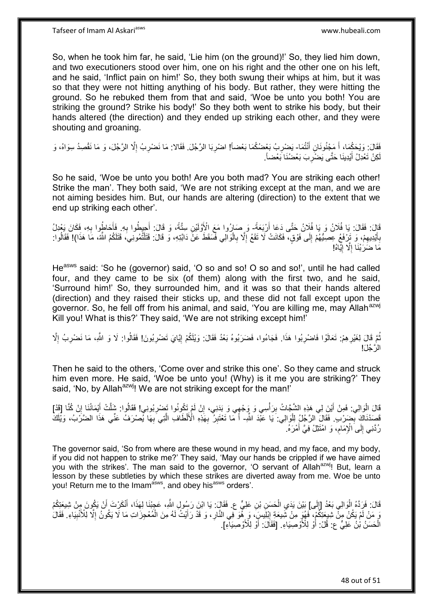So, when he took him far, he said, 'Lie him (on the ground)!' So, they lied him down, and two executioners stood over him, one on his right and the other one on his left, and he said, 'Inflict pain on him!' So, they both swung their whips at him, but it was so that they were not hitting anything of his body. But rather, they were hitting the ground. So he rebuked them from that and said, 'Woe be unto you both! You are striking the ground? Strike his body!' So they both went to strike his body, but their hands altered (the direction) and they ended up striking each other, and they were shouting and groaning.

فَقَالَ: وَيْحَكُمَا، أَ مَجْنُونَانِ أَنْتُمَا- يَضْرِبُ بَعْضُكُمَا بَعْضاً! اضْرِبَا الرَّجُلَ. فَقَالا: مَا نَضْرِبُ إِلَّا الرَّجُلَ، وَ مَا نَقْصِدُ سِوَاهُ، وَ َ َ **ٍ** ِ ِ ِ كِنْ تَعْدِلُ أَيْدِينَا حَتَّى يَضْرِبَ بَعْضُنَا بَعْضاً. ِ َ لَ

So he said, 'Woe be unto you both! Are you both mad? You are striking each other! Strike the man'. They both said, 'We are not striking except at the man, and we are not aiming besides him. But, our hands are altering (direction) to the extent that we end up striking each other'.

قَالَ: فَقَالَ: يَا فُلَانُ وَ يَا فُلِانُ حَتَّى دَعَا أَرْبَعَةً- وَ صَارُوا مَعَ الْأَوَّلَيْنِ سِتَّةً، وَ قَالَ: أَجِيطُوا بِهِ فَأَحَاطُوا بِهِ، فَكَانَ يَعْدِلُ َ ِ َ ِ َ بِأَيْدِيهِمْ، وَ تَرْفَعُ عِصِيُّهُمْ إِلَى فَوْقٍ، فَكَانَتْ لَا تَقَعُ إِلَّا بِالْوَالِي فَسَقَطَ عَنْ دَابَّتِهِ، وَ قَالَ: قَتَلْتُمُونِيَ، قَتَلَكُمُ اللَّهُ، مَا هَذَا)! فَقَالُوا: ْ ِ ِ ∣∣<br>∶ ِ َ **∶** ْ ُ مَا ضَرَٰبْنَا إِلَّا إِيًّاهُ! <u>֖֚֚֚֓</u>֛֚֚֚  $\ddot{\phantom{a}}$ 

He<sup>asws</sup> said: 'So he (governor) said, 'O so and so! O so and so!', until he had called four, and they came to be six (of them) along with the first two, and he said, 'Surround him!' So, they surrounded him, and it was so that their hands altered (direction) and they raised their sticks up, and these did not fall except upon the governor. So, he fell off from his animal, and said, 'You are killing me, may Allah<sup>azwj</sup> Kill you! What is this?' They said, 'We are not striking except him!'

نُمَّ قَالَ لِغَيْرِهِمْ: تَعَالَوْا فَاضْرِبُوا هَذَا. فَجَاءُوا، فَضَرَبُوهُ بَعْدُ فَقَالَ: وَيْلَكُمْ إِيَّايَ تَضْرِبُونَ! فَقَالُوا: لَا وَ اللَّهِ، مَا نَضْرِبُ إِلَّا **∶** ِ **∶** ِ ُ ِ ِ الرَّجُلَ!

Then he said to the others, 'Come over and strike this one'. So they came and struck him even more. He said, 'Woe be unto you! (Why) is it me you are striking?' They said. 'No, by Allah<sup>azwj</sup>! We are not striking except for the man!'

ْقَالَ الْوَالِي: فَمِنْ أَيْنَ لِي هَذِهِ الشَّجَّاتُ بِرَأْسِي وَ وَجْهِي وَ بَدَنِي، إِنْ لَمْ تَكُونُوا تَضنْرِبُونِي! فَقَالُوا: شَلَّتْ أَيْمَانُنَا إِنْ كُنَّا [قَدْ] َ ْ **ٔ** ِ ِ َ ِ ِ فَصَدْنَاكَ بِّضَرْبِ ۚ فَقَالَ الرَّجُلُ لِلْوَالِي: يَا عَبْْدَ اللَّهِ- أَ مَا تَعْتَبِرُ بِهَذِهِ الْأَلْطَافِ الَّتِي بِهَا يُصْرَفُ عَنِّي هَذَا الضَّرْبُ، وَيُلَكَ ِ ْ ِ ه ِ ِ لَ رُدَّنِي إِلَى الْإِمَامِ، وَ امْتَثِلْ فِيَّ أَمْرَهُ. َ ِ ِ

The governor said, 'So from where are these wound in my head, and my face, and my body, if you did not happen to strike me?' They said, 'May our hands be crippled if we have aimed you with the strikes'. The man said to the governor, 'O servant of Allah<sup>azwj</sup>! But, learn a lesson by these subtleties by which these strikes are diverted away from me. Woe be unto you! Return me to the Imam<sup>asws</sup>, and obey his<sup>asws</sup> orders'.

قَالَ: فَرَِدَّهُ الْوَالِي بَعْدُ [إِلَى] بَيْنَ يَدَيِ الْحَسَنِ بْنِ عَلِيٍّ ع. فَقَالٍَ: يَا ابْنَ رَسُولِ اللَّهِ، عَجِبْنَا لِهَذَا، أَنْكَرْتَ أَنْ يَكُونَ مِنْ شِيعَتِكُمْ ْ  $\frac{1}{2}$ َ َ ْ  $\ddot{\cdot}$ رَ مَنْ لَمْ يَكُنْ مِنْ شِبِعَتِكُمْ، ۖ فَهُوَ مِنْ شَبِعَةِ إِبْلِيسٍ، وَ بِهْوَ فِي النَّارِ ، وَ قَدْ رَأَيْتُ لَهُ مِنَ الْمُعْجِزَاتِ مَا لَا يَكُونُ إِلَّا لِلْأَنْبِيَاءِ. فَقَالَ َ **∶** ِ ِ ِ الْحَسَنُ بْنُ عَلِيٍّ ع: قُلْ: أُوْ لِلْأَوْصِيَاءِ. [فَقَالَ: أَوْ لِلْأَوْصَنِيَاءِ]. َ َ ْ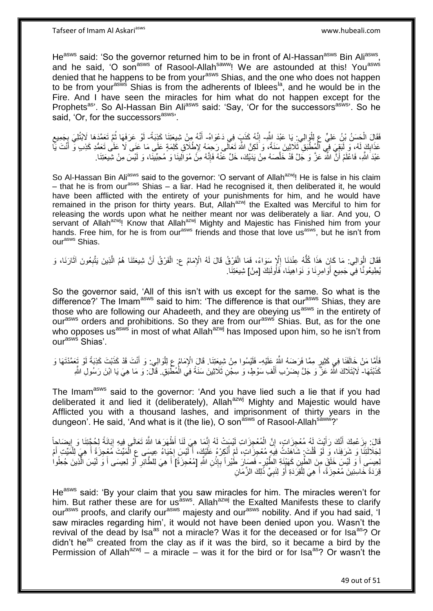He<sup>asws</sup> said: 'So the governor returned him to be in front of Al-Hassan<sup>asws</sup> Bin Ali<sup>asws</sup>, and he said, 'O son<sup>asws</sup> of Rasool-Allah<sup>saww</sup>! We are astounded at this! You<sup>asws</sup> denied that he happens to be from your<sup>asws</sup> Shias, and the one who does not happen to be from your<sup>asivs</sup> Shias is from the adherents of Iblees<sup>la</sup>, and he would be in the Fire. And I have seen the miracles for him what do not happen except for the Prophets<sup>as</sup>'. So Al-Hassan Bin Ali<sup>asws</sup> said: 'Say, 'Or for the successors<sup>asws</sup>'. So he said, 'Or, for the successors<sup>asws</sup>'.

فَقَالَ الْحَسَنُ بْنُ عَلِيٍّ عِ لِلْوَالِي: يَا عَبْدَ اللَّهِ- إِنَّهُ كَذَبَ فِي دَعْوَاهُ- أَنَّهُ مِنْ شِيعَتِنَا كَذِبَةً- لَوْ عَرَفَهَا ثُمَّ تَعَمَّدَهَا لَابْتُلِيَ بِجَمِيعِ ْ ِ َ ِ ِ ا دیکھیے لَ عَذَابِكَ لَهُ، وَ لَبَقِيَ فِي الْمُطْبَقِ ثَلاَثِينَ سَنَةً، وَ لَكِنَّ اللَّهَ تَعَالَى رَحِمَهُ لِإِطْلَاقِ<br>روبِا لَهِ أَمْرِ وَ لَبَقِيَ فِي الْمُطْبَقِ ثَلاَثِينَ سَنَةً، وَ لَكِنَّ اللَّهَ تَعَالَى رَحِمَهُ لِإِطْل ْ ِ **ٔ** َ عَبْدَ اللَّهِ، فَاعْلَمْ أَنَّ اللَّهَ عَزَّ وَ جَلَّ قَدْ خَلَّصَهُ مِنْ يَدَيْكَ، خَلِّ عَنْهُ فَإِنَّهُ مِنْ مُوَالِينَا وَ مُحِبِّينَا، وَ لَيْسَ مِنْ شِيعَتِنَا. ِ ه اً

So Al-Hassan Bin Aliasws said to the governor: 'O servant of Allah<sup>azwj</sup>! He is false in his claim – that he is from our<sup>asws</sup> Shias – a liar. Had he recognised it, then deliberated it, he would have been afflicted with the entirety of your punishments for him, and he would have remained in the prison for thirty years. But, Allah<sup>azwj</sup> the Exalted was Merciful to him for releasing the words upon what he neither meant nor was deliberately a liar. And you, O servant of Allah<sup>azwj</sup>! Know that Allah<sup>azwj</sup> Mighty and Majestic has Finished him from your hands. Free him, for he is from our<sup>asws</sup> friends and those that love us<sup>asws</sup>, but he isn't from our<sup>asws</sup> Shias.

فَقَالَ الْوِالِي: مَا كَانٍ هَذَا كُلُّهُ عِنْدَنَا إِلَّا سَوَاءً، فَمَا الْفَرْقُ قَالَ لَهُ الْإِمَامُ ع: الْفَرْقُ أَنَّ شِيعَتَنَا هُمُ الَّذِينَ يَتَّبِعُونَ آثَارَنَا، وَ َ ْ ْ ا<br>بالاستراكة<br>المستراكة ُّ ْ َ **∶** ه يُطِيعُونَّا فِيَ جَمِيع أَوَامِرِنَا وَ نَوَاهِينَا، فَأُولَئِكَ [مِنْ] شِيعَتِنَا. ُ ِ َ  $\zeta$ 

So the governor said, 'All of this isn't with us except for the same. So what is the difference?' The Imam<sup>asws</sup> said to him: 'The difference is that our<sup>asws</sup> Shias, they are those who are following our Ahadeeth, and they are obeying us<sup>asws</sup> in the entirety of our<sup>asws</sup> orders and prohibitions. So they are from our<sup>asws</sup> Shias. But, as for the one who opposes us<sup>asws</sup> in most of what Allah<sup>azwj</sup> has Imposed upon him, so he isn't from our<sup>asws</sup> Shias'.

فَأَهَّا مَنْ خَالَفَنَا فِي كَثِيرٍ مِمَّا فَرَضَهُ اللَّهُ عَلَيْهِ- فَلَيْسُوا مِنْ شِيعَتِنَا. قَالَ الْإِمَامُ عِ لِلْوَالِي: وَ أَنْتَ قَدْ كَذَبْتَ كَذِبَةً لَوْ تَعَمَّدْتَهَا و<br>كَيْفَا مَنْ حَالَفَنَا فِي كَثِيرٍ َ لَ َ ْ كَذَبْتَهَا- لَابْتَلَاكَ اللَّهُ عَزَّ وَ جَلَّ بِضَرْبِ أَلْفِ سَوْطٍ، وَ سِجْنِ ثَلَاثِينَ سَنَةً فِي الْمُطْبَقِ ۚ قَالَ: وَ مَا هِيَ يَا ابْنَ رَسُولِ اللَّهِ ْ ْ َ ِ

The Imam<sup>asws</sup> said to the governor: 'And you have lied such a lie that if you had deliberated it and lied it (deliberately). Allah<sup>azwj</sup> Mighty and Majestic would have Afflicted you with a thousand lashes, and imprisonment of thirty years in the dungeon'. He said, 'And what is it (the lie), O son<sup>asws</sup> of Rasool-Allah<sup>saww</sup>?'

قَالَ: بِزَعْمِكَ أَنَّكَ رَأَيْتَ لَمُ مُعْجِزَاتٍ، إِنَّ الْمُعْجِزَاتِ لَيْسَتْ لَهُ إِنَّمَا هِيَ لَنَا أَظْهَرَهَا اللَّهُ تَعَالَى فِيهِ إِبَانَةً لِحُجَّتِنَا وَ إِيضَاجاً ْ ِ َ َ ِ ∣l<br>∶ ِ لِجَلَالَتِنَا وَ شَرَفِنَا، وَ لَوْ قُلْتَ: شَاهَدْتُ فِيهِ مُعْجِزَاتٍ، لَمْ أُنْكِرْهُ عَلَيْكٍ، أَلَيْسَ إِجْيَاءُ عِيسَى عِ الْمَيِّتَ مُعْجِزَةً أَ هِيَ لِلْمَيِّتِ أَمْ **∶** لَ َ ُ ْ أَ ْ َ ِ لِعِيسَى أَ وَ لَيْسَ خَلَقَ مِنَ الطَّينِ كَهَنْدَةِ الطَّيْرِ- فَصَبَارَ طَيْراً بِإِذْنِ اللَّهِ [مُعْجِزَةً] أَ هِيَ لِلطَّاثِرِ أَوْ لِعِيسَى أَ وَ لَيْسَ الّْذِينَ جُعِلُوا ُ ه َ َ ِ َ **ٔ** ِ قِرَدَةً خَاسِئِينَ مُعْجِزَةً، أَ هِيَ لِلْقِرَدَةِ أَوْ لِنَبِيٍّ ذَلِكَ الزَّمَانِ َ ْ ِ َ

He<sup>asws</sup> said: 'By your claim that you saw miracles for him. The miracles weren't for him. But rather these are for us<sup>asws</sup>. Allah<sup>azwj</sup> the Exalted Manifests these to clarify our<sup>asws</sup> proofs, and clarify our<sup>asws</sup> majesty and our<sup>asws</sup> nobility. And if you had said, 'I saw miracles regarding him', it would not have been denied upon you. Wasn't the revival of the dead by Isa<sup>as</sup> not a miracle? Was it for the deceased or for Isa<sup>as</sup>? Or didn't he<sup>as</sup> created from the clay as if it was the bird, so it became a bird by the Permission of Allah<sup>azwj</sup> – a miracle – was it for the bird or for Isa<sup>as</sup>? Or wasn't the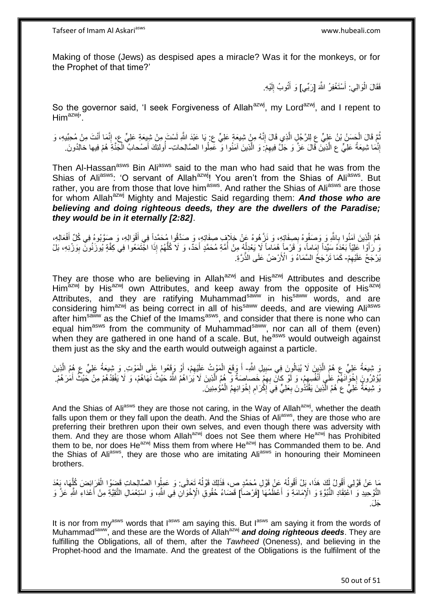Making of those (Jews) as despised apes a miracle? Was it for the monkeys, or for the Prophet of that time?'

> فَقَالَ الْوَالِي: أَسْتَغْفِرُ اللَّهَ [رَبِّي] وَ أَتُوبُ إِلَيْهِ. َ لَ ِ َ

So the governor said, 'I seek Forgiveness of Allah<sup>azwj</sup>, my Lord<sup>azwj</sup>, and I repent to Him<sup>azwj</sup>'.

ُمَّ قَالَ الْحَسَنُ بْنُ عَلِيٍّ عِ لِلرَّجُلِ الَّذِي قَالَ إِنَّهُ مِنْ شِيعَةٍ عَلِيٍّ ع بِ يَا عَبْدَ اللَّهِ لَسْتَ مِنْ شِيعَةِ عَلِيٍّ عِ، إِنَّمَا أَنْتَ مِنْ مُحِبِّيهِ، وَ ِ ه ْ َ ِ لَ إِنَّمَا شِيعَةُ عَلِيٍّ ع الَّذِينَ قَالَ عَزَّ وَ جَلَّ فِيهِمْ: وَ الَّذِينَ آمَنُوا وَ عَمِلُوا الصَّالِحاتِ- أُولئِكَ أَصْحابُ الْجَنَّةِ هُمْ فِيها خالِدُونَ ِ ه ِ ا<br>ا ْ َ ُ

Then Al-Hassan<sup>asws</sup> Bin Ali<sup>asws</sup> said to the man who had said that he was from the Shias of Aliasws: 'O servant of Allah<sup>azwj</sup>! You aren't from the Shias of Ali<sup>asws</sup>. But rather, you are from those that love him<sup>asws</sup>. And rather the Shias of Ali<sup>asws</sup> are those for whom Allah<sup>azwj</sup> Mighty and Majestic Said regarding them: **And those who are** *believing and doing righteous deeds, they are the dwellers of the Paradise; they would be in it eternally [2:82]*.

هُمُ الَّذِينَ آمَنُوا بِاللَّهِ وَ وَصَفُوهُ بِصِفَاتِهِ، وَ نَزَّهُوهُ عَٖنْ خِلَافٍ صِفَاتِهِ، وَ صَدَّقُوا مُحَمَّداً فِي أَقْوَالِهِ، وَ صَوَّبُوهُ فِي كُلِّ أَفْعَالِهِ، ِ ِ ه َ َ ُّ وَ زُأَوْا كَلِيّاً بَعْدَهُ سَيِّداً إِمَاماً، وَ قَرْماً هُمَاماً لَا يَعْدِلُهُ مِنْ أُمَّةِ مُحَمَّدٍ أَحَدٌ، وَ لاَ كُلُّهُمْ إِذَا اجْتَمَعُوا فِي كِفَّةٍ يُوزَنُونَ بِوَزْنِهِ، بَلْ َ ان<br>ا .<br>ا ֖֚֚֚֝<br>֧֦֦֦֧֚֚֚֚֚֚֚֚֚֚֚֚֚֚֚֚֚֚֚֚֚֚֚֚֚֚֚֚֝֝֝ ِ يَرْجَحُ عَلَيْهِمْ- كَمَا تَرْجَحُ السَّمَاءُ وَ الْأَرْضُ عَلَى الذَّرَّةِ. ِ

They are those who are believing in Allah<sup>azwj</sup> and His<sup>azwj</sup> Attributes and describe Him<sup>azwj</sup> by His<sup>azwj</sup> own Attributes, and keep away from the opposite of His<sup>azwj</sup> Attributes, and they are ratifying Muhammad<sup>saww</sup> in his<sup>saww</sup> words, and are considering him<sup>azwj</sup> as being correct in all of his<sup>saww</sup> deeds, and are viewing Aliasws after him<sup>saww</sup> as the Chief of the Imams<sup>asws</sup>, and consider that there is none who can equal him<sup>asws</sup> from the community of Muhammad<sup>saww</sup>, nor can all of them (even) when they are gathered in one hand of a scale. But,  $he^{asws}$  would outweigh against them just as the sky and the earth would outweigh against a particle.

وَ شِيعَةُ عَلِيٍّ عِ هُمُ الَّذِينَ لَا يُبَالُونَ فِي سَبِيلِ اللَّهِ- أَ وَقَعَ الْمَوْثُ عَلَيْهِمْ، أَوْ وَقَعُوا عَلَى الْمَوْتِ وَ شِيعَةُ عَلِيٍّ عِ هُمُ الَّذِينَ ه ُ ِ ْ َ ِ ْ ه يُوْثِرُونَ إِخْوَانَهُمْ عَلْيِ أَنْفُسِهِمْ، وَ لَوْ كِانَ بِهِمْ خَصاصَةٌ وَ هُمُ الَّذِينَ لَا يَرَاهُمُ اللَّهُ حَيْثُ نَهَاهُمْ، وَ لَا يَفْقِدُهُمْ مِنْ حَيْثُ أَمَرَهُمْ. ه ِ ِ َ ¦<br>∶ َ نَ شِيعَةُ عَلِيٍّ ع<sup>ِ</sup> هُمُ الَّذِينَ يَقْتَدُونَ بِعَلِيٍّ فِيَ إِكْْرَامِ إِخْوَانِهِمُ الْمُؤْمِنِينَ. ْ **∶** ِ ِ **∶** ه

And the Shias of Aliasws they are those not caring, in the Way of Allah<sup>azwj</sup>, whether the death falls upon them or they fall upon the death. And the Shias of Aliasws, they are those who are preferring their brethren upon their own selves, and even though there was adversity with them. And they are those whom Allahazwj does not See them where Heazwj has Prohibited them to be, nor does He<sup>azwj</sup> Miss them from where He<sup>azwj</sup> has Commanded them to be. And the Shias of Ali<sup>asws</sup>, they are those who are imitating Ali<sup>asws</sup> in honouring their Momineen brothers.

مَا عَنْ قَوْلِي أَقُولُ لَكَ هَذَا، بَلْ أَقُولُهُ عَنْ قَوْلِ مُحَمَّدٍ ص، فَذَلِكَ قَوْلُهُ تَعَالَى. وَ عَمِلُوا الصَّالِحاتِ قَضِوُا الْفَرَائِضَ كُلِّهَا، بَعْدَ ان<br>ا َ ان<br>ا ه ْ التَّوْحِيدِ وَ اعْتِقَادِ النُّبُوَّةِ وَ الْإِمَامَةِ وَ أَعْظَمُهَا ۗ [فَرْضاً] قَضَاءُ حُقُوقِ الْإِخْوَالِ فِي اللَّهِ، وَ اسْتِعْمَالِ الثَّقِيَّةِ مِنْ أَعْدَاءِ اللَّهِ عَزَّ وَ َ َ ِجَلَ.

It is nor from my<sup>asws</sup> words that  $I^{asws}$  am saying this. But  $I^{asws}$  am saying it from the words of Muhammad<sup>saww</sup>, and these are the Words of Allah<sup>azwj</sup> and doing righteous deeds. They are fulfilling the Obligations, all of them, after the *Tawheed* (Oneness), and believing in the Prophet-hood and the Imamate. And the greatest of the Obligations is the fulfilment of the